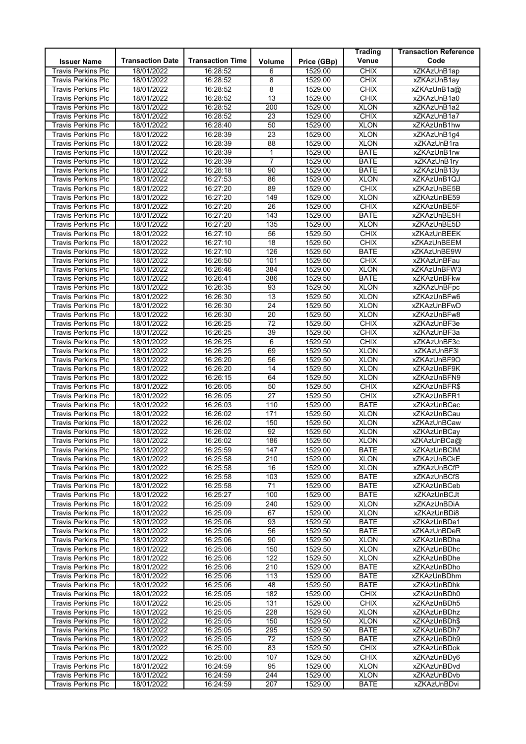|                                                        |                          |                         |                 |                    | <b>Trading</b>             | <b>Transaction Reference</b> |
|--------------------------------------------------------|--------------------------|-------------------------|-----------------|--------------------|----------------------------|------------------------------|
| <b>Issuer Name</b>                                     | <b>Transaction Date</b>  | <b>Transaction Time</b> | Volume          | Price (GBp)        | Venue                      | Code                         |
| <b>Travis Perkins Plc</b>                              | 18/01/2022               | 16:28:52                | 6               | 1529.00            | <b>CHIX</b>                | xZKAzUnB1ap                  |
| <b>Travis Perkins Plc</b>                              | 18/01/2022               | 16:28:52                | 8               | 1529.00            | <b>CHIX</b>                | xZKAzUnB1ay                  |
| <b>Travis Perkins Plc</b>                              | 18/01/2022               | 16:28:52                | 8               | 1529.00            | <b>CHIX</b>                | xZKAzUnB1a@                  |
| <b>Travis Perkins Plc</b><br><b>Travis Perkins Plc</b> | 18/01/2022               | 16:28:52                | 13              | 1529.00<br>1529.00 | <b>CHIX</b><br><b>XLON</b> | xZKAzUnB1a0<br>xZKAzUnB1a2   |
| Travis Perkins Plc                                     | 18/01/2022<br>18/01/2022 | 16:28:52<br>16:28:52    | 200<br>23       | 1529.00            | <b>CHIX</b>                | xZKAzUnB1a7                  |
| Travis Perkins Plc                                     | 18/01/2022               | 16:28:40                | 50              | 1529.00            | <b>XLON</b>                | xZKAzUnB1hw                  |
| <b>Travis Perkins Plc</b>                              | 18/01/2022               | 16:28:39                | $\overline{23}$ | 1529.00            | <b>XLON</b>                | xZKAzUnB1g4                  |
| <b>Travis Perkins Plc</b>                              | 18/01/2022               | 16:28:39                | 88              | 1529.00            | <b>XLON</b>                | xZKAzUnB1ra                  |
| <b>Travis Perkins Plc</b>                              | 18/01/2022               | 16:28:39                | 1               | 1529.00            | <b>BATE</b>                | xZKAzUnB1rw                  |
| <b>Travis Perkins Plc</b>                              | 18/01/2022               | 16:28:39                | $\overline{7}$  | 1529.00            | <b>BATE</b>                | xZKAzUnB1ry                  |
| <b>Travis Perkins Plc</b>                              | 18/01/2022               | 16:28:18                | 90              | 1529.00            | <b>BATE</b>                | xZKAzUnB13y                  |
| <b>Travis Perkins Plc</b>                              | 18/01/2022               | 16:27:53                | 86              | 1529.00            | <b>XLON</b>                | xZKAzUnB1QJ                  |
| <b>Travis Perkins Plc</b>                              | 18/01/2022               | 16:27:20                | 89              | 1529.00            | <b>CHIX</b>                | xZKAzUnBE5B                  |
| <b>Travis Perkins Plc</b>                              | 18/01/2022               | 16:27:20                | 149             | 1529.00            | <b>XLON</b>                | xZKAzUnBE59                  |
| Travis Perkins Plc                                     | 18/01/2022               | 16:27:20                | 26              | 1529.00            | <b>CHIX</b>                | xZKAzUnBE5F                  |
| <b>Travis Perkins Plc</b>                              | 18/01/2022               | 16:27:20                | 143             | 1529.00            | <b>BATE</b>                | xZKAzUnBE5H                  |
| <b>Travis Perkins Plc</b>                              | 18/01/2022               | 16:27:20                | 135             | 1529.00            | <b>XLON</b>                | xZKAzUnBE5D                  |
| Travis Perkins Plc                                     | 18/01/2022               | 16:27:10                | 56              | 1529.50            | <b>CHIX</b>                | xZKAzUnBEEK                  |
| <b>Travis Perkins Plc</b>                              | 18/01/2022               | 16:27:10                | $\overline{18}$ | 1529.50            | <b>CHIX</b>                | xZKAzUnBEEM                  |
| <b>Travis Perkins Plc</b>                              | 18/01/2022               | 16:27:10                | 126             | 1529.50            | <b>BATE</b>                | xZKAzUnBE9W                  |
| <b>Travis Perkins Plc</b>                              | 18/01/2022               | 16:26:50                | 101             | 1529.50            | <b>CHIX</b>                | xZKAzUnBFau                  |
| <b>Travis Perkins Plc</b>                              | 18/01/2022               | 16:26:46                | 384             | 1529.00            | <b>XLON</b>                | xZKAzUnBFW3                  |
| <b>Travis Perkins Plc</b>                              | 18/01/2022               | 16:26:41                | 386             | 1529.50            | <b>BATE</b><br><b>XLON</b> | xZKAzUnBFkw                  |
| <b>Travis Perkins Plc</b><br><b>Travis Perkins Plc</b> | 18/01/2022<br>18/01/2022 | 16:26:35<br>16:26:30    | 93<br>13        | 1529.50<br>1529.50 | <b>XLON</b>                | xZKAzUnBFpc<br>xZKAzUnBFw6   |
| Travis Perkins Plc                                     | 18/01/2022               | 16:26:30                | 24              | 1529.50            | <b>XLON</b>                | xZKAzUnBFwD                  |
| <b>Travis Perkins Plc</b>                              | 18/01/2022               | 16:26:30                | $\overline{20}$ | 1529.50            | <b>XLON</b>                | xZKAzUnBFw8                  |
| Travis Perkins Plc                                     | 18/01/2022               | 16:26:25                | 72              | 1529.50            | <b>CHIX</b>                | xZKAzUnBF3e                  |
| <b>Travis Perkins Plc</b>                              | 18/01/2022               | 16:26:25                | $\overline{39}$ | 1529.50            | <b>CHIX</b>                | xZKAzUnBF3a                  |
| <b>Travis Perkins Plc</b>                              | 18/01/2022               | 16:26:25                | 6               | 1529.50            | <b>CHIX</b>                | xZKAzUnBF3c                  |
| Travis Perkins Plc                                     | 18/01/2022               | 16:26:25                | 69              | 1529.50            | <b>XLON</b>                | xZKAzUnBF3I                  |
| <b>Travis Perkins Plc</b>                              | 18/01/2022               | 16:26:20                | 56              | 1529.50            | <b>XLON</b>                | xZKAzUnBF9O                  |
| <b>Travis Perkins Plc</b>                              | 18/01/2022               | 16:26:20                | $\overline{14}$ | 1529.50            | <b>XLON</b>                | xZKAzUnBF9K                  |
| <b>Travis Perkins Plc</b>                              | 18/01/2022               | 16:26:15                | 64              | 1529.50            | <b>XLON</b>                | xZKAzUnBFN9                  |
| Travis Perkins Plc                                     | 18/01/2022               | 16:26:05                | 50              | 1529.50            | <b>CHIX</b>                | xZKAzUnBFR\$                 |
| <b>Travis Perkins Plc</b>                              | 18/01/2022               | 16:26:05                | 27              | 1529.50            | <b>CHIX</b>                | xZKAzUnBFR1                  |
| <b>Travis Perkins Plc</b>                              | 18/01/2022               | 16:26:03                | 110             | 1529.00            | <b>BATE</b>                | xZKAzUnBCac                  |
| Travis Perkins Plc                                     | 18/01/2022               | 16:26:02                | 171             | 1529.50            | <b>XLON</b>                | xZKAzUnBCau                  |
| <b>Travis Perkins Plc</b>                              | 18/01/2022               | 16:26:02                | 150             | 1529.50            | <b>XLON</b>                | xZKAzUnBCaw                  |
| <b>Travis Perkins Plc</b>                              | 18/01/2022               | 16:26:02                | $\overline{92}$ | 1529.50            | <b>XLON</b>                | xZKAzUnBCay                  |
| <b>Travis Perkins Plc</b>                              | 18/01/2022               | 16:26:02                | 186             | 1529.50            | <b>XLON</b>                | xZKAzUnBCa@                  |
| <b>Travis Perkins Plc</b>                              | 18/01/2022               | 16:25:59                | 147             | 1529.00            | <b>BATE</b>                | xZKAzUnBCIM                  |
| <b>Travis Perkins Plc</b><br><b>Travis Perkins Plc</b> | 18/01/2022               | 16:25:58                | 210             | 1529.00            | <b>XLON</b><br><b>XLON</b> | xZKAzUnBCkE                  |
| <b>Travis Perkins Plc</b>                              | 18/01/2022<br>18/01/2022 | 16:25:58<br>16:25:58    | 16<br>103       | 1529.00<br>1529.00 | <b>BATE</b>                | xZKAzUnBCfP<br>xZKAzUnBCfS   |
| <b>Travis Perkins Plc</b>                              | 18/01/2022               | 16:25:58                | 71              | 1529.00            | <b>BATE</b>                | xZKAzUnBCeb                  |
| <b>Travis Perkins Plc</b>                              | 18/01/2022               | 16:25:27                | 100             | 1529.00            | <b>BATE</b>                | xZKAzUnBCJt                  |
| Travis Perkins Plc                                     | 18/01/2022               | 16:25:09                | 240             | 1529.00            | <b>XLON</b>                | xZKAzUnBDiA                  |
| <b>Travis Perkins Plc</b>                              | 18/01/2022               | 16:25:09                | 67              | 1529.00            | <b>XLON</b>                | xZKAzUnBDi8                  |
| <b>Travis Perkins Plc</b>                              | 18/01/2022               | 16:25:06                | 93              | 1529.50            | <b>BATE</b>                | xZKAzUnBDe1                  |
| <b>Travis Perkins Plc</b>                              | 18/01/2022               | 16:25:06                | 56              | 1529.50            | <b>BATE</b>                | xZKAzUnBDeR                  |
| <b>Travis Perkins Plc</b>                              | 18/01/2022               | 16:25:06                | 90              | 1529.50            | <b>XLON</b>                | xZKAzUnBDha                  |
| <b>Travis Perkins Plc</b>                              | 18/01/2022               | 16:25:06                | 150             | 1529.50            | <b>XLON</b>                | xZKAzUnBDhc                  |
| <b>Travis Perkins Plc</b>                              | 18/01/2022               | 16:25:06                | 122             | 1529.50            | <b>XLON</b>                | xZKAzUnBDhe                  |
| <b>Travis Perkins Plc</b>                              | 18/01/2022               | 16:25:06                | 210             | 1529.00            | <b>BATE</b>                | xZKAzUnBDho                  |
| <b>Travis Perkins Plc</b>                              | 18/01/2022               | 16:25:06                | 113             | 1529.00            | <b>BATE</b>                | xZKAzUnBDhm                  |
| <b>Travis Perkins Plc</b>                              | 18/01/2022               | 16:25:06                | 48              | 1529.50            | <b>BATE</b>                | xZKAzUnBDhk                  |
| Travis Perkins Plc                                     | 18/01/2022               | 16:25:05                | 182             | 1529.00            | <b>CHIX</b>                | xZKAzUnBDh0                  |
| <b>Travis Perkins Plc</b>                              | 18/01/2022               | 16:25:05                | 131             | 1529.00            | <b>CHIX</b>                | xZKAzUnBDh5                  |
| <b>Travis Perkins Plc</b>                              | 18/01/2022               | 16:25:05                | 228             | 1529.50            | <b>XLON</b>                | xZKAzUnBDhz                  |
| <b>Travis Perkins Plc</b>                              | 18/01/2022               | 16:25:05                | 150             | 1529.50            | <b>XLON</b>                | xZKAzUnBDh\$                 |
| <b>Travis Perkins Plc</b><br><b>Travis Perkins Plc</b> | 18/01/2022<br>18/01/2022 | 16:25:05<br>16:25:05    | 295<br>72       | 1529.50<br>1529.50 | <b>BATE</b><br><b>BATE</b> | xZKAzUnBDh7<br>xZKAzUnBDh9   |
| <b>Travis Perkins Plc</b>                              | 18/01/2022               | 16:25:00                | 83              | 1529.50            | <b>CHIX</b>                | xZKAzUnBDok                  |
| <b>Travis Perkins Plc</b>                              | 18/01/2022               | 16:25:00                | 107             | 1529.50            | <b>CHIX</b>                | xZKAzUnBDy6                  |
| <b>Travis Perkins Plc</b>                              | 18/01/2022               | 16:24:59                | 95              | 1529.00            | <b>XLON</b>                | xZKAzUnBDvd                  |
| <b>Travis Perkins Plc</b>                              | 18/01/2022               | 16:24:59                | 244             | 1529.00            | <b>XLON</b>                | xZKAzUnBDvb                  |
| <b>Travis Perkins Plc</b>                              | 18/01/2022               | 16:24:59                | 207             | 1529.00            | <b>BATE</b>                | xZKAzUnBDvi                  |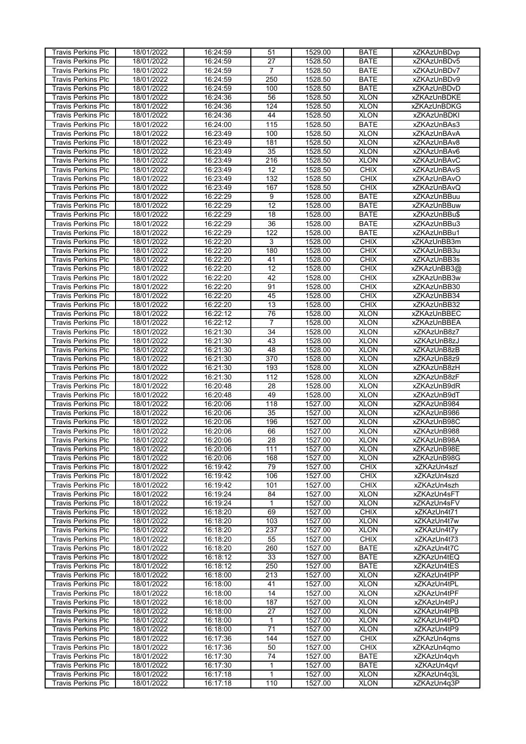| <b>Travis Perkins Plc</b> | 18/01/2022 | 16:24:59 | 51              | 1529.00 | <b>BATE</b> | xZKAzUnBDvp        |
|---------------------------|------------|----------|-----------------|---------|-------------|--------------------|
|                           |            |          | $\overline{27}$ |         |             | xZKAzUnBDv5        |
| <b>Travis Perkins Plc</b> | 18/01/2022 | 16:24:59 |                 | 1528.50 | <b>BATE</b> |                    |
| Travis Perkins Plc        | 18/01/2022 | 16:24:59 | $\overline{7}$  | 1528.50 | <b>BATE</b> | xZKAzUnBDv7        |
| <b>Travis Perkins Plc</b> | 18/01/2022 | 16:24:59 | 250             | 1528.50 | <b>BATE</b> | xZKAzUnBDv9        |
| <b>Travis Perkins Plc</b> | 18/01/2022 | 16:24:59 | 100             | 1528.50 | <b>BATE</b> | xZKAzUnBDvD        |
|                           |            |          |                 |         |             |                    |
| <b>Travis Perkins Plc</b> | 18/01/2022 | 16:24:36 | 56              | 1528.50 | <b>XLON</b> | xZKAzUnBDKE        |
| Travis Perkins Plc        | 18/01/2022 | 16:24:36 | 124             | 1528.50 | <b>XLON</b> | <b>xZKAzUnBDKG</b> |
| Travis Perkins Plc        | 18/01/2022 | 16:24:36 | 44              | 1528.50 | <b>XLON</b> | xZKAzUnBDKI        |
| <b>Travis Perkins Plc</b> | 18/01/2022 | 16:24:00 | 115             | 1528.50 | <b>BATE</b> | xZKAzUnBAs3        |
|                           |            | 16:23:49 |                 | 1528.50 | <b>XLON</b> |                    |
| Travis Perkins Plc        | 18/01/2022 |          | 100             |         |             | xZKAzUnBAvA        |
| <b>Travis Perkins Plc</b> | 18/01/2022 | 16:23:49 | 181             | 1528.50 | <b>XLON</b> | xZKAzUnBAv8        |
| <b>Travis Perkins Plc</b> | 18/01/2022 | 16:23:49 | 35              | 1528.50 | <b>XLON</b> | xZKAzUnBAv6        |
| <b>Travis Perkins Plc</b> | 18/01/2022 | 16:23:49 | 216             | 1528.50 | <b>XLON</b> | xZKAzUnBAvC        |
| <b>Travis Perkins Plc</b> |            |          | 12              |         | <b>CHIX</b> |                    |
|                           | 18/01/2022 | 16:23:49 |                 | 1528.50 |             | xZKAzUnBAvS        |
| Travis Perkins Plc        | 18/01/2022 | 16:23:49 | 132             | 1528.50 | <b>CHIX</b> | xZKAzUnBAvO        |
| <b>Travis Perkins Plc</b> | 18/01/2022 | 16:23:49 | 167             | 1528.50 | <b>CHIX</b> | xZKAzUnBAvQ        |
| Travis Perkins Plc        | 18/01/2022 | 16:22:29 | 9               | 1528.00 | <b>BATE</b> | xZKAzUnBBuu        |
| <b>Travis Perkins Plc</b> | 18/01/2022 | 16:22:29 | 12              | 1528.00 | <b>BATE</b> | xZKAzUnBBuw        |
|                           |            |          |                 |         |             |                    |
| <b>Travis Perkins Plc</b> | 18/01/2022 | 16:22:29 | 18              | 1528.00 | <b>BATE</b> | xZKAzUnBBu\$       |
| Travis Perkins Plc        | 18/01/2022 | 16:22:29 | 36              | 1528.00 | <b>BATE</b> | xZKAzUnBBu3        |
| <b>Travis Perkins Plc</b> | 18/01/2022 | 16:22:29 | 122             | 1528.00 | <b>BATE</b> | xZKAzUnBBu1        |
| <b>Travis Perkins Plc</b> | 18/01/2022 | 16:22:20 | 3               | 1528.00 | <b>CHIX</b> | xZKAzUnBB3m        |
|                           |            |          |                 |         |             |                    |
| <b>Travis Perkins Plc</b> | 18/01/2022 | 16:22:20 | 180             | 1528.00 | <b>CHIX</b> | xZKAzUnBB3u        |
| <b>Travis Perkins Plc</b> | 18/01/2022 | 16:22:20 | 41              | 1528.00 | <b>CHIX</b> | xZKAzUnBB3s        |
| <b>Travis Perkins Plc</b> | 18/01/2022 | 16:22:20 | $\overline{12}$ | 1528.00 | <b>CHIX</b> | xZKAzUnBB3@        |
| <b>Travis Perkins Plc</b> | 18/01/2022 | 16:22:20 | 42              | 1528.00 | <b>CHIX</b> | xZKAzUnBB3w        |
|                           |            |          | 91              |         | <b>CHIX</b> |                    |
| Travis Perkins Plc        | 18/01/2022 | 16:22:20 |                 | 1528.00 |             | xZKAzUnBB30        |
| <b>Travis Perkins Plc</b> | 18/01/2022 | 16:22:20 | 45              | 1528.00 | <b>CHIX</b> | xZKAzUnBB34        |
| <b>Travis Perkins Plc</b> | 18/01/2022 | 16:22:20 | 13              | 1528.00 | <b>CHIX</b> | xZKAzUnBB32        |
| Travis Perkins Plc        | 18/01/2022 | 16:22:12 | 76              | 1528.00 | <b>XLON</b> | xZKAzUnBBEC        |
|                           |            |          | 7               |         |             |                    |
| Travis Perkins Plc        | 18/01/2022 | 16:22:12 |                 | 1528.00 | <b>XLON</b> | xZKAzUnBBEA        |
| <b>Travis Perkins Plc</b> | 18/01/2022 | 16:21:30 | $\overline{34}$ | 1528.00 | <b>XLON</b> | xZKAzUnB8z7        |
| Travis Perkins Plc        | 18/01/2022 | 16:21:30 | 43              | 1528.00 | <b>XLON</b> | xZKAzUnB8zJ        |
| Travis Perkins Plc        | 18/01/2022 | 16:21:30 | 48              | 1528.00 | <b>XLON</b> | xZKAzUnB8zB        |
|                           | 18/01/2022 | 16:21:30 | 370             | 1528.00 | <b>XLON</b> | xZKAzUnB8z9        |
| Travis Perkins Plc        |            |          |                 |         |             |                    |
| <b>Travis Perkins Plc</b> | 18/01/2022 | 16:21:30 | 193             | 1528.00 | <b>XLON</b> | xZKAzUnB8zH        |
| Travis Perkins Plc        | 18/01/2022 | 16:21:30 | 112             | 1528.00 | <b>XLON</b> | xZKAzUnB8zF        |
| <b>Travis Perkins Plc</b> | 18/01/2022 | 16:20:48 | 28              | 1528.00 | <b>XLON</b> | xZKAzUnB9dR        |
| Travis Perkins Plc        | 18/01/2022 | 16:20:48 | 49              | 1528.00 | <b>XLON</b> | xZKAzUnB9dT        |
|                           |            |          | 118             |         | <b>XLON</b> |                    |
| Travis Perkins Plc        | 18/01/2022 | 16:20:06 |                 | 1527.00 |             | xZKAzUnB984        |
| Travis Perkins Plc        | 18/01/2022 | 16:20:06 | 35              | 1527.00 | <b>XLON</b> | xZKAzUnB986        |
| <b>Travis Perkins Plc</b> | 18/01/2022 | 16:20:06 | 196             | 1527.00 | <b>XLON</b> | xZKAzUnB98C        |
| Travis Perkins Plc        | 18/01/2022 | 16:20:06 | 66              | 1527.00 | <b>XLON</b> | xZKAzUnB988        |
| <b>Travis Perkins Plc</b> | 18/01/2022 | 16:20:06 | 28              | 1527.00 | <b>XLON</b> | xZKAzUnB98A        |
|                           |            |          |                 |         |             |                    |
| <b>Travis Perkins Plc</b> | 18/01/2022 | 16:20:06 | 111             | 1527.00 | <b>XLON</b> | xZKAzUnB98E        |
| <b>Travis Perkins Plc</b> | 18/01/2022 | 16:20:06 | 168             | 1527.00 | <b>XLON</b> | xZKAzUnB98G        |
| <b>Travis Perkins Plc</b> | 18/01/2022 | 16:19:42 | 79              | 1527.00 | <b>CHIX</b> | xZKAzUn4szf        |
| <b>Travis Perkins Plc</b> | 18/01/2022 | 16:19:42 | 106             | 1527.00 | <b>CHIX</b> | xZKAzUn4szd        |
| <b>Travis Perkins Plc</b> | 18/01/2022 |          |                 | 1527.00 | <b>CHIX</b> | xZKAzUn4szh        |
|                           |            | 16:19:42 | 101             |         |             |                    |
| <b>Travis Perkins Plc</b> | 18/01/2022 | 16:19:24 | 84              | 1527.00 | <b>XLON</b> | xZKAzUn4sFT        |
| <b>Travis Perkins Plc</b> | 18/01/2022 | 16:19:24 | 1               | 1527.00 | <b>XLON</b> | xZKAzUn4sFV        |
| <b>Travis Perkins Plc</b> | 18/01/2022 | 16:18:20 | 69              | 1527.00 | <b>CHIX</b> | xZKAzUn4t71        |
| <b>Travis Perkins Plc</b> | 18/01/2022 | 16:18:20 | 103             | 1527.00 | <b>XLON</b> | xZKAzUn4t7w        |
| <b>Travis Perkins Plc</b> |            |          |                 |         |             |                    |
|                           | 18/01/2022 | 16:18:20 | 237             | 1527.00 | <b>XLON</b> | xZKAzUn4t7y        |
| <b>Travis Perkins Plc</b> | 18/01/2022 | 16:18:20 | 55              | 1527.00 | <b>CHIX</b> | xZKAzUn4t73        |
| <b>Travis Perkins Plc</b> | 18/01/2022 | 16:18:20 | 260             | 1527.00 | <b>BATE</b> | xZKAzUn4t7C        |
| <b>Travis Perkins Plc</b> | 18/01/2022 | 16:18:12 | 33              | 1527.00 | <b>BATE</b> | xZKAzUn4tEQ        |
| <b>Travis Perkins Plc</b> | 18/01/2022 | 16:18:12 | 250             | 1527.00 | <b>BATE</b> | xZKAzUn4tES        |
|                           |            |          |                 |         |             |                    |
| <b>Travis Perkins Plc</b> | 18/01/2022 | 16:18:00 | 213             | 1527.00 | <b>XLON</b> | xZKAzUn4tPP        |
| <b>Travis Perkins Plc</b> | 18/01/2022 | 16:18:00 | 41              | 1527.00 | <b>XLON</b> | xZKAzUn4tPL        |
| <b>Travis Perkins Plc</b> | 18/01/2022 | 16:18:00 | 14              | 1527.00 | <b>XLON</b> | xZKAzUn4tPF        |
| <b>Travis Perkins Plc</b> | 18/01/2022 | 16:18:00 | 187             | 1527.00 | <b>XLON</b> | xZKAzUn4tPJ        |
|                           |            |          |                 |         |             |                    |
| <b>Travis Perkins Plc</b> | 18/01/2022 | 16:18:00 | $\overline{27}$ | 1527.00 | <b>XLON</b> | xZKAzUn4tPB        |
| <b>Travis Perkins Plc</b> | 18/01/2022 | 16:18:00 | 1               | 1527.00 | <b>XLON</b> | xZKAzUn4tPD        |
| <b>Travis Perkins Plc</b> | 18/01/2022 | 16:18:00 | $\overline{71}$ | 1527.00 | <b>XLON</b> | xZKAzUn4tP9        |
| <b>Travis Perkins Plc</b> | 18/01/2022 | 16:17:36 | 144             | 1527.00 | <b>CHIX</b> | xZKAzUn4qms        |
| Travis Perkins Plc        | 18/01/2022 | 16:17:36 | 50              | 1527.00 | <b>CHIX</b> | xZKAzUn4qmo        |
|                           |            |          |                 |         |             |                    |
| <b>Travis Perkins Plc</b> | 18/01/2022 | 16:17:30 | $\overline{74}$ | 1527.00 | <b>BATE</b> | xZKAzUn4qvh        |
| <b>Travis Perkins Plc</b> | 18/01/2022 | 16:17:30 | 1               | 1527.00 | <b>BATE</b> | xZKAzUn4qvf        |
| <b>Travis Perkins Plc</b> | 18/01/2022 | 16:17:18 | 1               | 1527.00 | <b>XLON</b> | xZKAzUn4q3L        |
| <b>Travis Perkins Plc</b> | 18/01/2022 | 16:17:18 | 110             | 1527.00 | <b>XLON</b> | xZKAzUn4q3P        |
|                           |            |          |                 |         |             |                    |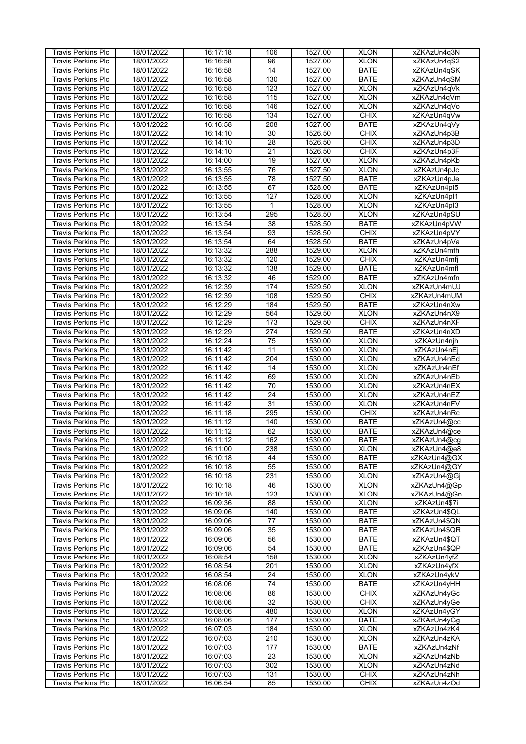| <b>Travis Perkins Plc</b> | 18/01/2022 | 16:17:18 | 106             | 1527.00 | <b>XLON</b> | xZKAzUn4q3N  |
|---------------------------|------------|----------|-----------------|---------|-------------|--------------|
|                           |            |          |                 |         |             | xZKAzUn4qS2  |
| <b>Travis Perkins Plc</b> | 18/01/2022 | 16:16:58 | 96              | 1527.00 | <b>XLON</b> |              |
| <b>Travis Perkins Plc</b> | 18/01/2022 | 16:16:58 | 14              | 1527.00 | <b>BATE</b> | xZKAzUn4qSK  |
| Travis Perkins Plc        | 18/01/2022 | 16:16:58 | 130             | 1527.00 | <b>BATE</b> | xZKAzUn4qSM  |
| <b>Travis Perkins Plc</b> | 18/01/2022 | 16:16:58 | 123             | 1527.00 | <b>XLON</b> | xZKAzUn4qVk  |
|                           |            |          |                 |         |             |              |
| <b>Travis Perkins Plc</b> | 18/01/2022 | 16:16:58 | 115             | 1527.00 | <b>XLON</b> | xZKAzUn4qVm  |
| Travis Perkins Plc        | 18/01/2022 | 16:16:58 | 146             | 1527.00 | <b>XLON</b> | xZKAzUn4qVo  |
| <b>Travis Perkins Plc</b> | 18/01/2022 | 16:16:58 | 134             | 1527.00 | <b>CHIX</b> | xZKAzUn4qVw  |
| <b>Travis Perkins Plc</b> | 18/01/2022 | 16:16:58 | 208             | 1527.00 | <b>BATE</b> | xZKAzUn4qVy  |
| Travis Perkins Plc        | 18/01/2022 | 16:14:10 | 30              | 1526.50 | <b>CHIX</b> | xZKAzUn4p3B  |
|                           |            |          |                 |         |             |              |
| <b>Travis Perkins Plc</b> | 18/01/2022 | 16:14:10 | $\overline{28}$ | 1526.50 | <b>CHIX</b> | xZKAzUn4p3D  |
| <b>Travis Perkins Plc</b> | 18/01/2022 | 16:14:10 | $\overline{21}$ | 1526.50 | <b>CHIX</b> | xZKAzUn4p3F  |
| <b>Travis Perkins Plc</b> | 18/01/2022 | 16:14:00 | 19              | 1527.00 | <b>XLON</b> | xZKAzUn4pKb  |
| <b>Travis Perkins Plc</b> | 18/01/2022 | 16:13:55 | 76              | 1527.50 | <b>XLON</b> | xZKAzUn4pJc  |
|                           |            |          |                 |         |             |              |
| Travis Perkins Plc        | 18/01/2022 | 16:13:55 | 78              | 1527.50 | <b>BATE</b> | xZKAzUn4pJe  |
| <b>Travis Perkins Plc</b> | 18/01/2022 | 16:13:55 | 67              | 1528.00 | <b>BATE</b> | xZKAzUn4pl5  |
| Travis Perkins Plc        | 18/01/2022 | 16:13:55 | 127             | 1528.00 | <b>XLON</b> | xZKAzUn4pl1  |
| <b>Travis Perkins Plc</b> | 18/01/2022 | 16:13:55 | $\mathbf{1}$    | 1528.00 | <b>XLON</b> | xZKAzUn4pl3  |
|                           |            |          |                 |         |             | xZKAzUn4pSU  |
| <b>Travis Perkins Plc</b> | 18/01/2022 | 16:13:54 | 295             | 1528.50 | <b>XLON</b> |              |
| Travis Perkins Plc        | 18/01/2022 | 16:13:54 | 38              | 1528.50 | <b>BATE</b> | xZKAzUn4pVW  |
| <b>Travis Perkins Plc</b> | 18/01/2022 | 16:13:54 | 93              | 1528.50 | <b>CHIX</b> | xZKAzUn4pVY  |
| <b>Travis Perkins Plc</b> | 18/01/2022 | 16:13:54 | 64              | 1528.50 | <b>BATE</b> | xZKAzUn4pVa  |
| <b>Travis Perkins Plc</b> | 18/01/2022 | 16:13:32 | 288             | 1529.00 | <b>XLON</b> | xZKAzUn4mfh  |
|                           |            |          |                 |         |             |              |
| <b>Travis Perkins Plc</b> | 18/01/2022 | 16:13:32 | 120             | 1529.00 | <b>CHIX</b> | xZKAzUn4mfi  |
| <b>Travis Perkins Plc</b> | 18/01/2022 | 16:13:32 | 138             | 1529.00 | <b>BATE</b> | xZKAzUn4mfl  |
| <b>Travis Perkins Plc</b> | 18/01/2022 | 16:13:32 | 46              | 1529.00 | <b>BATE</b> | xZKAzUn4mfn  |
| <b>Travis Perkins Plc</b> | 18/01/2022 | 16:12:39 | 174             | 1529.50 | <b>XLON</b> | xZKAzUn4mUJ  |
|                           |            |          |                 |         |             |              |
| <b>Travis Perkins Plc</b> | 18/01/2022 | 16:12:39 | 108             | 1529.50 | <b>CHIX</b> | xZKAzUn4mUM  |
| <b>Travis Perkins Plc</b> | 18/01/2022 | 16:12:29 | 184             | 1529.50 | <b>BATE</b> | xZKAzUn4nXw  |
| Travis Perkins Plc        | 18/01/2022 | 16:12:29 | 564             | 1529.50 | <b>XLON</b> | xZKAzUn4nX9  |
| <b>Travis Perkins Plc</b> | 18/01/2022 | 16:12:29 | 173             | 1529.50 | <b>CHIX</b> | xZKAzUn4nXF  |
| <b>Travis Perkins Plc</b> | 18/01/2022 | 16:12:29 | 274             | 1529.50 | <b>BATE</b> | xZKAzUn4nXD  |
|                           |            |          |                 |         |             |              |
| <b>Travis Perkins Plc</b> | 18/01/2022 | 16:12:24 | $\overline{75}$ | 1530.00 | <b>XLON</b> | xZKAzUn4njh  |
| <b>Travis Perkins Plc</b> | 18/01/2022 | 16:11:42 | 11              | 1530.00 | <b>XLON</b> | xZKAzUn4nEi  |
| <b>Travis Perkins Plc</b> | 18/01/2022 | 16:11:42 | 204             | 1530.00 | <b>XLON</b> | xZKAzUn4nEd  |
| <b>Travis Perkins Plc</b> | 18/01/2022 | 16:11:42 | 14              | 1530.00 | <b>XLON</b> | xZKAzUn4nEf  |
|                           |            |          |                 |         |             |              |
| Travis Perkins Plc        | 18/01/2022 | 16:11:42 | 69              | 1530.00 | <b>XLON</b> | xZKAzUn4nEb  |
| <b>Travis Perkins Plc</b> | 18/01/2022 | 16:11:42 | 70              | 1530.00 | <b>XLON</b> | xZKAzUn4nEX  |
| <b>Travis Perkins Plc</b> | 18/01/2022 | 16:11:42 | $\overline{24}$ | 1530.00 | <b>XLON</b> | xZKAzUn4nEZ  |
| Travis Perkins Plc        | 18/01/2022 | 16:11:42 | $\overline{31}$ | 1530.00 | <b>XLON</b> | xZKAzUn4nFV  |
| <b>Travis Perkins Plc</b> | 18/01/2022 | 16:11:18 | 295             | 1530.00 | <b>CHIX</b> | xZKAzUn4nRc  |
|                           |            |          |                 |         |             |              |
| <b>Travis Perkins Plc</b> | 18/01/2022 | 16:11:12 | 140             | 1530.00 | <b>BATE</b> | xZKAzUn4@cc  |
| <b>Travis Perkins Plc</b> | 18/01/2022 | 16:11:12 | 62              | 1530.00 | <b>BATE</b> | xZKAzUn4@ce  |
| <b>Travis Perkins Plc</b> | 18/01/2022 | 16:11:12 | 162             | 1530.00 | <b>BATE</b> | xZKAzUn4@cq  |
| <b>Travis Perkins Plc</b> | 18/01/2022 | 16:11:00 | 238             | 1530.00 | <b>XLON</b> | xZKAzUn4@e8  |
|                           |            |          | 44              |         | <b>BATE</b> |              |
| <b>Travis Perkins Plc</b> | 18/01/2022 | 16:10:18 |                 | 1530.00 |             | xZKAzUn4@GX  |
| Travis Perkins Plc        | 18/01/2022 | 16:10:18 | 55              | 1530.00 | <b>BATE</b> | xZKAzUn4@GY  |
| <b>Travis Perkins Plc</b> | 18/01/2022 | 16:10:18 | 231             | 1530.00 | <b>XLON</b> | xZKAzUn4@Gi  |
| <b>Travis Perkins Plc</b> | 18/01/2022 | 16:10:18 | 46              | 1530.00 | <b>XLON</b> | xZKAzUn4@Gp  |
| <b>Travis Perkins Plc</b> | 18/01/2022 | 16:10:18 | 123             | 1530.00 | <b>XLON</b> | xZKAzUn4@Gn  |
| <b>Travis Perkins Plc</b> |            |          | 88              | 1530.00 | <b>XLON</b> |              |
|                           | 18/01/2022 | 16:09:36 |                 |         |             | xZKAzUn4\$7i |
| <b>Travis Perkins Plc</b> | 18/01/2022 | 16:09:06 | 140             | 1530.00 | <b>BATE</b> | xZKAzUn4\$QL |
| <b>Travis Perkins Plc</b> | 18/01/2022 | 16:09:06 | $\overline{77}$ | 1530.00 | <b>BATE</b> | xZKAzUn4\$QN |
| <b>Travis Perkins Plc</b> | 18/01/2022 | 16:09:06 | 35              | 1530.00 | <b>BATE</b> | xZKAzUn4\$QR |
| <b>Travis Perkins Plc</b> | 18/01/2022 | 16:09:06 | 56              | 1530.00 | <b>BATE</b> | xZKAzUn4\$QT |
| <b>Travis Perkins Plc</b> |            |          | 54              |         |             | xZKAzUn4\$QP |
|                           | 18/01/2022 | 16:09:06 |                 | 1530.00 | <b>BATE</b> |              |
| <b>Travis Perkins Plc</b> | 18/01/2022 | 16:08:54 | 158             | 1530.00 | <b>XLON</b> | xZKAzUn4yfZ  |
| <b>Travis Perkins Plc</b> | 18/01/2022 | 16:08:54 | 201             | 1530.00 | <b>XLON</b> | xZKAzUn4yfX  |
| <b>Travis Perkins Plc</b> | 18/01/2022 | 16:08:54 | 24              | 1530.00 | <b>XLON</b> | xZKAzUn4ykV  |
| <b>Travis Perkins Plc</b> | 18/01/2022 | 16:08:06 | 74              | 1530.00 | <b>BATE</b> | xZKAzUn4yHH  |
|                           |            |          |                 |         |             |              |
| <b>Travis Perkins Plc</b> | 18/01/2022 | 16:08:06 | 86              | 1530.00 | <b>CHIX</b> | xZKAzUn4yGc  |
| <b>Travis Perkins Plc</b> | 18/01/2022 | 16:08:06 | $\overline{32}$ | 1530.00 | <b>CHIX</b> | xZKAzUn4yGe  |
| <b>Travis Perkins Plc</b> | 18/01/2022 | 16:08:06 | 480             | 1530.00 | <b>XLON</b> | xZKAzUn4yGY  |
| <b>Travis Perkins Plc</b> | 18/01/2022 | 16:08:06 | 177             | 1530.00 | <b>BATE</b> | xZKAzUn4yGg  |
| <b>Travis Perkins Plc</b> | 18/01/2022 | 16:07:03 | 184             | 1530.00 | <b>XLON</b> | xZKAzUn4zK4  |
|                           |            |          |                 |         |             |              |
| <b>Travis Perkins Plc</b> | 18/01/2022 | 16:07:03 | 210             | 1530.00 | <b>XLON</b> | xZKAzUn4zKA  |
| Travis Perkins Plc        | 18/01/2022 | 16:07:03 | 177             | 1530.00 | <b>BATE</b> | xZKAzUn4zNf  |
| <b>Travis Perkins Plc</b> | 18/01/2022 | 16:07:03 | 23              | 1530.00 | <b>XLON</b> | xZKAzUn4zNb  |
| <b>Travis Perkins Plc</b> | 18/01/2022 | 16:07:03 | 302             | 1530.00 | <b>XLON</b> | xZKAzUn4zNd  |
|                           |            |          |                 |         |             |              |
| <b>Travis Perkins Plc</b> | 18/01/2022 | 16:07:03 | 131             | 1530.00 | <b>CHIX</b> | xZKAzUn4zNh  |
| Travis Perkins Plc        | 18/01/2022 | 16:06:54 | 85              | 1530.00 | <b>CHIX</b> | xZKAzUn4zOd  |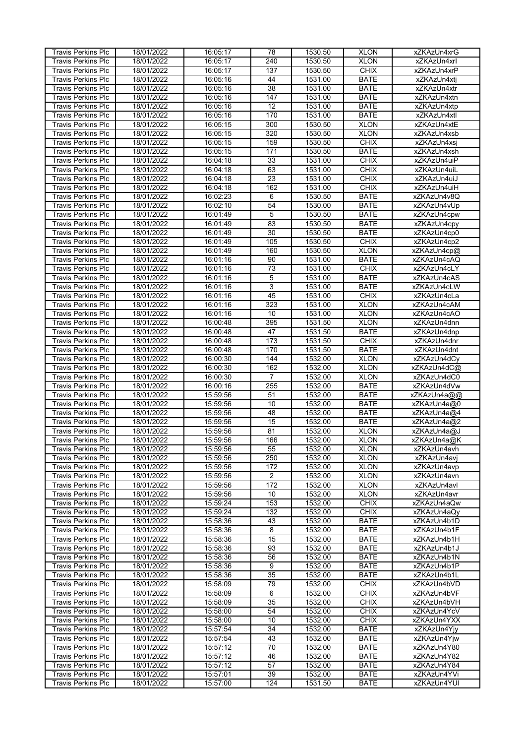| <b>Travis Perkins Plc</b>                       | 18/01/2022               | 16:05:17             | 78              | 1530.50            | <b>XLON</b>                | xZKAzUn4xrG                |
|-------------------------------------------------|--------------------------|----------------------|-----------------|--------------------|----------------------------|----------------------------|
| <b>Travis Perkins Plc</b>                       | 18/01/2022               |                      | 240             | 1530.50            | <b>XLON</b>                | xZKAzUn4xrl                |
|                                                 |                          | 16:05:17             |                 |                    |                            |                            |
| <b>Travis Perkins Plc</b>                       | 18/01/2022               | 16:05:17             | 137             | 1530.50            | <b>CHIX</b>                | xZKAzUn4xrP                |
| <b>Travis Perkins Plc</b>                       | 18/01/2022               | 16:05:16             | 44              | 1531.00            | <b>BATE</b>                | xZKAzUn4xtj                |
| <b>Travis Perkins Plc</b>                       | 18/01/2022               | 16:05:16             | $\overline{38}$ | 1531.00            | <b>BATE</b>                | xZKAzUn4xtr                |
| <b>Travis Perkins Plc</b>                       | 18/01/2022               | 16:05:16             | 147             | 1531.00            | <b>BATE</b>                | xZKAzUn4xtn                |
|                                                 |                          |                      |                 |                    |                            |                            |
| Travis Perkins Plc                              | 18/01/2022               | 16:05:16             | 12              | 1531.00            | <b>BATE</b>                | xZKAzUn4xtp                |
| <b>Travis Perkins Plc</b>                       | 18/01/2022               | 16:05:16             | 170             | 1531.00            | <b>BATE</b>                | xZKAzUn4xtl                |
| <b>Travis Perkins Plc</b>                       | 18/01/2022               | 16:05:15             | 300             | 1530.50            | <b>XLON</b>                | xZKAzUn4xtE                |
| Travis Perkins Plc                              | 18/01/2022               | 16:05:15             | 320             | 1530.50            | <b>XLON</b>                | xZKAzUn4xsb                |
| <b>Travis Perkins Plc</b>                       | 18/01/2022               | 16:05:15             | 159             | 1530.50            | <b>CHIX</b>                | xZKAzUn4xsi                |
|                                                 | 18/01/2022               |                      |                 |                    | <b>BATE</b>                |                            |
| <b>Travis Perkins Plc</b>                       |                          | 16:05:15             | 171             | 1530.50            |                            | xZKAzUn4xsh                |
| <b>Travis Perkins Plc</b>                       | 18/01/2022               | 16:04:18             | 33              | 1531.00            | <b>CHIX</b>                | xZKAzUn4uiP                |
| <b>Travis Perkins Plc</b>                       | 18/01/2022               | 16:04:18             | 63              | 1531.00            | <b>CHIX</b>                | xZKAzUn4uiL                |
| Travis Perkins Plc                              | 18/01/2022               | 16:04:18             | $\overline{23}$ | 1531.00            | <b>CHIX</b>                | xZKAzUn4uiJ                |
| <b>Travis Perkins Plc</b>                       | 18/01/2022               | 16:04:18             | 162             | 1531.00            | <b>CHIX</b>                | xZKAzUn4uiH                |
| Travis Perkins Plc                              | 18/01/2022               | 16:02:23             | 6               | 1530.50            | <b>BATE</b>                | xZKAzUn4v8Q                |
| <b>Travis Perkins Plc</b>                       | 18/01/2022               | 16:02:10             | 54              | 1530.00            | <b>BATE</b>                | xZKAzUn4vUp                |
|                                                 |                          |                      |                 |                    |                            |                            |
| <b>Travis Perkins Plc</b>                       | 18/01/2022               | 16:01:49             | 5               | 1530.50            | <b>BATE</b>                | xZKAzUn4cpw                |
| Travis Perkins Plc                              | 18/01/2022               | 16:01:49             | 83              | 1530.50            | <b>BATE</b>                | xZKAzUn4cpy                |
| <b>Travis Perkins Plc</b>                       | 18/01/2022               | 16:01:49             | 30              | 1530.50            | <b>BATE</b>                | xZKAzUn4cp0                |
| <b>Travis Perkins Plc</b>                       | 18/01/2022               | 16:01:49             | 105             | 1530.50            | <b>CHIX</b>                | xZKAzUn4cp2                |
| <b>Travis Perkins Plc</b>                       | 18/01/2022               | 16:01:49             | 160             | 1530.50            | <b>XLON</b>                | xZKAzUn4cp@                |
| <b>Travis Perkins Plc</b>                       | 18/01/2022               | 16:01:16             | 90              | 1531.00            | <b>BATE</b>                | xZKAzUn4cAQ                |
|                                                 |                          |                      |                 |                    |                            |                            |
| <b>Travis Perkins Plc</b>                       | 18/01/2022               | 16:01:16             | $\overline{73}$ | 1531.00            | <b>CHIX</b>                | xZKAzUn4cLY                |
| <b>Travis Perkins Plc</b>                       | 18/01/2022               | 16:01:16             | 5               | 1531.00            | <b>BATE</b>                | xZKAzUn4cAS                |
| <b>Travis Perkins Plc</b>                       | 18/01/2022               | 16:01:16             | $\overline{3}$  | 1531.00            | <b>BATE</b>                | xZKAzUn4cLW                |
| <b>Travis Perkins Plc</b>                       | 18/01/2022               | 16:01:16             | 45              | 1531.00            | <b>CHIX</b>                | xZKAzUn4cLa                |
| <b>Travis Perkins Plc</b>                       | 18/01/2022               | 16:01:16             | 323             | 1531.00            | <b>XLON</b>                | xZKAzUn4cAM                |
| Travis Perkins Plc                              | 18/01/2022               | 16:01:16             | 10              | 1531.00            | <b>XLON</b>                | xZKAzUn4cAO                |
|                                                 |                          |                      |                 |                    |                            |                            |
| <b>Travis Perkins Plc</b>                       | 18/01/2022               | 16:00:48             | 395             | 1531.50            | <b>XLON</b>                | xZKAzUn4dnn                |
| <b>Travis Perkins Plc</b>                       | 18/01/2022               | 16:00:48             | 47              | 1531.50            | <b>BATE</b>                | xZKAzUn4dnp                |
| <b>Travis Perkins Plc</b>                       | 18/01/2022               | 16:00:48             | 173             | 1531.50            | <b>CHIX</b>                | xZKAzUn4dnr                |
| <b>Travis Perkins Plc</b>                       | 18/01/2022               | 16:00:48             | 170             | 1531.50            | <b>BATE</b>                | xZKAzUn4dnt                |
| <b>Travis Perkins Plc</b>                       | 18/01/2022               | 16:00:30             | 144             | 1532.00            | <b>XLON</b>                | xZKAzUn4dCy                |
| <b>Travis Perkins Plc</b>                       | 18/01/2022               | 16:00:30             | 162             | 1532.00            | <b>XLON</b>                | xZKAzUn4dC@                |
|                                                 |                          |                      |                 |                    |                            |                            |
| Travis Perkins Plc                              | 18/01/2022               | 16:00:30             | $\overline{7}$  | 1532.00            | <b>XLON</b>                | xZKAzUn4dC0                |
| <b>Travis Perkins Plc</b>                       | 18/01/2022               | 16:00:16             | 255             | 1532.00            | <b>BATE</b>                | xZKAzUn4dVw                |
| <b>Travis Perkins Plc</b>                       | 18/01/2022               | 15:59:56             | 51              | 1532.00            | <b>BATE</b>                | xZKAzUn4a@@                |
| Travis Perkins Plc                              | 18/01/2022               | 15:59:56             | 10              | 1532.00            | <b>BATE</b>                | xZKAzUn4a@0                |
| <b>Travis Perkins Plc</b>                       | 18/01/2022               | 15:59:56             | 48              | 1532.00            | <b>BATE</b>                | xZKAzUn4a@4                |
| <b>Travis Perkins Plc</b>                       | 18/01/2022               | 15:59:56             | 15              | 1532.00            | <b>BATE</b>                | xZKAzUn4a@2                |
| <b>Travis Perkins Plc</b>                       | 18/01/2022               | 15:59:56             | 81              | 1532.00            | <b>XLON</b>                | xZKAzUn4a@J                |
|                                                 |                          |                      |                 |                    |                            |                            |
| <b>Travis Perkins Plc</b>                       | 18/01/2022               | 15:59:56             | 166             | 1532.00            | <b>XLON</b>                | xZKAzUn4a@K                |
| <b>Travis Perkins Plc</b>                       | 18/01/2022               | 15:59:56             | 55              | 1532.00            | <b>XLON</b>                | xZKAzUn4avh                |
| <b>Travis Perkins Plc</b>                       | 18/01/2022               | 15:59:56             | 250             | 1532.00            | <b>XLON</b>                | xZKAzUn4avj                |
| Travis Perkins Plc                              | 18/01/2022               | 15:59:56             | 172             | 1532.00            | <b>XLON</b>                | xZKAzUn4avp                |
| <b>Travis Perkins Plc</b>                       | 18/01/2022               | 15:59:56             | $\overline{2}$  | 1532.00            | <b>XLON</b>                | xZKAzUn4avn                |
| <b>Travis Perkins Plc</b>                       | 18/01/2022               | 15:59:56             | 172             | 1532.00            | <b>XLON</b>                | xZKAzUn4avl                |
| <b>Travis Perkins Plc</b>                       |                          |                      |                 |                    | <b>XLON</b>                |                            |
|                                                 | 18/01/2022               | 15:59:56             | 10              | 1532.00            |                            | xZKAzUn4avr                |
| <b>Travis Perkins Plc</b>                       | 18/01/2022               | 15:59:24             | 153             | 1532.00            | <b>CHIX</b>                | xZKAzUn4aQw                |
| <b>Travis Perkins Plc</b>                       | 18/01/2022               | 15:59:24             | 132             | 1532.00            | <b>CHIX</b>                | xZKAzUn4aQy                |
| <b>Travis Perkins Plc</b>                       | 18/01/2022               | 15:58:36             | 43              | 1532.00            | <b>BATE</b>                | xZKAzUn4b1D                |
| <b>Travis Perkins Plc</b>                       | 18/01/2022               | 15:58:36             | 8               | 1532.00            | <b>BATE</b>                | xZKAzUn4b1F                |
| <b>Travis Perkins Plc</b>                       | 18/01/2022               | 15:58:36             | 15              | 1532.00            | <b>BATE</b>                | xZKAzUn4b1H                |
| <b>Travis Perkins Plc</b>                       | 18/01/2022               | 15:58:36             | 93              | 1532.00            | <b>BATE</b>                | xZKAzUn4b1J                |
|                                                 |                          |                      |                 |                    |                            |                            |
| Travis Perkins Plc                              | 18/01/2022               | 15:58:36             | 56              | 1532.00            | <b>BATE</b>                | xZKAzUn4b1N                |
| <b>Travis Perkins Plc</b>                       | 18/01/2022               | 15:58:36             | 9               | 1532.00            | <b>BATE</b>                | xZKAzUn4b1P                |
| <b>Travis Perkins Plc</b>                       | 18/01/2022               | 15:58:36             | 35              | 1532.00            | <b>BATE</b>                | xZKAzUn4b1L                |
| <b>Travis Perkins Plc</b>                       | 18/01/2022               | 15:58:09             | 79              | 1532.00            | <b>CHIX</b>                | xZKAzUn4bVD                |
| <b>Travis Perkins Plc</b>                       | 18/01/2022               | 15:58:09             | 6               | 1532.00            | <b>CHIX</b>                | xZKAzUn4bVF                |
| <b>Travis Perkins Plc</b>                       | 18/01/2022               | 15:58:09             | 35              | 1532.00            | <b>CHIX</b>                | xZKAzUn4bVH                |
|                                                 |                          | 15:58:00             |                 |                    |                            |                            |
| <b>Travis Perkins Plc</b>                       |                          |                      | 54              | 1532.00            | <b>CHIX</b>                | xZKAzUn4YcV                |
|                                                 | 18/01/2022               |                      |                 |                    |                            |                            |
| <b>Travis Perkins Plc</b>                       | 18/01/2022               | 15:58:00             | 10              | 1532.00            | <b>CHIX</b>                | xZKAzUn4YXX                |
| <b>Travis Perkins Plc</b>                       | 18/01/2022               | 15:57:54             | $\overline{34}$ | 1532.00            | <b>BATE</b>                | xZKAzUn4Yjy                |
| <b>Travis Perkins Plc</b>                       | 18/01/2022               | 15:57:54             | 43              | 1532.00            | <b>BATE</b>                | xZKAzUn4Yjw                |
| Travis Perkins Plc                              |                          |                      |                 |                    |                            |                            |
|                                                 | 18/01/2022               | 15:57:12             | 70              | 1532.00            | <b>BATE</b>                | xZKAzUn4Y80                |
| <b>Travis Perkins Plc</b>                       | 18/01/2022               | 15:57:12             | 46              | 1532.00            | <b>BATE</b>                | xZKAzUn4Y82                |
| <b>Travis Perkins Plc</b>                       | 18/01/2022               | 15:57:12             | $\overline{57}$ | 1532.00            | BATE                       | xZKAzUn4Y84                |
| <b>Travis Perkins Plc</b><br>Travis Perkins Plc | 18/01/2022<br>18/01/2022 | 15:57:01<br>15:57:00 | 39<br>124       | 1532.00<br>1531.50 | <b>BATE</b><br><b>BATE</b> | xZKAzUn4YVi<br>xZKAzUn4YUI |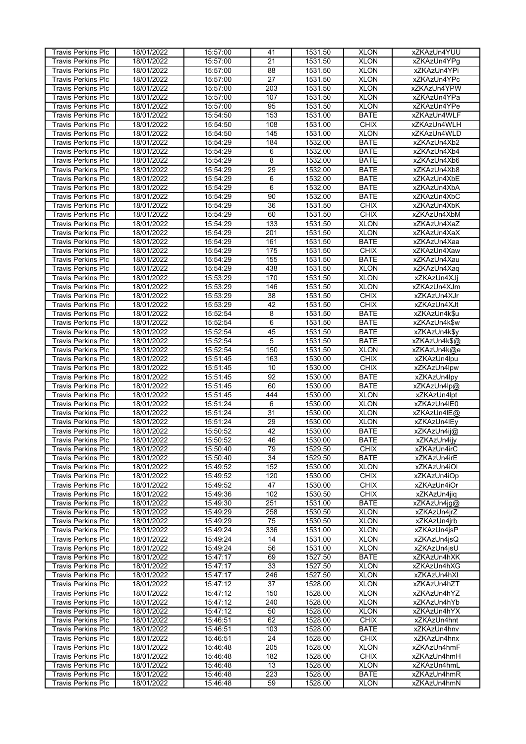| <b>Travis Perkins Plc</b> | 18/01/2022 | 15:57:00 | 41              | 1531.50 | <b>XLON</b> | xZKAzUn4YUU  |
|---------------------------|------------|----------|-----------------|---------|-------------|--------------|
|                           |            |          | $\overline{21}$ |         | <b>XLON</b> |              |
| <b>Travis Perkins Plc</b> | 18/01/2022 | 15:57:00 |                 | 1531.50 |             | xZKAzUn4YPq  |
| <b>Travis Perkins Plc</b> | 18/01/2022 | 15:57:00 | 88              | 1531.50 | <b>XLON</b> | xZKAzUn4YPi  |
| <b>Travis Perkins Plc</b> | 18/01/2022 | 15:57:00 | 27              | 1531.50 | <b>XLON</b> | xZKAzUn4YPc  |
| <b>Travis Perkins Plc</b> | 18/01/2022 | 15:57:00 | 203             | 1531.50 | <b>XLON</b> | xZKAzUn4YPW  |
| <b>Travis Perkins Plc</b> | 18/01/2022 | 15:57:00 | 107             | 1531.50 | <b>XLON</b> | xZKAzUn4YPa  |
|                           |            |          |                 |         |             |              |
| <b>Travis Perkins Plc</b> | 18/01/2022 | 15:57:00 | 95              | 1531.50 | <b>XLON</b> | xZKAzUn4YPe  |
| <b>Travis Perkins Plc</b> | 18/01/2022 | 15:54:50 | 153             | 1531.00 | <b>BATE</b> | xZKAzUn4WLF  |
| <b>Travis Perkins Plc</b> | 18/01/2022 | 15:54:50 | 108             | 1531.00 | <b>CHIX</b> | xZKAzUn4WLH  |
| Travis Perkins Plc        | 18/01/2022 | 15:54:50 | 145             | 1531.00 | <b>XLON</b> | xZKAzUn4WLD  |
| <b>Travis Perkins Plc</b> | 18/01/2022 | 15:54:29 | 184             | 1532.00 | <b>BATE</b> | xZKAzUn4Xb2  |
|                           | 18/01/2022 | 15:54:29 | 6               |         | <b>BATE</b> |              |
| <b>Travis Perkins Plc</b> |            |          |                 | 1532.00 |             | xZKAzUn4Xb4  |
| <b>Travis Perkins Plc</b> | 18/01/2022 | 15:54:29 | 8               | 1532.00 | <b>BATE</b> | xZKAzUn4Xb6  |
| <b>Travis Perkins Plc</b> | 18/01/2022 | 15:54:29 | 29              | 1532.00 | <b>BATE</b> | xZKAzUn4Xb8  |
| Travis Perkins Plc        | 18/01/2022 | 15:54:29 | 6               | 1532.00 | <b>BATE</b> | xZKAzUn4XbE  |
| <b>Travis Perkins Plc</b> | 18/01/2022 | 15:54:29 | 6               | 1532.00 | <b>BATE</b> | xZKAzUn4XbA  |
| Travis Perkins Plc        | 18/01/2022 | 15:54:29 | 90              | 1532.00 | <b>BATE</b> | xZKAzUn4XbC  |
| <b>Travis Perkins Plc</b> | 18/01/2022 | 15:54:29 | 36              | 1531.50 | <b>CHIX</b> | xZKAzUn4XbK  |
|                           |            |          |                 |         |             |              |
| <b>Travis Perkins Plc</b> | 18/01/2022 | 15:54:29 | 60              | 1531.50 | <b>CHIX</b> | xZKAzUn4XbM  |
| Travis Perkins Plc        | 18/01/2022 | 15:54:29 | 133             | 1531.50 | <b>XLON</b> | xZKAzUn4XaZ  |
| <b>Travis Perkins Plc</b> | 18/01/2022 | 15:54:29 | 201             | 1531.50 | <b>XLON</b> | xZKAzUn4XaX  |
| <b>Travis Perkins Plc</b> | 18/01/2022 | 15:54:29 | 161             | 1531.50 | <b>BATE</b> | xZKAzUn4Xaa  |
| <b>Travis Perkins Plc</b> | 18/01/2022 | 15:54:29 | 175             | 1531.50 | <b>CHIX</b> | xZKAzUn4Xaw  |
| <b>Travis Perkins Plc</b> | 18/01/2022 | 15:54:29 | 155             | 1531.50 | <b>BATE</b> | xZKAzUn4Xau  |
|                           | 18/01/2022 | 15:54:29 | 438             | 1531.50 | <b>XLON</b> | xZKAzUn4Xaq  |
| <b>Travis Perkins Plc</b> |            |          |                 |         |             |              |
| <b>Travis Perkins Plc</b> | 18/01/2022 | 15:53:29 | 170             | 1531.50 | <b>XLON</b> | xZKAzUn4XJi  |
| Travis Perkins Plc        | 18/01/2022 | 15:53:29 | 146             | 1531.50 | <b>XLON</b> | xZKAzUn4XJm  |
| <b>Travis Perkins Plc</b> | 18/01/2022 | 15:53:29 | $\overline{38}$ | 1531.50 | <b>CHIX</b> | xZKAzUn4XJr  |
| <b>Travis Perkins Plc</b> | 18/01/2022 | 15:53:29 | 42              | 1531.50 | <b>CHIX</b> | xZKAzUn4XJt  |
| Travis Perkins Plc        | 18/01/2022 | 15:52:54 | 8               | 1531.50 | <b>BATE</b> | xZKAzUn4k\$u |
| <b>Travis Perkins Plc</b> | 18/01/2022 | 15:52:54 | 6               | 1531.50 | <b>BATE</b> | xZKAzUn4k\$w |
|                           |            |          |                 |         |             |              |
| <b>Travis Perkins Plc</b> | 18/01/2022 | 15:52:54 | 45              | 1531.50 | <b>BATE</b> | xZKAzUn4k\$y |
| <b>Travis Perkins Plc</b> | 18/01/2022 | 15:52:54 | 5               | 1531.50 | <b>BATE</b> | xZKAzUn4k\$@ |
| <b>Travis Perkins Plc</b> | 18/01/2022 | 15:52:54 | 150             | 1531.50 | <b>XLON</b> | xZKAzUn4k@e  |
| Travis Perkins Plc        | 18/01/2022 | 15:51:45 | 163             | 1530.00 | <b>CHIX</b> | xZKAzUn4lpu  |
| <b>Travis Perkins Plc</b> | 18/01/2022 | 15:51:45 | 10              | 1530.00 | <b>CHIX</b> | xZKAzUn4lpw  |
| Travis Perkins Plc        | 18/01/2022 | 15:51:45 | 92              | 1530.00 | <b>BATE</b> | xZKAzUn4lpy  |
|                           |            |          |                 |         |             |              |
| <b>Travis Perkins Plc</b> | 18/01/2022 | 15:51:45 | 60              | 1530.00 | <b>BATE</b> | xZKAzUn4lp@  |
| <b>Travis Perkins Plc</b> | 18/01/2022 | 15:51:45 | 444             | 1530.00 | <b>XLON</b> | xZKAzUn4lpt  |
| <b>Travis Perkins Plc</b> | 18/01/2022 | 15:51:24 | 6               | 1530.00 | <b>XLON</b> | xZKAzUn4IE0  |
| <b>Travis Perkins Plc</b> | 18/01/2022 | 15:51:24 | 31              | 1530.00 | <b>XLON</b> | xZKAzUn4IE@  |
| <b>Travis Perkins Plc</b> | 18/01/2022 | 15:51:24 | 29              | 1530.00 | <b>XLON</b> | xZKAzUn4IEy  |
| Travis Perkins Plc        | 18/01/2022 | 15:50:52 | 42              | 1530.00 | <b>BATE</b> | xZKAzUn4ii@  |
|                           |            |          |                 |         |             |              |
| <b>Travis Perkins Plc</b> | 18/01/2022 | 15:50:52 | 46              | 1530.00 | <b>BATE</b> | xZKAzUn4ijy  |
| <b>Travis Perkins Plc</b> | 18/01/2022 | 15:50:40 | 79              | 1529.50 | <b>CHIX</b> | xZKAzUn4irC  |
| <b>Travis Perkins Plc</b> | 18/01/2022 | 15:50:40 | 34              | 1529.50 | <b>BATE</b> | xZKAzUn4irE  |
| <b>Travis Perkins Plc</b> | 18/01/2022 | 15:49:52 | 152             | 1530.00 | XLON        | xZKAzUn4iOl  |
| <b>Travis Perkins Plc</b> | 18/01/2022 | 15:49:52 | 120             | 1530.00 | <b>CHIX</b> | xZKAzUn4iOp  |
| <b>Travis Perkins Plc</b> | 18/01/2022 | 15:49:52 | 47              | 1530.00 | <b>CHIX</b> | xZKAzUn4iOr  |
| <b>Travis Perkins Plc</b> | 18/01/2022 | 15:49:36 | 102             | 1530.50 | <b>CHIX</b> | xZKAzUn4jiq  |
|                           |            |          |                 |         |             |              |
| <b>Travis Perkins Plc</b> | 18/01/2022 | 15:49:30 | 251             | 1531.00 | <b>BATE</b> | xZKAzUn4jg@  |
| <b>Travis Perkins Plc</b> | 18/01/2022 | 15:49:29 | 258             | 1530.50 | <b>XLON</b> | xZKAzUn4jrZ  |
| <b>Travis Perkins Plc</b> | 18/01/2022 | 15:49:29 | 75              | 1530.50 | <b>XLON</b> | xZKAzUn4jrb  |
| <b>Travis Perkins Plc</b> | 18/01/2022 | 15:49:24 | 336             | 1531.00 | <b>XLON</b> | xZKAzUn4jsP  |
| <b>Travis Perkins Plc</b> | 18/01/2022 | 15:49:24 | 14              | 1531.00 | <b>XLON</b> | xZKAzUn4jsQ  |
| <b>Travis Perkins Plc</b> | 18/01/2022 | 15:49:24 | 56              | 1531.00 | <b>XLON</b> | xZKAzUn4jsU  |
| Travis Perkins Plc        | 18/01/2022 | 15:47:17 | 69              | 1527.50 | <b>BATE</b> | xZKAzUn4hXK  |
|                           |            |          |                 |         |             |              |
| <b>Travis Perkins Plc</b> | 18/01/2022 | 15:47:17 | 33              | 1527.50 | <b>XLON</b> | xZKAzUn4hXG  |
| <b>Travis Perkins Plc</b> | 18/01/2022 | 15:47:17 | 246             | 1527.50 | <b>XLON</b> | xZKAzUn4hXI  |
| <b>Travis Perkins Plc</b> | 18/01/2022 | 15:47:12 | 37              | 1528.00 | <b>XLON</b> | xZKAzUn4hZT  |
| <b>Travis Perkins Plc</b> | 18/01/2022 | 15:47:12 | 150             | 1528.00 | <b>XLON</b> | xZKAzUn4hYZ  |
| <b>Travis Perkins Plc</b> | 18/01/2022 | 15:47:12 | 240             | 1528.00 | <b>XLON</b> | xZKAzUn4hYb  |
| <b>Travis Perkins Plc</b> | 18/01/2022 | 15:47:12 | 50              | 1528.00 | <b>XLON</b> | xZKAzUn4hYX  |
| <b>Travis Perkins Plc</b> | 18/01/2022 | 15:46:51 | 62              | 1528.00 | <b>CHIX</b> | xZKAzUn4hnt  |
|                           |            |          |                 |         |             |              |
| <b>Travis Perkins Plc</b> | 18/01/2022 | 15:46:51 | 103             | 1528.00 | <b>BATE</b> | xZKAzUn4hnv  |
| <b>Travis Perkins Plc</b> | 18/01/2022 | 15:46:51 | 24              | 1528.00 | <b>CHIX</b> | xZKAzUn4hnx  |
| Travis Perkins Plc        | 18/01/2022 | 15:46:48 | 205             | 1528.00 | <b>XLON</b> | xZKAzUn4hmF  |
| <b>Travis Perkins Plc</b> | 18/01/2022 | 15:46:48 | 182             | 1528.00 | <b>CHIX</b> | xZKAzUn4hmH  |
| <b>Travis Perkins Plc</b> | 18/01/2022 | 15:46:48 | 13              | 1528.00 | <b>XLON</b> | xZKAzUn4hmL  |
| <b>Travis Perkins Plc</b> | 18/01/2022 | 15:46:48 | 223             | 1528.00 | <b>BATE</b> | xZKAzUn4hmR  |
|                           |            |          |                 |         |             |              |
| Travis Perkins Plc        | 18/01/2022 | 15:46:48 | 59              | 1528.00 | <b>XLON</b> | xZKAzUn4hmN  |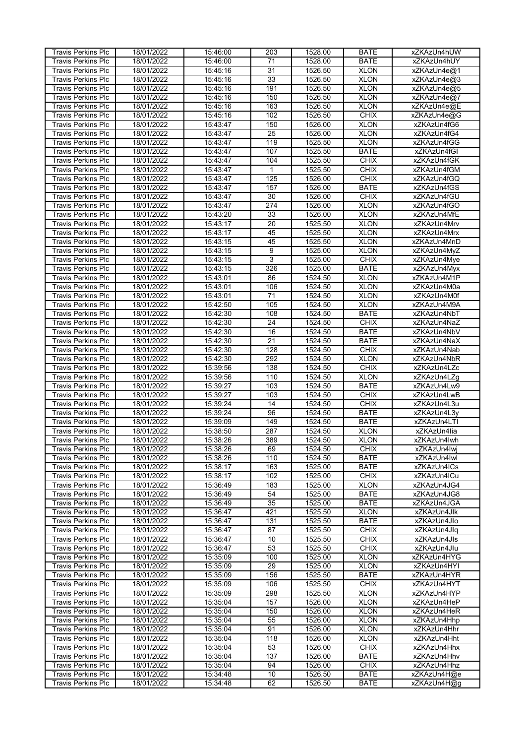| <b>Travis Perkins Plc</b> | 18/01/2022 | 15:46:00 | 203             | 1528.00 | <b>BATE</b> | xZKAzUn4hUW |
|---------------------------|------------|----------|-----------------|---------|-------------|-------------|
|                           |            |          |                 |         |             |             |
| <b>Travis Perkins Plc</b> | 18/01/2022 | 15:46:00 | 71              | 1528.00 | <b>BATE</b> | xZKAzUn4hUY |
| <b>Travis Perkins Plc</b> | 18/01/2022 | 15:45:16 | 31              | 1526.50 | <b>XLON</b> | xZKAzUn4e@1 |
| <b>Travis Perkins Plc</b> | 18/01/2022 | 15:45:16 | 33              | 1526.50 | <b>XLON</b> | xZKAzUn4e@3 |
| <b>Travis Perkins Plc</b> | 18/01/2022 | 15:45:16 | 191             | 1526.50 | <b>XLON</b> | xZKAzUn4e@5 |
| <b>Travis Perkins Plc</b> |            |          |                 |         | <b>XLON</b> |             |
|                           | 18/01/2022 | 15:45:16 | 150             | 1526.50 |             | xZKAzUn4e@7 |
| Travis Perkins Plc        | 18/01/2022 | 15:45:16 | 163             | 1526.50 | <b>XLON</b> | xZKAzUn4e@E |
| <b>Travis Perkins Plc</b> | 18/01/2022 | 15:45:16 | 102             | 1526.50 | <b>CHIX</b> | xZKAzUn4e@G |
| <b>Travis Perkins Plc</b> | 18/01/2022 | 15:43:47 | 150             | 1526.00 | <b>XLON</b> | xZKAzUn4fG6 |
| <b>Travis Perkins Plc</b> | 18/01/2022 | 15:43:47 | 25              | 1526.00 | <b>XLON</b> | xZKAzUn4fG4 |
|                           |            |          |                 |         |             |             |
| <b>Travis Perkins Plc</b> | 18/01/2022 | 15:43:47 | 119             | 1525.50 | <b>XLON</b> | xZKAzUn4fGG |
| <b>Travis Perkins Plc</b> | 18/01/2022 | 15:43:47 | 107             | 1525.50 | <b>BATE</b> | xZKAzUn4fGI |
| <b>Travis Perkins Plc</b> | 18/01/2022 | 15:43:47 | 104             | 1525.50 | <b>CHIX</b> | xZKAzUn4fGK |
| <b>Travis Perkins Plc</b> | 18/01/2022 | 15:43:47 | 1               | 1525.50 | <b>CHIX</b> | xZKAzUn4fGM |
|                           |            |          |                 |         |             |             |
| <b>Travis Perkins Plc</b> | 18/01/2022 | 15:43:47 | 125             | 1526.00 | <b>CHIX</b> | xZKAzUn4fGQ |
| <b>Travis Perkins Plc</b> | 18/01/2022 | 15:43:47 | 157             | 1526.00 | <b>BATE</b> | xZKAzUn4fGS |
| Travis Perkins Plc        | 18/01/2022 | 15:43:47 | 30              | 1526.00 | <b>CHIX</b> | xZKAzUn4fGU |
| <b>Travis Perkins Plc</b> | 18/01/2022 | 15:43:47 | 274             | 1526.00 | <b>XLON</b> | xZKAzUn4fGO |
| <b>Travis Perkins Plc</b> | 18/01/2022 | 15:43:20 | 33              | 1526.00 | <b>XLON</b> | xZKAzUn4MfE |
|                           |            |          |                 |         |             |             |
| Travis Perkins Plc        | 18/01/2022 | 15:43:17 | 20              | 1525.50 | <b>XLON</b> | xZKAzUn4Mrv |
| <b>Travis Perkins Plc</b> | 18/01/2022 | 15:43:17 | 45              | 1525.50 | <b>XLON</b> | xZKAzUn4Mrx |
| <b>Travis Perkins Plc</b> | 18/01/2022 | 15:43:15 | 45              | 1525.50 | <b>XLON</b> | xZKAzUn4MnD |
| <b>Travis Perkins Plc</b> | 18/01/2022 | 15:43:15 | $\overline{9}$  | 1525.00 | <b>XLON</b> | xZKAzUn4MyZ |
|                           |            |          |                 | 1525.00 |             |             |
| <b>Travis Perkins Plc</b> | 18/01/2022 | 15:43:15 | $\overline{3}$  |         | <b>CHIX</b> | xZKAzUn4Mye |
| <b>Travis Perkins Plc</b> | 18/01/2022 | 15:43:15 | 326             | 1525.00 | <b>BATE</b> | xZKAzUn4Myx |
| <b>Travis Perkins Plc</b> | 18/01/2022 | 15:43:01 | 86              | 1524.50 | <b>XLON</b> | xZKAzUn4M1P |
| Travis Perkins Plc        | 18/01/2022 | 15:43:01 | 106             | 1524.50 | <b>XLON</b> | xZKAzUn4M0a |
| <b>Travis Perkins Plc</b> | 18/01/2022 | 15:43:01 | $\overline{71}$ | 1524.50 | <b>XLON</b> | xZKAzUn4M0f |
|                           |            |          |                 |         |             |             |
| <b>Travis Perkins Plc</b> | 18/01/2022 | 15:42:50 | 105             | 1524.50 | <b>XLON</b> | xZKAzUn4M9A |
| Travis Perkins Plc        | 18/01/2022 | 15:42:30 | 108             | 1524.50 | <b>BATE</b> | xZKAzUn4NbT |
| <b>Travis Perkins Plc</b> | 18/01/2022 | 15:42:30 | 24              | 1524.50 | <b>CHIX</b> | xZKAzUn4NaZ |
| <b>Travis Perkins Plc</b> | 18/01/2022 | 15:42:30 | $\overline{16}$ | 1524.50 | <b>BATE</b> | xZKAzUn4NbV |
|                           |            |          |                 |         |             |             |
| <b>Travis Perkins Plc</b> | 18/01/2022 | 15:42:30 | $\overline{21}$ | 1524.50 | <b>BATE</b> | xZKAzUn4NaX |
| <b>Travis Perkins Plc</b> | 18/01/2022 | 15:42:30 | 128             | 1524.50 | <b>CHIX</b> | xZKAzUn4Nab |
| <b>Travis Perkins Plc</b> | 18/01/2022 | 15:42:30 | 292             | 1524.50 | <b>XLON</b> | xZKAzUn4NbR |
| <b>Travis Perkins Plc</b> | 18/01/2022 | 15:39:56 | 138             | 1524.50 | <b>CHIX</b> | xZKAzUn4LZc |
| Travis Perkins Plc        | 18/01/2022 | 15:39:56 | 110             | 1524.50 | <b>XLON</b> | xZKAzUn4LZq |
|                           |            |          |                 |         |             |             |
| <b>Travis Perkins Plc</b> | 18/01/2022 | 15:39:27 | 103             | 1524.50 | <b>BATE</b> | xZKAzUn4Lw9 |
| <b>Travis Perkins Plc</b> | 18/01/2022 | 15:39:27 | 103             | 1524.50 | <b>CHIX</b> | xZKAzUn4LwB |
| <b>Travis Perkins Plc</b> | 18/01/2022 | 15:39:24 | 14              | 1524.50 | <b>CHIX</b> | xZKAzUn4L3u |
| <b>Travis Perkins Plc</b> | 18/01/2022 | 15:39:24 | 96              | 1524.50 | <b>BATE</b> | xZKAzUn4L3y |
|                           | 18/01/2022 | 15:39:09 | 149             | 1524.50 | <b>BATE</b> |             |
| <b>Travis Perkins Plc</b> |            |          |                 |         |             | xZKAzUn4LTI |
| Travis Perkins Plc        | 18/01/2022 | 15:38:50 | 287             | 1524.50 | <b>XLON</b> | xZKAzUn4lia |
| <b>Travis Perkins Plc</b> | 18/01/2022 | 15:38:26 | 389             | 1524.50 | <b>XLON</b> | xZKAzUn4lwh |
| <b>Travis Perkins Plc</b> | 18/01/2022 | 15:38:26 | 69              | 1524.50 | <b>CHIX</b> | xZKAzUn4lwj |
| <b>Travis Perkins Plc</b> | 18/01/2022 | 15:38:26 | 110             | 1524.50 | <b>BATE</b> | xZKAzUn4lwl |
|                           |            |          |                 |         |             |             |
| Travis Perkins Plc        | 18/01/2022 | 15:38:17 | 163             | 1525.00 | <b>BATE</b> | xZKAzUn4ICs |
| <b>Travis Perkins Plc</b> | 18/01/2022 | 15:38:17 | 102             | 1525.00 | <b>CHIX</b> | xZKAzUn4ICu |
| <b>Travis Perkins Plc</b> | 18/01/2022 | 15:36:49 | 183             | 1525.00 | <b>XLON</b> | xZKAzUn4JG4 |
| <b>Travis Perkins Plc</b> | 18/01/2022 | 15:36:49 | 54              | 1525.00 | <b>BATE</b> | xZKAzUn4JG8 |
| <b>Travis Perkins Plc</b> | 18/01/2022 | 15:36:49 | 35              | 1525.00 | <b>BATE</b> | xZKAzUn4JGA |
| <b>Travis Perkins Plc</b> |            | 15:36:47 | 421             |         | <b>XLON</b> | xZKAzUn4Jlk |
|                           | 18/01/2022 |          |                 | 1525.50 |             |             |
| <b>Travis Perkins Plc</b> | 18/01/2022 | 15:36:47 | 131             | 1525.50 | <b>BATE</b> | xZKAzUn4Jlo |
| <b>Travis Perkins Plc</b> | 18/01/2022 | 15:36:47 | 87              | 1525.50 | <b>CHIX</b> | xZKAzUn4Jlq |
| <b>Travis Perkins Plc</b> | 18/01/2022 | 15:36:47 | 10              | 1525.50 | <b>CHIX</b> | xZKAzUn4JIs |
| <b>Travis Perkins Plc</b> | 18/01/2022 | 15:36:47 | 53              | 1525.50 | <b>CHIX</b> | xZKAzUn4Jlu |
| <b>Travis Perkins Plc</b> | 18/01/2022 | 15:35:09 | 100             | 1525.00 | <b>XLON</b> | xZKAzUn4HYG |
|                           |            |          |                 |         |             |             |
| <b>Travis Perkins Plc</b> | 18/01/2022 | 15:35:09 | 29              | 1525.00 | <b>XLON</b> | xZKAzUn4HYI |
| <b>Travis Perkins Plc</b> | 18/01/2022 | 15:35:09 | 156             | 1525.50 | <b>BATE</b> | xZKAzUn4HYR |
| <b>Travis Perkins Plc</b> | 18/01/2022 | 15:35:09 | 106             | 1525.50 | <b>CHIX</b> | xZKAzUn4HYT |
| <b>Travis Perkins Plc</b> | 18/01/2022 | 15:35:09 | 298             | 1525.50 | <b>XLON</b> | xZKAzUn4HYP |
| <b>Travis Perkins Plc</b> |            |          |                 |         | <b>XLON</b> | xZKAzUn4HeP |
|                           | 18/01/2022 | 15:35:04 | 157             | 1526.00 |             |             |
| <b>Travis Perkins Plc</b> | 18/01/2022 | 15:35:04 | 150             | 1526.00 | <b>XLON</b> | xZKAzUn4HeR |
| <b>Travis Perkins Plc</b> | 18/01/2022 | 15:35:04 | 55              | 1526.00 | <b>XLON</b> | xZKAzUn4Hhp |
| <b>Travis Perkins Plc</b> | 18/01/2022 | 15:35:04 | 91              | 1526.00 | <b>XLON</b> | xZKAzUn4Hhr |
| <b>Travis Perkins Plc</b> | 18/01/2022 | 15:35:04 | 118             | 1526.00 | <b>XLON</b> | xZKAzUn4Hht |
|                           |            |          |                 |         |             |             |
| Travis Perkins Plc        | 18/01/2022 | 15:35:04 | 53              | 1526.00 | <b>CHIX</b> | xZKAzUn4Hhx |
| <b>Travis Perkins Plc</b> | 18/01/2022 | 15:35:04 | 137             | 1526.00 | <b>BATE</b> | xZKAzUn4Hhv |
| <b>Travis Perkins Plc</b> | 18/01/2022 | 15:35:04 | 94              | 1526.00 | <b>CHIX</b> | xZKAzUn4Hhz |
| <b>Travis Perkins Plc</b> | 18/01/2022 | 15:34:48 | 10              | 1526.50 | <b>BATE</b> | xZKAzUn4H@e |
| Travis Perkins Plc        | 18/01/2022 | 15:34:48 | 62              | 1526.50 | <b>BATE</b> | xZKAzUn4H@g |
|                           |            |          |                 |         |             |             |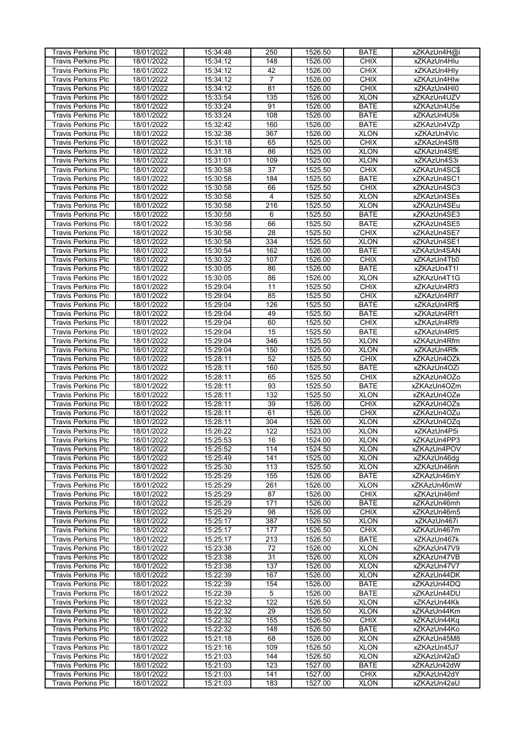| <b>Travis Perkins Plc</b> | 18/01/2022 | 15:34:48 | 250            | 1526.50 | <b>BATE</b> | xZKAzUn4H@i  |
|---------------------------|------------|----------|----------------|---------|-------------|--------------|
| <b>Travis Perkins Plc</b> |            |          | 148            |         | <b>CHIX</b> |              |
|                           | 18/01/2022 | 15:34:12 |                | 1526.00 |             | xZKAzUn4Hlu  |
| <b>Travis Perkins Plc</b> | 18/01/2022 | 15:34:12 | 42             | 1526.00 | <b>CHIX</b> | xZKAzUn4Hly  |
| <b>Travis Perkins Plc</b> | 18/01/2022 | 15:34:12 | $\overline{7}$ | 1526.00 | <b>CHIX</b> | xZKAzUn4Hlw  |
| <b>Travis Perkins Plc</b> | 18/01/2022 | 15:34:12 | 81             | 1526.00 | <b>CHIX</b> | xZKAzUn4HI0  |
| <b>Travis Perkins Plc</b> | 18/01/2022 | 15:33:54 | 135            | 1526.00 | <b>XLON</b> | xZKAzUn4UZV  |
|                           |            |          |                |         |             |              |
| Travis Perkins Plc        | 18/01/2022 | 15:33:24 | 91             | 1526.00 | <b>BATE</b> | xZKAzUn4U5e  |
| Travis Perkins Plc        | 18/01/2022 | 15:33:24 | 108            | 1526.00 | <b>BATE</b> | xZKAzUn4U5k  |
| <b>Travis Perkins Plc</b> | 18/01/2022 | 15:32:42 | 160            | 1526.00 | <b>BATE</b> | xZKAzUn4VZp  |
| <b>Travis Perkins Plc</b> | 18/01/2022 | 15:32:38 | 367            | 1526.00 | <b>XLON</b> | xZKAzUn4Vic  |
| Travis Perkins Plc        | 18/01/2022 | 15:31:18 | 65             | 1525.00 | <b>CHIX</b> | xZKAzUn4Sf8  |
|                           |            |          | 86             |         | <b>XLON</b> |              |
| <b>Travis Perkins Plc</b> | 18/01/2022 | 15:31:18 |                | 1525.00 |             | xZKAzUn4SfE  |
| <b>Travis Perkins Plc</b> | 18/01/2022 | 15:31:01 | 109            | 1525.00 | <b>XLON</b> | xZKAzUn4S3i  |
| <b>Travis Perkins Plc</b> | 18/01/2022 | 15:30:58 | 37             | 1525.50 | <b>CHIX</b> | xZKAzUn4SC\$ |
| <b>Travis Perkins Plc</b> | 18/01/2022 | 15:30:58 | 184            | 1525.50 | <b>BATE</b> | xZKAzUn4SC1  |
| <b>Travis Perkins Plc</b> | 18/01/2022 | 15:30:58 | 66             | 1525.50 | <b>CHIX</b> | xZKAzUn4SC3  |
| Travis Perkins Plc        | 18/01/2022 | 15:30:58 | 4              | 1525.50 | <b>XLON</b> | xZKAzUn4SEs  |
| <b>Travis Perkins Plc</b> | 18/01/2022 | 15:30:58 | 216            | 1525.50 | <b>XLON</b> | xZKAzUn4SEu  |
|                           |            |          |                |         |             |              |
| <b>Travis Perkins Plc</b> | 18/01/2022 | 15:30:58 | 6              | 1525.50 | <b>BATE</b> | xZKAzUn4SE3  |
| Travis Perkins Plc        | 18/01/2022 | 15:30:58 | 66             | 1525.50 | <b>BATE</b> | xZKAzUn4SE5  |
| Travis Perkins Plc        | 18/01/2022 | 15:30:58 | 28             | 1525.50 | <b>CHIX</b> | xZKAzUn4SE7  |
| <b>Travis Perkins Plc</b> | 18/01/2022 | 15:30:58 | 334            | 1525.50 | <b>XLON</b> | xZKAzUn4SE1  |
| <b>Travis Perkins Plc</b> | 18/01/2022 | 15:30:54 | 162            | 1526.00 | <b>BATE</b> | xZKAzUn4SAN  |
|                           |            |          |                | 1526.00 | <b>CHIX</b> | xZKAzUn4Tb0  |
| <b>Travis Perkins Plc</b> | 18/01/2022 | 15:30:32 | 107            |         |             |              |
| <b>Travis Perkins Plc</b> | 18/01/2022 | 15:30:05 | 86             | 1526.00 | <b>BATE</b> | xZKAzUn4T1I  |
| <b>Travis Perkins Plc</b> | 18/01/2022 | 15:30:05 | 86             | 1526.00 | <b>XLON</b> | xZKAzUn4T1G  |
| <b>Travis Perkins Plc</b> | 18/01/2022 | 15:29:04 | 11             | 1525.50 | <b>CHIX</b> | xZKAzUn4Rf3  |
| <b>Travis Perkins Plc</b> | 18/01/2022 | 15:29:04 | 85             | 1525.50 | <b>CHIX</b> | xZKAzUn4Rf7  |
| <b>Travis Perkins Plc</b> | 18/01/2022 | 15:29:04 | 126            | 1525.50 | <b>BATE</b> | xZKAzUn4Rf\$ |
|                           |            |          | 49             | 1525.50 | <b>BATE</b> |              |
| <b>Travis Perkins Plc</b> | 18/01/2022 | 15:29:04 |                |         |             | xZKAzUn4Rf1  |
| Travis Perkins Plc        | 18/01/2022 | 15:29:04 | 60             | 1525.50 | <b>CHIX</b> | xZKAzUn4Rf9  |
| <b>Travis Perkins Plc</b> | 18/01/2022 | 15:29:04 | 15             | 1525.50 | <b>BATE</b> | xZKAzUn4Rf5  |
| <b>Travis Perkins Plc</b> | 18/01/2022 | 15:29:04 | 346            | 1525.50 | <b>XLON</b> | xZKAzUn4Rfm  |
| Travis Perkins Plc        | 18/01/2022 | 15:29:04 | 150            | 1525.00 | <b>XLON</b> | xZKAzUn4Rfk  |
| Travis Perkins Plc        | 18/01/2022 | 15:28:11 | 52             | 1525.50 | <b>CHIX</b> | xZKAzUn4OZk  |
|                           |            | 15:28:11 | 160            | 1525.50 | <b>BATE</b> |              |
| <b>Travis Perkins Plc</b> | 18/01/2022 |          |                |         |             | xZKAzUn4OZi  |
| <b>Travis Perkins Plc</b> | 18/01/2022 | 15:28:11 | 65             | 1525.50 | <b>CHIX</b> | xZKAzUn4OZo  |
| <b>Travis Perkins Plc</b> | 18/01/2022 | 15:28:11 | 93             | 1525.50 | <b>BATE</b> | xZKAzUn4OZm  |
| <b>Travis Perkins Plc</b> | 18/01/2022 | 15:28:11 | 132            | 1525.50 | <b>XLON</b> | xZKAzUn4OZe  |
| Travis Perkins Plc        | 18/01/2022 | 15:28:11 | 39             | 1526.00 | <b>CHIX</b> | xZKAzUn4OZs  |
| Travis Perkins Plc        | 18/01/2022 | 15:28:11 | 61             | 1526.00 | <b>CHIX</b> | xZKAzUn4OZu  |
| <b>Travis Perkins Plc</b> | 18/01/2022 | 15:28:11 | 304            | 1526.00 | <b>XLON</b> | xZKAzUn4OZq  |
|                           |            |          |                |         |             |              |
| <b>Travis Perkins Plc</b> | 18/01/2022 | 15:26:22 | 122            | 1523.00 | <b>XLON</b> | xZKAzUn4P5i  |
| <b>Travis Perkins Plc</b> | 18/01/2022 | 15:25:53 | 16             | 1524.00 | <b>XLON</b> | xZKAzUn4PP3  |
| <b>Travis Perkins Plc</b> | 18/01/2022 | 15:25:52 | 114            | 1524.50 | <b>XLON</b> | xZKAzUn4POV  |
| <b>Travis Perkins Plc</b> | 18/01/2022 | 15:25:49 | 141            | 1525.00 | <b>XLON</b> | xZKAzUn46dq  |
| Travis Perkins Plc        | 18/01/2022 | 15:25:30 | 113            | 1525.50 | <b>XLON</b> | xZKAzUn46nh  |
| <b>Travis Perkins Plc</b> | 18/01/2022 | 15:25:29 | 155            | 1526.00 | <b>BATE</b> | xZKAzUn46mY  |
|                           |            |          |                |         |             |              |
| <b>Travis Perkins Plc</b> | 18/01/2022 | 15:25:29 | 261            | 1526.00 | <b>XLON</b> | xZKAzUn46mW  |
| <b>Travis Perkins Plc</b> | 18/01/2022 | 15:25:29 | 87             | 1526.00 | <b>CHIX</b> | xZKAzUn46mf  |
| <b>Travis Perkins Plc</b> | 18/01/2022 | 15:25:29 | 171            | 1526.00 | <b>BATE</b> | xZKAzUn46mh  |
| <b>Travis Perkins Plc</b> | 18/01/2022 | 15:25:29 | 98             | 1526.00 | <b>CHIX</b> | xZKAzUn46m5  |
| <b>Travis Perkins Plc</b> | 18/01/2022 | 15:25:17 | 387            | 1526.50 | <b>XLON</b> | xZKAzUn467i  |
| <b>Travis Perkins Plc</b> | 18/01/2022 | 15:25:17 | 177            | 1526.50 | <b>CHIX</b> | xZKAzUn467m  |
| <b>Travis Perkins Plc</b> | 18/01/2022 | 15:25:17 | 213            | 1526.50 | <b>BATE</b> | xZKAzUn467k  |
|                           |            |          |                |         |             |              |
| <b>Travis Perkins Plc</b> | 18/01/2022 | 15:23:38 | 72             | 1526.00 | <b>XLON</b> | xZKAzUn47V9  |
| <b>Travis Perkins Plc</b> | 18/01/2022 | 15:23:38 | 31             | 1526.00 | <b>XLON</b> | xZKAzUn47VB  |
| <b>Travis Perkins Plc</b> | 18/01/2022 | 15:23:38 | 137            | 1526.00 | <b>XLON</b> | xZKAzUn47V7  |
| <b>Travis Perkins Plc</b> | 18/01/2022 | 15:22:39 | 167            | 1526.00 | <b>XLON</b> | xZKAzUn44DK  |
| <b>Travis Perkins Plc</b> | 18/01/2022 | 15:22:39 | 154            | 1526.00 | BATE        | xZKAzUn44DQ  |
| <b>Travis Perkins Plc</b> | 18/01/2022 | 15:22:39 | 5              | 1526.00 | <b>BATE</b> | xZKAzUn44DU  |
|                           |            |          |                |         |             |              |
| <b>Travis Perkins Plc</b> | 18/01/2022 | 15:22:32 | 122            | 1526.50 | <b>XLON</b> | xZKAzUn44Kk  |
| <b>Travis Perkins Plc</b> | 18/01/2022 | 15:22:32 | 29             | 1526.50 | <b>XLON</b> | xZKAzUn44Km  |
| <b>Travis Perkins Plc</b> | 18/01/2022 | 15:22:32 | 155            | 1526.50 | <b>CHIX</b> | xZKAzUn44Kq  |
| <b>Travis Perkins Plc</b> | 18/01/2022 | 15:22:32 | 148            | 1526.50 | <b>BATE</b> | xZKAzUn44Ko  |
| <b>Travis Perkins Plc</b> | 18/01/2022 | 15:21:18 | 68             | 1526.00 | <b>XLON</b> | xZKAzUn45M8  |
| Travis Perkins Plc        | 18/01/2022 | 15:21:16 | 109            | 1526.50 | <b>XLON</b> | xZKAzUn45J7  |
|                           |            |          | 144            |         |             |              |
| <b>Travis Perkins Plc</b> | 18/01/2022 | 15:21:03 |                | 1526.50 | <b>XLON</b> | xZKAzUn42aD  |
| <b>Travis Perkins Plc</b> | 18/01/2022 | 15:21:03 | 123            | 1527.00 | <b>BATE</b> | xZKAzUn42dW  |
| <b>Travis Perkins Plc</b> | 18/01/2022 | 15:21:03 | 141            | 1527.00 | <b>CHIX</b> | xZKAzUn42dY  |
| Travis Perkins Plc        | 18/01/2022 | 15:21:03 | 183            | 1527.00 | <b>XLON</b> | xZKAzUn42aU  |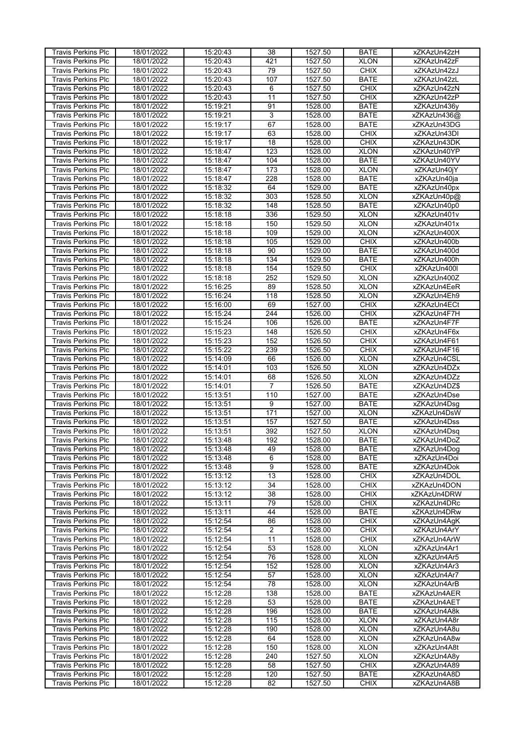| <b>Travis Perkins Plc</b> | 18/01/2022 | 15:20:43 | 38              | 1527.50 | <b>BATE</b> | xZKAzUn42zH  |
|---------------------------|------------|----------|-----------------|---------|-------------|--------------|
|                           |            |          |                 |         |             | xZKAzUn42zF  |
| <b>Travis Perkins Plc</b> | 18/01/2022 | 15:20:43 | 421             | 1527.50 | <b>XLON</b> |              |
| Travis Perkins Plc        | 18/01/2022 | 15:20:43 | 79              | 1527.50 | <b>CHIX</b> | xZKAzUn42zJ  |
| Travis Perkins Plc        | 18/01/2022 | 15:20:43 | 107             | 1527.50 | <b>BATE</b> | xZKAzUn42zL  |
| <b>Travis Perkins Plc</b> | 18/01/2022 | 15:20:43 | 6               | 1527.50 | <b>CHIX</b> | xZKAzUn42zN  |
| <b>Travis Perkins Plc</b> | 18/01/2022 | 15:20:43 | $\overline{11}$ | 1527.50 | <b>CHIX</b> | xZKAzUn42zP  |
|                           |            |          |                 |         |             |              |
| Travis Perkins Plc        | 18/01/2022 | 15:19:21 | 91              | 1528.00 | <b>BATE</b> | xZKAzUn436y  |
| Travis Perkins Plc        | 18/01/2022 | 15:19:21 | 3               | 1528.00 | <b>BATE</b> | xZKAzUn436@  |
| <b>Travis Perkins Plc</b> | 18/01/2022 | 15:19:17 | 67              | 1528.00 | <b>BATE</b> | xZKAzUn43DG  |
| Travis Perkins Plc        | 18/01/2022 | 15:19:17 | 63              | 1528.00 | <b>CHIX</b> | xZKAzUn43DI  |
| <b>Travis Perkins Plc</b> | 18/01/2022 | 15:19:17 | 18              | 1528.00 | <b>CHIX</b> | xZKAzUn43DK  |
|                           | 18/01/2022 | 15:18:47 | 123             |         | <b>XLON</b> | xZKAzUn40YP  |
| <b>Travis Perkins Plc</b> |            |          |                 | 1528.00 |             |              |
| <b>Travis Perkins Plc</b> | 18/01/2022 | 15:18:47 | 104             | 1528.00 | <b>BATE</b> | xZKAzUn40YV  |
| <b>Travis Perkins Plc</b> | 18/01/2022 | 15:18:47 | 173             | 1528.00 | <b>XLON</b> | xZKAzUn40jY  |
| <b>Travis Perkins Plc</b> | 18/01/2022 | 15:18:47 | 228             | 1528.00 | <b>BATE</b> | xZKAzUn40ja  |
| <b>Travis Perkins Plc</b> | 18/01/2022 | 15:18:32 | 64              | 1529.00 | <b>BATE</b> | xZKAzUn40px  |
| Travis Perkins Plc        | 18/01/2022 | 15:18:32 | 303             | 1528.50 | <b>XLON</b> | xZKAzUn40p@  |
| <b>Travis Perkins Plc</b> | 18/01/2022 | 15:18:32 | 148             | 1528.50 | <b>BATE</b> | xZKAzUn40p0  |
|                           |            |          |                 |         |             |              |
| <b>Travis Perkins Plc</b> | 18/01/2022 | 15:18:18 | 336             | 1529.50 | <b>XLON</b> | xZKAzUn401v  |
| Travis Perkins Plc        | 18/01/2022 | 15:18:18 | 150             | 1529.50 | <b>XLON</b> | xZKAzUn401x  |
| <b>Travis Perkins Plc</b> | 18/01/2022 | 15:18:18 | 109             | 1529.00 | <b>XLON</b> | xZKAzUn400X  |
| <b>Travis Perkins Plc</b> | 18/01/2022 | 15:18:18 | 105             | 1529.00 | <b>CHIX</b> | xZKAzUn400b  |
| <b>Travis Perkins Plc</b> | 18/01/2022 | 15:18:18 | 90              | 1529.00 | <b>BATE</b> | xZKAzUn400d  |
| <b>Travis Perkins Plc</b> |            |          |                 |         |             |              |
|                           | 18/01/2022 | 15:18:18 | 134             | 1529.50 | <b>BATE</b> | xZKAzUn400h  |
| <b>Travis Perkins Plc</b> | 18/01/2022 | 15:18:18 | 154             | 1529.50 | <b>CHIX</b> | xZKAzUn400I  |
| <b>Travis Perkins Plc</b> | 18/01/2022 | 15:18:18 | 252             | 1529.50 | <b>XLON</b> | xZKAzUn400Z  |
| <b>Travis Perkins Plc</b> | 18/01/2022 | 15:16:25 | 89              | 1528.50 | <b>XLON</b> | xZKAzUn4EeR  |
| <b>Travis Perkins Plc</b> | 18/01/2022 | 15:16:24 | 118             | 1528.50 | <b>XLON</b> | xZKAzUn4Eh9  |
| <b>Travis Perkins Plc</b> | 18/01/2022 | 15:16:00 | 69              | 1527.00 | <b>CHIX</b> | xZKAzUn4ECt  |
|                           |            |          | 244             | 1526.00 | <b>CHIX</b> |              |
| Travis Perkins Plc        | 18/01/2022 | 15:15:24 |                 |         |             | xZKAzUn4F7H  |
| <b>Travis Perkins Plc</b> | 18/01/2022 | 15:15:24 | 106             | 1526.00 | <b>BATE</b> | xZKAzUn4F7F  |
| <b>Travis Perkins Plc</b> | 18/01/2022 | 15:15:23 | 148             | 1526.50 | <b>CHIX</b> | xZKAzUn4F6x  |
| <b>Travis Perkins Plc</b> | 18/01/2022 | 15:15:23 | 152             | 1526.50 | <b>CHIX</b> | xZKAzUn4F61  |
| <b>Travis Perkins Plc</b> | 18/01/2022 | 15:15:22 | 239             | 1526.50 | <b>CHIX</b> | xZKAzUn4F16  |
| Travis Perkins Plc        | 18/01/2022 | 15:14:09 | 66              | 1526.00 | <b>XLON</b> | xZKAzUn4CSL  |
|                           |            |          | 103             | 1526.50 | <b>XLON</b> | xZKAzUn4DZx  |
| <b>Travis Perkins Plc</b> | 18/01/2022 | 15:14:01 |                 |         |             |              |
| <b>Travis Perkins Plc</b> | 18/01/2022 | 15:14:01 | 68              | 1526.50 | <b>XLON</b> | xZKAzUn4DZz  |
| <b>Travis Perkins Plc</b> | 18/01/2022 | 15:14:01 | $\overline{7}$  | 1526.50 | <b>BATE</b> | xZKAzUn4DZ\$ |
| <b>Travis Perkins Plc</b> | 18/01/2022 | 15:13:51 | 110             | 1527.00 | <b>BATE</b> | xZKAzUn4Dse  |
| <b>Travis Perkins Plc</b> | 18/01/2022 | 15:13:51 | 9               | 1527.00 | <b>BATE</b> | xZKAzUn4Dsg  |
| <b>Travis Perkins Plc</b> | 18/01/2022 | 15:13:51 | 171             | 1527.00 | <b>XLON</b> | xZKAzUn4DsW  |
| <b>Travis Perkins Plc</b> | 18/01/2022 | 15:13:51 | 157             | 1527.50 | <b>BATE</b> | xZKAzUn4Dss  |
|                           |            |          |                 |         |             |              |
| <b>Travis Perkins Plc</b> | 18/01/2022 | 15:13:51 | 392             | 1527.50 | <b>XLON</b> | xZKAzUn4Dsq  |
| <b>Travis Perkins Plc</b> | 18/01/2022 | 15:13:48 | 192             | 1528.00 | <b>BATE</b> | xZKAzUn4DoZ  |
| <b>Travis Perkins Plc</b> | 18/01/2022 | 15:13:48 | 49              | 1528.00 | <b>BATE</b> | xZKAzUn4Dog  |
| <b>Travis Perkins Plc</b> | 18/01/2022 | 15:13:48 | 6               | 1528.00 | <b>BATE</b> | xZKAzUn4Doi  |
| Travis Perkins Plc        | 18/01/2022 | 15:13:48 | 9               | 1528.00 | <b>BATE</b> | xZKAzUn4Dok  |
| <b>Travis Perkins Plc</b> | 18/01/2022 | 15:13:12 | 13              | 1528.00 | <b>CHIX</b> | xZKAzUn4DOL  |
|                           |            |          |                 |         |             |              |
| <b>Travis Perkins Plc</b> | 18/01/2022 | 15:13:12 | 34              | 1528.00 | <b>CHIX</b> | xZKAzUn4DON  |
| <b>Travis Perkins Plc</b> | 18/01/2022 | 15:13:12 | 38              | 1528.00 | <b>CHIX</b> | xZKAzUn4DRW  |
| <b>Travis Perkins Plc</b> | 18/01/2022 | 15:13:11 | 79              | 1528.00 | <b>CHIX</b> | xZKAzUn4DRc  |
| <b>Travis Perkins Plc</b> | 18/01/2022 | 15:13:11 | 44              | 1528.00 | <b>BATE</b> | xZKAzUn4DRw  |
| <b>Travis Perkins Plc</b> | 18/01/2022 | 15:12:54 | 86              | 1528.00 | <b>CHIX</b> | xZKAzUn4AgK  |
| <b>Travis Perkins Plc</b> | 18/01/2022 | 15:12:54 | $\overline{2}$  | 1528.00 | <b>CHIX</b> | xZKAzUn4ArY  |
| <b>Travis Perkins Plc</b> | 18/01/2022 | 15:12:54 | $\overline{11}$ | 1528.00 | <b>CHIX</b> | xZKAzUn4ArW  |
|                           |            |          |                 |         |             |              |
| <b>Travis Perkins Plc</b> | 18/01/2022 | 15:12:54 | 53              | 1528.00 | <b>XLON</b> | xZKAzUn4Ar1  |
| Travis Perkins Plc        | 18/01/2022 | 15:12:54 | 76              | 1528.00 | <b>XLON</b> | xZKAzUn4Ar5  |
| <b>Travis Perkins Plc</b> | 18/01/2022 | 15:12:54 | 152             | 1528.00 | <b>XLON</b> | xZKAzUn4Ar3  |
| <b>Travis Perkins Plc</b> | 18/01/2022 | 15:12:54 | 57              | 1528.00 | <b>XLON</b> | xZKAzUn4Ar7  |
| <b>Travis Perkins Plc</b> | 18/01/2022 | 15:12:54 | 78              | 1528.00 | <b>XLON</b> | xZKAzUn4ArB  |
| <b>Travis Perkins Plc</b> | 18/01/2022 | 15:12:28 | 138             | 1528.00 | <b>BATE</b> | xZKAzUn4AER  |
| <b>Travis Perkins Plc</b> |            |          | 53              |         | <b>BATE</b> | xZKAzUn4AET  |
|                           | 18/01/2022 | 15:12:28 |                 | 1528.00 |             |              |
| <b>Travis Perkins Plc</b> | 18/01/2022 | 15:12:28 | 196             | 1528.00 | <b>BATE</b> | xZKAzUn4A8k  |
| <b>Travis Perkins Plc</b> | 18/01/2022 | 15:12:28 | 115             | 1528.00 | <b>XLON</b> | xZKAzUn4A8r  |
| <b>Travis Perkins Plc</b> | 18/01/2022 | 15:12:28 | 190             | 1528.00 | <b>XLON</b> | xZKAzUn4A8u  |
| <b>Travis Perkins Plc</b> | 18/01/2022 | 15:12:28 | 64              | 1528.00 | <b>XLON</b> | xZKAzUn4A8w  |
| Travis Perkins Plc        | 18/01/2022 | 15:12:28 | 150             | 1528.00 | <b>XLON</b> | xZKAzUn4A8t  |
| <b>Travis Perkins Plc</b> | 18/01/2022 | 15:12:28 | 240             | 1527.50 | <b>XLON</b> | xZKAzUn4A8y  |
|                           |            |          |                 |         |             |              |
| <b>Travis Perkins Plc</b> | 18/01/2022 | 15:12:28 | 58              | 1527.50 | <b>CHIX</b> | xZKAzUn4A89  |
| <b>Travis Perkins Plc</b> | 18/01/2022 | 15:12:28 | 120             | 1527.50 | <b>BATE</b> | xZKAzUn4A8D  |
| Travis Perkins Plc        | 18/01/2022 | 15:12:28 | 82              | 1527.50 | <b>CHIX</b> | xZKAzUn4A8B  |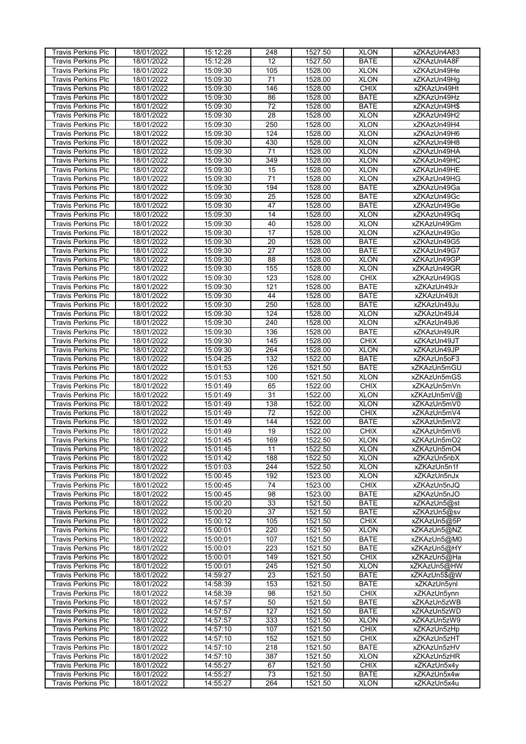| <b>Travis Perkins Plc</b> | 18/01/2022 | 15:12:28 | 248             | 1527.50 | <b>XLON</b> | xZKAzUn4A83  |
|---------------------------|------------|----------|-----------------|---------|-------------|--------------|
| <b>Travis Perkins Plc</b> | 18/01/2022 | 15:12:28 | $\overline{12}$ |         | <b>BATE</b> | xZKAzUn4A8F  |
|                           |            |          |                 | 1527.50 |             |              |
| Travis Perkins Plc        | 18/01/2022 | 15:09:30 | 105             | 1528.00 | <b>XLON</b> | xZKAzUn49He  |
| <b>Travis Perkins Plc</b> | 18/01/2022 | 15:09:30 | 71              | 1528.00 | <b>XLON</b> | xZKAzUn49Hq  |
| <b>Travis Perkins Plc</b> | 18/01/2022 | 15:09:30 | 146             | 1528.00 | <b>CHIX</b> | xZKAzUn49Ht  |
| <b>Travis Perkins Plc</b> | 18/01/2022 | 15:09:30 | 86              | 1528.00 | <b>BATE</b> | xZKAzUn49Hz  |
|                           |            |          |                 |         |             |              |
| Travis Perkins Plc        | 18/01/2022 | 15:09:30 | 72              | 1528.00 | <b>BATE</b> | xZKAzUn49H\$ |
| Travis Perkins Plc        | 18/01/2022 | 15:09:30 | $\overline{28}$ | 1528.00 | <b>XLON</b> | xZKAzUn49H2  |
| <b>Travis Perkins Plc</b> | 18/01/2022 | 15:09:30 | 250             | 1528.00 | <b>XLON</b> | xZKAzUn49H4  |
| <b>Travis Perkins Plc</b> | 18/01/2022 | 15:09:30 | 124             | 1528.00 | <b>XLON</b> | xZKAzUn49H6  |
| <b>Travis Perkins Plc</b> | 18/01/2022 | 15:09:30 | 430             | 1528.00 | <b>XLON</b> | xZKAzUn49H8  |
|                           |            |          |                 |         |             |              |
| <b>Travis Perkins Plc</b> | 18/01/2022 | 15:09:30 | 71              | 1528.00 | <b>XLON</b> | xZKAzUn49HA  |
| <b>Travis Perkins Plc</b> | 18/01/2022 | 15:09:30 | 349             | 1528.00 | <b>XLON</b> | xZKAzUn49HC  |
| <b>Travis Perkins Plc</b> | 18/01/2022 | 15:09:30 | 15              | 1528.00 | <b>XLON</b> | xZKAzUn49HE  |
| <b>Travis Perkins Plc</b> | 18/01/2022 | 15:09:30 | $\overline{71}$ | 1528.00 | <b>XLON</b> | xZKAzUn49HG  |
| <b>Travis Perkins Plc</b> | 18/01/2022 | 15:09:30 | 194             | 1528.00 | <b>BATE</b> | xZKAzUn49Ga  |
| Travis Perkins Plc        | 18/01/2022 | 15:09:30 | 25              | 1528.00 | <b>BATE</b> | xZKAzUn49Gc  |
|                           |            |          | 47              |         | <b>BATE</b> |              |
| <b>Travis Perkins Plc</b> | 18/01/2022 | 15:09:30 |                 | 1528.00 |             | xZKAzUn49Ge  |
| <b>Travis Perkins Plc</b> | 18/01/2022 | 15:09:30 | 14              | 1528.00 | <b>XLON</b> | xZKAzUn49Gq  |
| Travis Perkins Plc        | 18/01/2022 | 15:09:30 | 40              | 1528.00 | <b>XLON</b> | xZKAzUn49Gm  |
| Travis Perkins Plc        | 18/01/2022 | 15:09:30 | 17              | 1528.00 | <b>XLON</b> | xZKAzUn49Go  |
| <b>Travis Perkins Plc</b> | 18/01/2022 | 15:09:30 | $\overline{20}$ | 1528.00 | <b>BATE</b> | xZKAzUn49G5  |
| <b>Travis Perkins Plc</b> | 18/01/2022 | 15:09:30 | 27              | 1528.00 | <b>BATE</b> | xZKAzUn49G7  |
| <b>Travis Perkins Plc</b> | 18/01/2022 | 15:09:30 | 88              | 1528.00 | <b>XLON</b> | xZKAzUn49GP  |
|                           |            |          |                 |         |             |              |
| <b>Travis Perkins Plc</b> | 18/01/2022 | 15:09:30 | 155             | 1528.00 | <b>XLON</b> | xZKAzUn49GR  |
| <b>Travis Perkins Plc</b> | 18/01/2022 | 15:09:30 | 123             | 1528.00 | <b>CHIX</b> | xZKAzUn49GS  |
| <b>Travis Perkins Plc</b> | 18/01/2022 | 15:09:30 | 121             | 1528.00 | <b>BATE</b> | xZKAzUn49Jr  |
| <b>Travis Perkins Plc</b> | 18/01/2022 | 15:09:30 | 44              | 1528.00 | <b>BATE</b> | xZKAzUn49Jt  |
| <b>Travis Perkins Plc</b> | 18/01/2022 | 15:09:30 | 250             | 1528.00 | <b>BATE</b> | xZKAzUn49Ju  |
| Travis Perkins Plc        | 18/01/2022 | 15:09:30 | 124             | 1528.00 | <b>XLON</b> | xZKAzUn49J4  |
|                           |            |          |                 |         |             |              |
| Travis Perkins Plc        | 18/01/2022 | 15:09:30 | 240             | 1528.00 | <b>XLON</b> | xZKAzUn49J6  |
| <b>Travis Perkins Plc</b> | 18/01/2022 | 15:09:30 | 136             | 1528.00 | <b>BATE</b> | xZKAzUn49JR  |
| <b>Travis Perkins Plc</b> | 18/01/2022 | 15:09:30 | 145             | 1528.00 | <b>CHIX</b> | xZKAzUn49JT  |
| <b>Travis Perkins Plc</b> | 18/01/2022 | 15:09:30 | 264             | 1528.00 | <b>XLON</b> | xZKAzUn49JP  |
| Travis Perkins Plc        | 18/01/2022 | 15:04:25 | 132             | 1522.00 | <b>BATE</b> | xZKAzUn5oF3  |
| <b>Travis Perkins Plc</b> | 18/01/2022 | 15:01:53 | 126             | 1521.50 | <b>BATE</b> | xZKAzUn5mGU  |
|                           |            |          |                 |         |             |              |
| <b>Travis Perkins Plc</b> | 18/01/2022 | 15:01:53 | 100             | 1521.50 | <b>XLON</b> | xZKAzUn5mGS  |
| <b>Travis Perkins Plc</b> | 18/01/2022 | 15:01:49 | 65              | 1522.00 | <b>CHIX</b> | xZKAzUn5mVn  |
| <b>Travis Perkins Plc</b> | 18/01/2022 | 15:01:49 | 31              | 1522.00 | <b>XLON</b> | xZKAzUn5mV@  |
| Travis Perkins Plc        | 18/01/2022 | 15:01:49 | 138             | 1522.00 | <b>XLON</b> | xZKAzUn5mV0  |
| Travis Perkins Plc        | 18/01/2022 | 15:01:49 | $\overline{72}$ | 1522.00 | <b>CHIX</b> | xZKAzUn5mV4  |
| <b>Travis Perkins Plc</b> | 18/01/2022 | 15:01:49 | 144             | 1522.00 | <b>BATE</b> | xZKAzUn5mV2  |
|                           | 18/01/2022 | 15:01:49 | 19              | 1522.00 | <b>CHIX</b> | xZKAzUn5mV6  |
| <b>Travis Perkins Plc</b> |            |          |                 |         |             |              |
| <b>Travis Perkins Plc</b> | 18/01/2022 | 15:01:45 | 169             | 1522.50 | <b>XLON</b> | xZKAzUn5mO2  |
| <b>Travis Perkins Plc</b> | 18/01/2022 | 15:01:45 | 11              | 1522.50 | <b>XLON</b> | xZKAzUn5mO4  |
| <b>Travis Perkins Plc</b> | 18/01/2022 | 15:01:42 | 188             | 1522.50 | <b>XLON</b> | xZKAzUn5nbX  |
| Travis Perkins Plc        | 18/01/2022 | 15:01:03 | 244             | 1522.50 | <b>XLON</b> | xZKAzUn5n1f  |
| <b>Travis Perkins Plc</b> | 18/01/2022 | 15:00:45 | 192             | 1523.00 | <b>XLON</b> | xZKAzUn5nJx  |
| <b>Travis Perkins Plc</b> | 18/01/2022 | 15:00:45 | 74              | 1523.00 | <b>CHIX</b> | xZKAzUn5nJQ  |
|                           |            |          | 98              |         | <b>BATE</b> |              |
| <b>Travis Perkins Plc</b> | 18/01/2022 | 15:00:45 |                 | 1523.00 |             | xZKAzUn5nJO  |
| <b>Travis Perkins Plc</b> | 18/01/2022 | 15:00:20 | 33              | 1521.50 | <b>BATE</b> | xZKAzUn5@st  |
| <b>Travis Perkins Plc</b> | 18/01/2022 | 15:00:20 | $\overline{37}$ | 1521.50 | <b>BATE</b> | xZKAzUn5@sv  |
| <b>Travis Perkins Plc</b> | 18/01/2022 | 15:00:12 | 105             | 1521.50 | <b>CHIX</b> | xZKAzUn5@5P  |
| <b>Travis Perkins Plc</b> | 18/01/2022 | 15:00:01 | 220             | 1521.50 | <b>XLON</b> | xZKAzUn5@NZ  |
| <b>Travis Perkins Plc</b> | 18/01/2022 | 15:00:01 | 107             | 1521.50 | <b>BATE</b> | xZKAzUn5@M0  |
| <b>Travis Perkins Plc</b> | 18/01/2022 | 15:00:01 | 223             | 1521.50 | <b>BATE</b> | xZKAzUn5@HY  |
|                           |            |          |                 |         |             |              |
| <b>Travis Perkins Plc</b> | 18/01/2022 | 15:00:01 | 149             | 1521.50 | <b>CHIX</b> | xZKAzUn5@Ha  |
| <b>Travis Perkins Plc</b> | 18/01/2022 | 15:00:01 | 245             | 1521.50 | <b>XLON</b> | xZKAzUn5@HW  |
| <b>Travis Perkins Plc</b> | 18/01/2022 | 14:59:27 | 23              | 1521.50 | <b>BATE</b> | xZKAzUn5\$@W |
| <b>Travis Perkins Plc</b> | 18/01/2022 | 14:58:39 | 153             | 1521.50 | <b>BATE</b> | xZKAzUn5ynl  |
| <b>Travis Perkins Plc</b> | 18/01/2022 | 14:58:39 | 98              | 1521.50 | <b>CHIX</b> | xZKAzUn5ynn  |
| <b>Travis Perkins Plc</b> | 18/01/2022 | 14:57:57 | 50              | 1521.50 | <b>BATE</b> | xZKAzUn5zWB  |
| <b>Travis Perkins Plc</b> | 18/01/2022 | 14:57:57 | 127             | 1521.50 | <b>BATE</b> | xZKAzUn5zWD  |
|                           |            |          |                 |         |             |              |
| <b>Travis Perkins Plc</b> | 18/01/2022 | 14:57:57 | 333             | 1521.50 | <b>XLON</b> | xZKAzUn5zW9  |
| <b>Travis Perkins Plc</b> | 18/01/2022 | 14:57:10 | 107             | 1521.50 | <b>CHIX</b> | xZKAzUn5zHp  |
| <b>Travis Perkins Plc</b> | 18/01/2022 | 14:57:10 | 152             | 1521.50 | <b>CHIX</b> | xZKAzUn5zHT  |
| Travis Perkins Plc        | 18/01/2022 | 14:57:10 | 218             | 1521.50 | <b>BATE</b> | xZKAzUn5zHV  |
| <b>Travis Perkins Plc</b> | 18/01/2022 | 14:57:10 | 387             | 1521.50 | <b>XLON</b> | xZKAzUn5zHR  |
| <b>Travis Perkins Plc</b> | 18/01/2022 | 14:55:27 | 67              | 1521.50 | <b>CHIX</b> | xZKAzUn5x4y  |
|                           |            |          |                 |         |             |              |
| <b>Travis Perkins Plc</b> | 18/01/2022 | 14:55:27 | 73              | 1521.50 | <b>BATE</b> | xZKAzUn5x4w  |
| Travis Perkins Plc        | 18/01/2022 | 14:55:27 | 264             | 1521.50 | <b>XLON</b> | xZKAzUn5x4u  |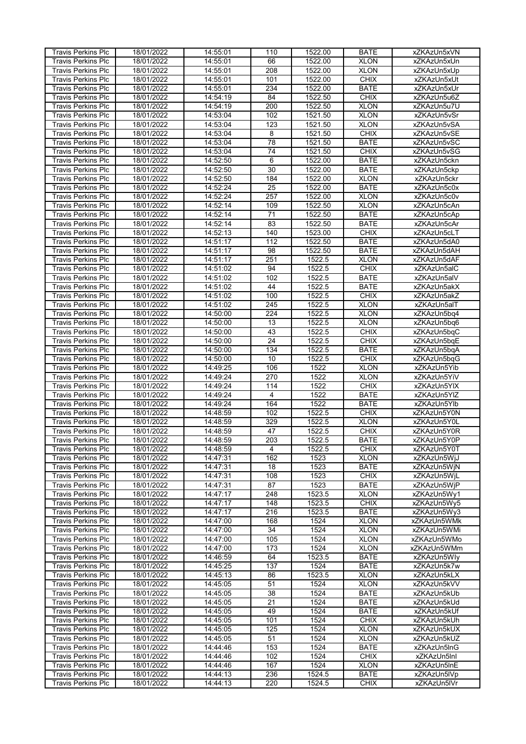| <b>Travis Perkins Plc</b> | 18/01/2022               | 14:55:01 | 110             | 1522.00 | <b>BATE</b> | xZKAzUn5xVN |
|---------------------------|--------------------------|----------|-----------------|---------|-------------|-------------|
|                           |                          |          |                 |         | <b>XLON</b> |             |
| <b>Travis Perkins Plc</b> | 18/01/2022               | 14:55:01 | 66              | 1522.00 |             | xZKAzUn5xUn |
| <b>Travis Perkins Plc</b> | 18/01/2022               | 14:55:01 | 208             | 1522.00 | <b>XLON</b> | xZKAzUn5xUp |
| <b>Travis Perkins Plc</b> | 18/01/2022               | 14:55:01 | 101             | 1522.00 | <b>CHIX</b> | xZKAzUn5xUt |
| <b>Travis Perkins Plc</b> | 18/01/2022               | 14:55:01 | 234             | 1522.00 | <b>BATE</b> | xZKAzUn5xUr |
| <b>Travis Perkins Plc</b> | 18/01/2022               | 14:54:19 | 84              | 1522.50 | <b>CHIX</b> | xZKAzUn5u6Z |
|                           |                          |          |                 |         |             |             |
| Travis Perkins Plc        | 18/01/2022               | 14:54:19 | 200             | 1522.50 | <b>XLON</b> | xZKAzUn5u7U |
| <b>Travis Perkins Plc</b> | 18/01/2022               | 14:53:04 | 102             | 1521.50 | <b>XLON</b> | xZKAzUn5vSr |
| <b>Travis Perkins Plc</b> | 18/01/2022               | 14:53:04 | 123             | 1521.50 | <b>XLON</b> | xZKAzUn5vSA |
| Travis Perkins Plc        | 18/01/2022               | 14:53:04 | 8               | 1521.50 | <b>CHIX</b> | xZKAzUn5vSE |
| <b>Travis Perkins Plc</b> | 18/01/2022               | 14:53:04 | 78              | 1521.50 | <b>BATE</b> | xZKAzUn5vSC |
|                           | 18/01/2022               | 14:53:04 | $\overline{74}$ |         | <b>CHIX</b> |             |
| <b>Travis Perkins Plc</b> |                          |          |                 | 1521.50 |             | xZKAzUn5vSG |
| Travis Perkins Plc        | 18/01/2022               | 14:52:50 | 6               | 1522.00 | <b>BATE</b> | xZKAzUn5ckn |
| <b>Travis Perkins Plc</b> | 18/01/2022               | 14:52:50 | 30              | 1522.00 | <b>BATE</b> | xZKAzUn5ckp |
| Travis Perkins Plc        | 18/01/2022               | 14:52:50 | 184             | 1522.00 | <b>XLON</b> | xZKAzUn5ckr |
| <b>Travis Perkins Plc</b> | 18/01/2022               | 14:52:24 | $\overline{25}$ | 1522.00 | <b>BATE</b> | xZKAzUn5c0x |
| Travis Perkins Plc        | 18/01/2022               | 14:52:24 | 257             | 1522.00 | <b>XLON</b> | xZKAzUn5c0v |
| <b>Travis Perkins Plc</b> | 18/01/2022               | 14:52:14 | 109             | 1522.50 | <b>XLON</b> | xZKAzUn5cAn |
|                           |                          |          |                 |         |             |             |
| <b>Travis Perkins Plc</b> | 18/01/2022               | 14:52:14 | 71              | 1522.50 | <b>BATE</b> | xZKAzUn5cAp |
| Travis Perkins Plc        | 18/01/2022               | 14:52:14 | 83              | 1522.50 | <b>BATE</b> | xZKAzUn5cAr |
| <b>Travis Perkins Plc</b> | 18/01/2022               | 14:52:13 | 140             | 1523.00 | <b>CHIX</b> | xZKAzUn5cLT |
| <b>Travis Perkins Plc</b> | 18/01/2022               | 14:51:17 | 112             | 1522.50 | <b>BATE</b> | xZKAzUn5dA0 |
| <b>Travis Perkins Plc</b> | 18/01/2022               | 14:51:17 | 98              | 1522.50 | <b>BATE</b> | xZKAzUn5dAH |
| <b>Travis Perkins Plc</b> | 18/01/2022               | 14:51:17 | 251             | 1522.5  | <b>XLON</b> | xZKAzUn5dAF |
|                           |                          |          |                 |         |             |             |
| <b>Travis Perkins Plc</b> | 18/01/2022               | 14:51:02 | 94              | 1522.5  | <b>CHIX</b> | xZKAzUn5alC |
| <b>Travis Perkins Plc</b> | 18/01/2022               | 14:51:02 | 102             | 1522.5  | <b>BATE</b> | xZKAzUn5alV |
| <b>Travis Perkins Plc</b> | 18/01/2022               | 14:51:02 | 44              | 1522.5  | <b>BATE</b> | xZKAzUn5akX |
| <b>Travis Perkins Plc</b> | 18/01/2022               | 14:51:02 | 100             | 1522.5  | <b>CHIX</b> | xZKAzUn5akZ |
| <b>Travis Perkins Plc</b> | 18/01/2022               | 14:51:02 | 245             | 1522.5  | <b>XLON</b> | xZKAzUn5alT |
| Travis Perkins Plc        | 18/01/2022               | 14:50:00 | 224             | 1522.5  | <b>XLON</b> | xZKAzUn5bq4 |
|                           |                          |          |                 |         |             |             |
| <b>Travis Perkins Plc</b> | 18/01/2022               | 14:50:00 | 13              | 1522.5  | <b>XLON</b> | xZKAzUn5bq6 |
| <b>Travis Perkins Plc</b> | 18/01/2022               | 14:50:00 | $\overline{43}$ | 1522.5  | <b>CHIX</b> | xZKAzUn5bqC |
| <b>Travis Perkins Plc</b> | 18/01/2022               | 14:50:00 | $\overline{24}$ | 1522.5  | <b>CHIX</b> | xZKAzUn5bqE |
| <b>Travis Perkins Plc</b> | 18/01/2022               | 14:50:00 | 134             | 1522.5  | <b>BATE</b> | xZKAzUn5bqA |
| Travis Perkins Plc        | 18/01/2022               | 14:50:00 | 10              | 1522.5  | <b>CHIX</b> | xZKAzUn5bqG |
| <b>Travis Perkins Plc</b> | 18/01/2022               | 14:49:25 | 106             | 1522    | <b>XLON</b> | xZKAzUn5Yib |
|                           |                          |          |                 |         |             |             |
| Travis Perkins Plc        | 18/01/2022               | 14:49:24 | 270             | 1522    | <b>XLON</b> | xZKAzUn5YiV |
| <b>Travis Perkins Plc</b> | 18/01/2022               | 14:49:24 | 114             | 1522    | <b>CHIX</b> | xZKAzUn5YIX |
| <b>Travis Perkins Plc</b> | 18/01/2022               | 14:49:24 | 4               | 1522    | <b>BATE</b> | xZKAzUn5YIZ |
| <b>Travis Perkins Plc</b> | 18/01/2022               | 14:49:24 | 164             | 1522    | <b>BATE</b> | xZKAzUn5Ylb |
| <b>Travis Perkins Plc</b> | 18/01/2022               | 14:48:59 | 102             | 1522.5  | <b>CHIX</b> | xZKAzUn5Y0N |
| <b>Travis Perkins Plc</b> | 18/01/2022               | 14:48:59 | 329             | 1522.5  | <b>XLON</b> | xZKAzUn5Y0L |
| <b>Travis Perkins Plc</b> | 18/01/2022               | 14:48:59 | 47              | 1522.5  | <b>CHIX</b> | xZKAzUn5Y0R |
|                           |                          |          |                 |         |             |             |
| <b>Travis Perkins Plc</b> | 18/01/2022               | 14:48:59 | 203             | 1522.5  | <b>BATE</b> | xZKAzUn5Y0P |
| <b>Travis Perkins Plc</b> | 18/01/2022               | 14:48:59 | 4               | 1522.5  | <b>CHIX</b> | xZKAzUn5Y0T |
| <b>Travis Perkins Plc</b> | 18/01/2022               | 14:47:31 | 162             | 1523    | <b>XLON</b> | xZKAzUn5WjJ |
| <b>Travis Perkins Plc</b> | 18/01/2022               | 14:47:31 | 18              | 1523    | <b>BATE</b> | xZKAzUn5WjN |
| <b>Travis Perkins Plc</b> | 18/01/2022               | 14:47:31 | 108             | 1523    | <b>CHIX</b> | xZKAzUn5WjL |
| <b>Travis Perkins Plc</b> | 18/01/2022               | 14:47:31 | 87              | 1523    | <b>BATE</b> | xZKAzUn5WjP |
| <b>Travis Perkins Plc</b> |                          |          |                 |         |             |             |
|                           | 18/01/2022               | 14:47:17 | 248             | 1523.5  | <b>XLON</b> | xZKAzUn5Wy1 |
| <b>Travis Perkins Plc</b> | 18/01/2022               | 14:47:17 | 148             | 1523.5  | <b>CHIX</b> | xZKAzUn5Wy5 |
| <b>Travis Perkins Plc</b> | 18/01/2022               | 14:47:17 | 216             | 1523.5  | <b>BATE</b> | xZKAzUn5Wy3 |
| <b>Travis Perkins Plc</b> | 18/01/2022               | 14:47:00 | 168             | 1524    | <b>XLON</b> | xZKAzUn5WMk |
| <b>Travis Perkins Plc</b> | 18/01/2022               | 14:47:00 | 34              | 1524    | <b>XLON</b> | xZKAzUn5WMi |
| <b>Travis Perkins Plc</b> | 18/01/2022               | 14:47:00 | 105             | 1524    | <b>XLON</b> | xZKAzUn5WMo |
| <b>Travis Perkins Plc</b> | 18/01/2022               | 14:47:00 | 173             | 1524    | <b>XLON</b> | xZKAzUn5WMm |
|                           |                          |          |                 |         |             |             |
| <b>Travis Perkins Plc</b> | 18/01/2022               | 14:46:59 | 64              | 1523.5  | <b>BATE</b> | xZKAzUn5Wly |
| <b>Travis Perkins Plc</b> | 18/01/2022               | 14:45:25 | 137             | 1524    | <b>BATE</b> | xZKAzUn5k7w |
| <b>Travis Perkins Plc</b> | 18/01/2022               | 14:45:13 | 86              | 1523.5  | <b>XLON</b> | xZKAzUn5kLX |
| Travis Perkins Plc        | 18/01/2022               | 14:45:05 | 51              | 1524    | <b>XLON</b> | xZKAzUn5kVV |
| <b>Travis Perkins Plc</b> | 18/01/2022               | 14:45:05 | 38              | 1524    | <b>BATE</b> | xZKAzUn5kUb |
| <b>Travis Perkins Plc</b> | 18/01/2022               | 14:45:05 | $\overline{21}$ | 1524    | <b>BATE</b> | xZKAzUn5kUd |
|                           |                          |          |                 |         |             |             |
| <b>Travis Perkins Plc</b> | 18/01/2022               | 14:45:05 | 49              | 1524    | <b>BATE</b> | xZKAzUn5kUf |
| <b>Travis Perkins Plc</b> | 18/01/2022               | 14:45:05 | 101             | 1524    | <b>CHIX</b> | xZKAzUn5kUh |
| <b>Travis Perkins Plc</b> | 18/01/2022               | 14:45:05 | 125             | 1524    | <b>XLON</b> | xZKAzUn5kUX |
| <b>Travis Perkins Plc</b> | 18/01/2022               | 14:45:05 | 51              | 1524    | <b>XLON</b> | xZKAzUn5kUZ |
| Travis Perkins Plc        | 18/01/2022               | 14:44:46 | 153             | 1524    | <b>BATE</b> | xZKAzUn5InG |
| <b>Travis Perkins Plc</b> | 18/01/2022               | 14:44:46 | 102             | 1524    | <b>CHIX</b> | xZKAzUn5lnl |
|                           |                          |          |                 | 1524    |             |             |
| <b>Travis Perkins Plc</b> | 18/01/2022               | 14:44:46 | 167             |         | <b>XLON</b> | xZKAzUn5lnE |
| <b>Travis Perkins Plc</b> | 18/01/2022<br>18/01/2022 | 14:44:13 | 236             | 1524.5  | <b>BATE</b> | xZKAzUn5lVp |
| <b>Travis Perkins Plc</b> |                          | 14:44:13 | 220             | 1524.5  | <b>CHIX</b> | xZKAzUn5IVr |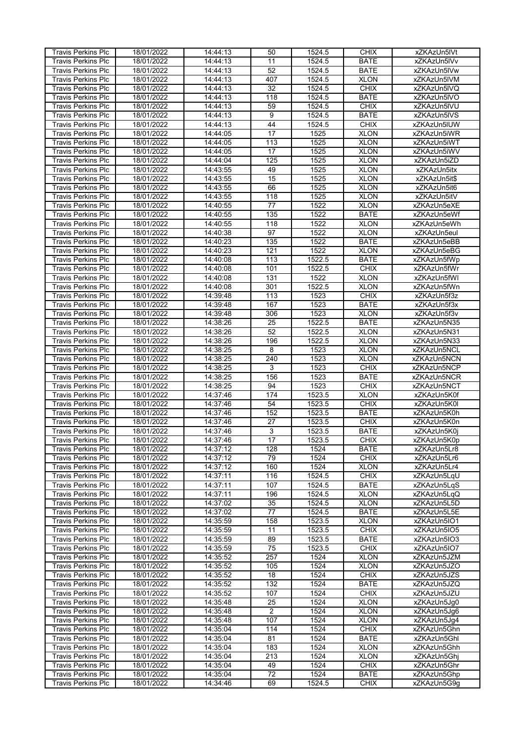| <b>Travis Perkins Plc</b> | 18/01/2022 | 14:44:13 | 50              | 1524.5 | <b>CHIX</b> | xZKAzUn5IVt  |
|---------------------------|------------|----------|-----------------|--------|-------------|--------------|
|                           |            |          | $\overline{11}$ |        | <b>BATE</b> |              |
| <b>Travis Perkins Plc</b> | 18/01/2022 | 14:44:13 |                 | 1524.5 |             | xZKAzUn5IVv  |
| <b>Travis Perkins Plc</b> | 18/01/2022 | 14:44:13 | 52              | 1524.5 | BATE        | xZKAzUn5IVw  |
| <b>Travis Perkins Plc</b> | 18/01/2022 | 14:44:13 | 407             | 1524.5 | <b>XLON</b> | xZKAzUn5IVM  |
| <b>Travis Perkins Plc</b> | 18/01/2022 | 14:44:13 | $\overline{32}$ | 1524.5 | <b>CHIX</b> | xZKAzUn5IVQ  |
| <b>Travis Perkins Plc</b> | 18/01/2022 | 14:44:13 | 118             | 1524.5 | <b>BATE</b> | xZKAzUn5IVO  |
|                           |            |          |                 |        |             |              |
| <b>Travis Perkins Plc</b> | 18/01/2022 | 14:44:13 | 59              | 1524.5 | <b>CHIX</b> | xZKAzUn5IVU  |
| Travis Perkins Plc        | 18/01/2022 | 14:44:13 | 9               | 1524.5 | <b>BATE</b> | xZKAzUn5IVS  |
| <b>Travis Perkins Plc</b> | 18/01/2022 | 14:44:13 | 44              | 1524.5 | <b>CHIX</b> | xZKAzUn5IUW  |
| Travis Perkins Plc        | 18/01/2022 | 14:44:05 | $\overline{17}$ | 1525   | <b>XLON</b> | xZKAzUn5iWR  |
| <b>Travis Perkins Plc</b> | 18/01/2022 | 14:44:05 | 113             | 1525   | <b>XLON</b> | xZKAzUn5iWT  |
|                           | 18/01/2022 | 14:44:05 | 17              | 1525   | <b>XLON</b> |              |
| <b>Travis Perkins Plc</b> |            |          |                 |        |             | xZKAzUn5iWV  |
| <b>Travis Perkins Plc</b> | 18/01/2022 | 14:44:04 | 125             | 1525   | <b>XLON</b> | xZKAzUn5iZD  |
| <b>Travis Perkins Plc</b> | 18/01/2022 | 14:43:55 | 49              | 1525   | <b>XLON</b> | xZKAzUn5itx  |
| Travis Perkins Plc        | 18/01/2022 | 14:43:55 | 15              | 1525   | <b>XLON</b> | xZKAzUn5it\$ |
| <b>Travis Perkins Plc</b> | 18/01/2022 | 14:43:55 | 66              | 1525   | <b>XLON</b> | xZKAzUn5it6  |
| Travis Perkins Plc        | 18/01/2022 | 14:43:55 | 118             | 1525   | <b>XLON</b> | xZKAzUn5itV  |
| <b>Travis Perkins Plc</b> | 18/01/2022 | 14:40:55 | 77              | 1522   | <b>XLON</b> | xZKAzUn5eXE  |
|                           |            |          |                 |        |             |              |
| <b>Travis Perkins Plc</b> | 18/01/2022 | 14:40:55 | 135             | 1522   | <b>BATE</b> | xZKAzUn5eWf  |
| <b>Travis Perkins Plc</b> | 18/01/2022 | 14:40:55 | 118             | 1522   | <b>XLON</b> | xZKAzUn5eWh  |
| <b>Travis Perkins Plc</b> | 18/01/2022 | 14:40:38 | 97              | 1522   | <b>XLON</b> | xZKAzUn5eul  |
| <b>Travis Perkins Plc</b> | 18/01/2022 | 14:40:23 | 135             | 1522   | <b>BATE</b> | xZKAzUn5eBB  |
| <b>Travis Perkins Plc</b> | 18/01/2022 | 14:40:23 | 121             | 1522   | <b>XLON</b> | xZKAzUn5eBG  |
| <b>Travis Perkins Plc</b> | 18/01/2022 | 14:40:08 | 113             | 1522.5 | <b>BATE</b> | xZKAzUn5fWp  |
|                           |            |          |                 |        |             |              |
| <b>Travis Perkins Plc</b> | 18/01/2022 | 14:40:08 | 101             | 1522.5 | <b>CHIX</b> | xZKAzUn5fWr  |
| <b>Travis Perkins Plc</b> | 18/01/2022 | 14:40:08 | 131             | 1522   | <b>XLON</b> | xZKAzUn5fWI  |
| <b>Travis Perkins Plc</b> | 18/01/2022 | 14:40:08 | 301             | 1522.5 | <b>XLON</b> | xZKAzUn5fWn  |
| <b>Travis Perkins Plc</b> | 18/01/2022 | 14:39:48 | 113             | 1523   | <b>CHIX</b> | xZKAzUn5f3z  |
| <b>Travis Perkins Plc</b> | 18/01/2022 | 14:39:48 | 167             | 1523   | <b>BATE</b> | xZKAzUn5f3x  |
| Travis Perkins Plc        | 18/01/2022 | 14:39:48 | 306             | 1523   | <b>XLON</b> | xZKAzUn5f3v  |
|                           |            |          |                 |        |             |              |
| <b>Travis Perkins Plc</b> | 18/01/2022 | 14:38:26 | 25              | 1522.5 | <b>BATE</b> | xZKAzUn5N35  |
| <b>Travis Perkins Plc</b> | 18/01/2022 | 14:38:26 | $\overline{52}$ | 1522.5 | <b>XLON</b> | xZKAzUn5N31  |
| <b>Travis Perkins Plc</b> | 18/01/2022 | 14:38:26 | 196             | 1522.5 | <b>XLON</b> | xZKAzUn5N33  |
| Travis Perkins Plc        | 18/01/2022 | 14:38:25 | 8               | 1523   | <b>XLON</b> | xZKAzUn5NCL  |
| Travis Perkins Plc        | 18/01/2022 | 14:38:25 | 240             | 1523   | <b>XLON</b> | xZKAzUn5NCN  |
| <b>Travis Perkins Plc</b> | 18/01/2022 | 14:38:25 | 3               | 1523   | <b>CHIX</b> | xZKAzUn5NCP  |
|                           |            |          |                 |        |             |              |
| <b>Travis Perkins Plc</b> | 18/01/2022 | 14:38:25 | 156             | 1523   | <b>BATE</b> | xZKAzUn5NCR  |
| <b>Travis Perkins Plc</b> | 18/01/2022 | 14:38:25 | 94              | 1523   | <b>CHIX</b> | xZKAzUn5NCT  |
| <b>Travis Perkins Plc</b> | 18/01/2022 | 14:37:46 | 174             | 1523.5 | <b>XLON</b> | xZKAzUn5K0f  |
| <b>Travis Perkins Plc</b> | 18/01/2022 | 14:37:46 | 54              | 1523.5 | <b>CHIX</b> | xZKAzUn5K0I  |
| <b>Travis Perkins Plc</b> | 18/01/2022 | 14:37:46 | 152             | 1523.5 | <b>BATE</b> | xZKAzUn5K0h  |
| <b>Travis Perkins Plc</b> | 18/01/2022 | 14:37:46 | $\overline{27}$ | 1523.5 | <b>CHIX</b> | xZKAzUn5K0n  |
|                           | 18/01/2022 | 14:37:46 | $\overline{3}$  | 1523.5 | <b>BATE</b> | xZKAzUn5K0j  |
| Travis Perkins Plc        |            |          |                 |        |             |              |
| <b>Travis Perkins Plc</b> | 18/01/2022 | 14:37:46 | $\overline{17}$ | 1523.5 | <b>CHIX</b> | xZKAzUn5K0p  |
| <b>Travis Perkins Plc</b> | 18/01/2022 | 14:37:12 | 128             | 1524   | <b>BATE</b> | xZKAzUn5Lr8  |
| <b>Travis Perkins Plc</b> | 18/01/2022 | 14:37:12 | $\overline{79}$ | 1524   | <b>CHIX</b> | xZKAzUn5Lr6  |
| Travis Perkins Plc        | 18/01/2022 | 14:37:12 | 160             | 1524   | <b>XLON</b> | xZKAzUn5Lr4  |
| <b>Travis Perkins Plc</b> | 18/01/2022 | 14:37:11 | 116             | 1524.5 | <b>CHIX</b> | xZKAzUn5LqU  |
| <b>Travis Perkins Plc</b> | 18/01/2022 | 14:37:11 | 107             | 1524.5 | <b>BATE</b> | xZKAzUn5LqS  |
|                           |            |          |                 |        |             |              |
| <b>Travis Perkins Plc</b> | 18/01/2022 | 14:37:11 | 196             | 1524.5 | <b>XLON</b> | xZKAzUn5LqQ  |
| <b>Travis Perkins Plc</b> | 18/01/2022 | 14:37:02 | 35              | 1524.5 | <b>XLON</b> | xZKAzUn5L5D  |
| <b>Travis Perkins Plc</b> | 18/01/2022 | 14:37:02 | $\overline{77}$ | 1524.5 | <b>BATE</b> | xZKAzUn5L5E  |
| <b>Travis Perkins Plc</b> | 18/01/2022 | 14:35:59 | 158             | 1523.5 | <b>XLON</b> | xZKAzUn5IO1  |
| <b>Travis Perkins Plc</b> | 18/01/2022 | 14:35:59 | 11              | 1523.5 | <b>CHIX</b> | xZKAzUn5IO5  |
| <b>Travis Perkins Plc</b> | 18/01/2022 | 14:35:59 | 89              | 1523.5 | <b>BATE</b> | xZKAzUn5IO3  |
| <b>Travis Perkins Plc</b> | 18/01/2022 |          | 75              |        | <b>CHIX</b> |              |
|                           |            | 14:35:59 |                 | 1523.5 |             | xZKAzUn5IO7  |
| <b>Travis Perkins Plc</b> | 18/01/2022 | 14:35:52 | 257             | 1524   | <b>XLON</b> | xZKAzUn5JZM  |
| <b>Travis Perkins Plc</b> | 18/01/2022 | 14:35:52 | 105             | 1524   | <b>XLON</b> | xZKAzUn5JZO  |
| <b>Travis Perkins Plc</b> | 18/01/2022 | 14:35:52 | 18              | 1524   | <b>CHIX</b> | xZKAzUn5JZS  |
| Travis Perkins Plc        | 18/01/2022 | 14:35:52 | 132             | 1524   | <b>BATE</b> | xZKAzUn5JZQ  |
| <b>Travis Perkins Plc</b> | 18/01/2022 | 14:35:52 | 107             | 1524   | <b>CHIX</b> | xZKAzUn5JZU  |
| <b>Travis Perkins Plc</b> | 18/01/2022 | 14:35:48 | 25              | 1524   | <b>XLON</b> | xZKAzUn5Jg0  |
|                           |            |          |                 |        |             |              |
| <b>Travis Perkins Plc</b> | 18/01/2022 | 14:35:48 | $\overline{2}$  | 1524   | <b>XLON</b> | xZKAzUn5Jg6  |
| <b>Travis Perkins Plc</b> | 18/01/2022 | 14:35:48 | 107             | 1524   | <b>XLON</b> | xZKAzUn5Jg4  |
| <b>Travis Perkins Plc</b> | 18/01/2022 | 14:35:04 | 114             | 1524   | <b>CHIX</b> | xZKAzUn5Ghn  |
| <b>Travis Perkins Plc</b> | 18/01/2022 | 14:35:04 | 81              | 1524   | <b>BATE</b> | xZKAzUn5Ghl  |
| Travis Perkins Plc        | 18/01/2022 | 14:35:04 | 183             | 1524   | <b>XLON</b> | xZKAzUn5Ghh  |
| <b>Travis Perkins Plc</b> | 18/01/2022 | 14:35:04 | 213             | 1524   | <b>XLON</b> | xZKAzUn5Ghj  |
|                           |            |          |                 | 1524   |             |              |
| <b>Travis Perkins Plc</b> | 18/01/2022 | 14:35:04 | 49              |        | <b>CHIX</b> | xZKAzUn5Ghr  |
| <b>Travis Perkins Plc</b> | 18/01/2022 | 14:35:04 | 72              | 1524   | <b>BATE</b> | xZKAzUn5Ghp  |
| <b>Travis Perkins Plc</b> | 18/01/2022 | 14:34:46 | 69              | 1524.5 | <b>CHIX</b> | xZKAzUn5G9g  |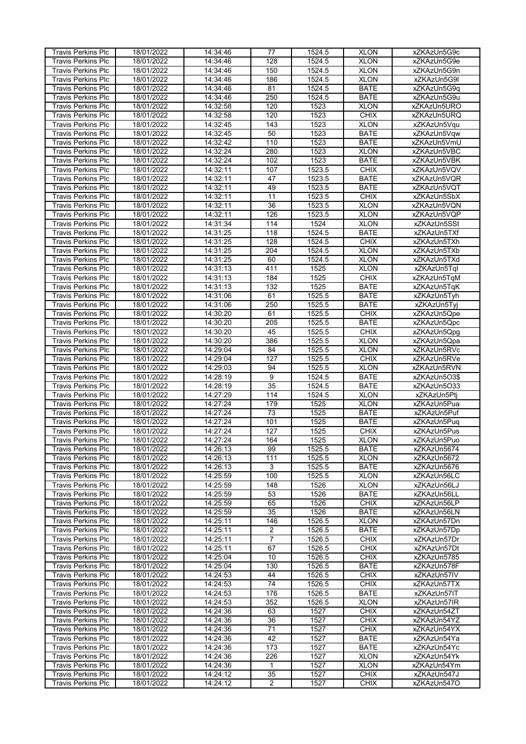| <b>Travis Perkins Plc</b> | 18/01/2022 | 14:34:46 | 77              | 1524.5 | <b>XLON</b> | xZKAzUn5G9c  |
|---------------------------|------------|----------|-----------------|--------|-------------|--------------|
| <b>Travis Perkins Plc</b> | 18/01/2022 | 14:34:46 | 128             | 1524.5 | <b>XLON</b> | xZKAzUn5G9e  |
|                           |            |          |                 |        |             |              |
| <b>Travis Perkins Plc</b> | 18/01/2022 | 14:34:46 | 150             | 1524.5 | <b>XLON</b> | xZKAzUn5G9n  |
| Travis Perkins Plc        | 18/01/2022 | 14:34:46 | 186             | 1524.5 | <b>XLON</b> | xZKAzUn5G9I  |
| <b>Travis Perkins Plc</b> | 18/01/2022 | 14:34:46 | 81              | 1524.5 | <b>BATE</b> | xZKAzUn5G9q  |
| <b>Travis Perkins Plc</b> | 18/01/2022 | 14:34:46 | 250             | 1524.5 | <b>BATE</b> | xZKAzUn5G9u  |
|                           |            |          |                 |        |             |              |
| <b>Travis Perkins Plc</b> | 18/01/2022 | 14:32:58 | 120             | 1523   | <b>XLON</b> | xZKAzUn5URO  |
| <b>Travis Perkins Plc</b> | 18/01/2022 | 14:32:58 | 120             | 1523   | <b>CHIX</b> | xZKAzUn5URQ  |
| <b>Travis Perkins Plc</b> | 18/01/2022 | 14:32:45 | 143             | 1523   | <b>XLON</b> | xZKAzUn5Vqu  |
| Travis Perkins Plc        | 18/01/2022 | 14:32:45 | 50              | 1523   | <b>BATE</b> | xZKAzUn5Vqw  |
| <b>Travis Perkins Plc</b> | 18/01/2022 | 14:32:42 | 110             | 1523   | <b>BATE</b> | xZKAzUn5VmU  |
| <b>Travis Perkins Plc</b> | 18/01/2022 |          | 280             | 1523   | <b>XLON</b> | xZKAzUn5VBC  |
|                           |            | 14:32:24 |                 |        |             |              |
| <b>Travis Perkins Plc</b> | 18/01/2022 | 14:32:24 | 102             | 1523   | <b>BATE</b> | xZKAzUn5VBK  |
| <b>Travis Perkins Plc</b> | 18/01/2022 | 14:32:11 | 107             | 1523.5 | <b>CHIX</b> | xZKAzUn5VQV  |
| Travis Perkins Plc        | 18/01/2022 | 14:32:11 | 47              | 1523.5 | <b>BATE</b> | xZKAzUn5VQR  |
| <b>Travis Perkins Plc</b> | 18/01/2022 | 14:32:11 | 49              | 1523.5 | <b>BATE</b> | xZKAzUn5VQT  |
| <b>Travis Perkins Plc</b> | 18/01/2022 | 14:32:11 | 11              | 1523.5 | <b>CHIX</b> | xZKAzUn5SbX  |
| <b>Travis Perkins Plc</b> | 18/01/2022 | 14:32:11 | 36              | 1523.5 | <b>XLON</b> | xZKAzUn5VQN  |
|                           |            |          |                 |        |             |              |
| <b>Travis Perkins Plc</b> | 18/01/2022 | 14:32:11 | 126             | 1523.5 | <b>XLON</b> | xZKAzUn5VQP  |
| <b>Travis Perkins Plc</b> | 18/01/2022 | 14:31:34 | 114             | 1524   | <b>XLON</b> | xZKAzUn5SSt  |
| <b>Travis Perkins Plc</b> | 18/01/2022 | 14:31:25 | 118             | 1524.5 | <b>BATE</b> | xZKAzUn5TXf  |
| <b>Travis Perkins Plc</b> | 18/01/2022 | 14:31:25 | 128             | 1524.5 | <b>CHIX</b> | xZKAzUn5TXh  |
| <b>Travis Perkins Plc</b> | 18/01/2022 | 14:31:25 | 204             | 1524.5 | <b>XLON</b> | xZKAzUn5TXb  |
| <b>Travis Perkins Plc</b> | 18/01/2022 |          | 60              |        | <b>XLON</b> |              |
|                           |            | 14:31:25 |                 | 1524.5 |             | xZKAzUn5TXd  |
| <b>Travis Perkins Plc</b> | 18/01/2022 | 14:31:13 | 411             | 1525   | <b>XLON</b> | xZKAzUn5Tql  |
| <b>Travis Perkins Plc</b> | 18/01/2022 | 14:31:13 | 184             | 1525   | <b>CHIX</b> | xZKAzUn5TqM  |
| Travis Perkins Plc        | 18/01/2022 | 14:31:13 | 132             | 1525   | <b>BATE</b> | xZKAzUn5TqK  |
| <b>Travis Perkins Plc</b> | 18/01/2022 | 14:31:06 | 61              | 1525.5 | <b>BATE</b> | xZKAzUn5Tyh  |
| <b>Travis Perkins Plc</b> | 18/01/2022 | 14:31:06 | 250             | 1525.5 | <b>BATE</b> | xZKAzUn5Tyj  |
|                           |            | 14:30:20 | 61              |        | <b>CHIX</b> | xZKAzUn5Qpe  |
| Travis Perkins Plc        | 18/01/2022 |          |                 | 1525.5 |             |              |
| <b>Travis Perkins Plc</b> | 18/01/2022 | 14:30:20 | 205             | 1525.5 | <b>BATE</b> | xZKAzUn5Qpc  |
| <b>Travis Perkins Plc</b> | 18/01/2022 | 14:30:20 | 45              | 1525.5 | <b>CHIX</b> | xZKAzUn5Qpg  |
| <b>Travis Perkins Plc</b> | 18/01/2022 | 14:30:20 | 386             | 1525.5 | <b>XLON</b> | xZKAzUn5Qpa  |
| <b>Travis Perkins Plc</b> | 18/01/2022 | 14:29:04 | 84              | 1525.5 | <b>XLON</b> | xZKAzUn5RVc  |
| Travis Perkins Plc        | 18/01/2022 | 14:29:04 | 127             | 1525.5 | <b>CHIX</b> | xZKAzUn5RVe  |
| <b>Travis Perkins Plc</b> |            |          | 94              |        |             |              |
|                           | 18/01/2022 | 14:29:03 |                 | 1525.5 | <b>XLON</b> | xZKAzUn5RVN  |
| Travis Perkins Plc        | 18/01/2022 | 14:28:19 | 9               | 1524.5 | <b>BATE</b> | xZKAzUn5O3\$ |
| <b>Travis Perkins Plc</b> | 18/01/2022 | 14:28:19 | $\overline{35}$ | 1524.5 | <b>BATE</b> | xZKAzUn5O33  |
| <b>Travis Perkins Plc</b> | 18/01/2022 | 14:27:29 | 114             | 1524.5 | <b>XLON</b> | xZKAzUn5Pti  |
| <b>Travis Perkins Plc</b> | 18/01/2022 | 14:27:24 | 179             | 1525   | <b>XLON</b> | xZKAzUn5Pua  |
| <b>Travis Perkins Plc</b> | 18/01/2022 | 14:27:24 | 73              | 1525   | <b>BATE</b> | xZKAzUn5Puf  |
| <b>Travis Perkins Plc</b> | 18/01/2022 | 14:27:24 | 101             | 1525   | <b>BATE</b> | xZKAzUn5Puq  |
|                           |            |          |                 |        |             |              |
| <b>Travis Perkins Plc</b> | 18/01/2022 | 14:27:24 | 127             | 1525   | <b>CHIX</b> | xZKAzUn5Pus  |
| <b>Travis Perkins Plc</b> | 18/01/2022 | 14:27:24 | 164             | 1525   | <b>XLON</b> | xZKAzUn5Puo  |
| <b>Travis Perkins Plc</b> | 18/01/2022 | 14:26:13 | 99              | 1525.5 | <b>BATE</b> | xZKAzUn5674  |
| <b>Travis Perkins Plc</b> | 18/01/2022 | 14:26:13 | 111             | 1525.5 | <b>XLON</b> | xZKAzUn5672  |
| <b>Travis Perkins Plc</b> | 18/01/2022 | 14:26:13 | 3               | 1525.5 | <b>BATE</b> | xZKAzUn5676  |
|                           |            |          | 100             |        | <b>XLON</b> | xZKAzUn56LC  |
| <b>Travis Perkins Plc</b> | 18/01/2022 | 14:25:59 |                 | 1525.5 |             |              |
| <b>Travis Perkins Plc</b> | 18/01/2022 | 14:25:59 | 148             | 1526   | <b>XLON</b> | xZKAzUn56LJ  |
| <b>Travis Perkins Plc</b> | 18/01/2022 | 14:25:59 | 53              | 1526   | BATE        | xZKAzUn56LL  |
| <b>Travis Perkins Plc</b> | 18/01/2022 | 14:25:59 | 65              | 1526   | <b>CHIX</b> | xZKAzUn56LP  |
| <b>Travis Perkins Plc</b> | 18/01/2022 | 14:25:59 | $\overline{35}$ | 1526   | <b>BATE</b> | xZKAzUn56LN  |
| <b>Travis Perkins Plc</b> | 18/01/2022 | 14:25:11 | 146             | 1526.5 | <b>XLON</b> | xZKAzUn57Dn  |
| <b>Travis Perkins Plc</b> | 18/01/2022 | 14:25:11 | 2               | 1526.5 | <b>BATE</b> | xZKAzUn57Dp  |
|                           |            |          | $\overline{7}$  |        | <b>CHIX</b> |              |
| <b>Travis Perkins Plc</b> | 18/01/2022 | 14:25:11 |                 | 1526.5 |             | xZKAzUn57Dr  |
| <b>Travis Perkins Plc</b> | 18/01/2022 | 14:25:11 | 67              | 1526.5 | <b>CHIX</b> | xZKAzUn57Dt  |
| <b>Travis Perkins Plc</b> | 18/01/2022 | 14:25:04 | 10              | 1526.5 | <b>CHIX</b> | xZKAzUn5785  |
| <b>Travis Perkins Plc</b> | 18/01/2022 | 14:25:04 | 130             | 1526.5 | <b>BATE</b> | xZKAzUn578F  |
| <b>Travis Perkins Plc</b> | 18/01/2022 | 14:24:53 | 44              | 1526.5 | <b>CHIX</b> | xZKAzUn57IV  |
| <b>Travis Perkins Plc</b> | 18/01/2022 | 14:24:53 | 74              | 1526.5 | <b>CHIX</b> | xZKAzUn57TX  |
| <b>Travis Perkins Plc</b> | 18/01/2022 | 14:24:53 | 176             | 1526.5 | <b>BATE</b> | xZKAzUn57IT  |
|                           |            |          |                 |        |             |              |
| <b>Travis Perkins Plc</b> | 18/01/2022 | 14:24:53 | 352             | 1526.5 | <b>XLON</b> | xZKAzUn57IR  |
| <b>Travis Perkins Plc</b> | 18/01/2022 | 14:24:36 | 63              | 1527   | <b>CHIX</b> | xZKAzUn54ZT  |
| <b>Travis Perkins Plc</b> | 18/01/2022 | 14:24:36 | 36              | 1527   | CHIX        | xZKAzUn54YZ  |
| <b>Travis Perkins Plc</b> | 18/01/2022 | 14:24:36 | 71              | 1527   | <b>CHIX</b> | xZKAzUn54YX  |
| <b>Travis Perkins Plc</b> | 18/01/2022 | 14:24:36 | 42              | 1527   | <b>BATE</b> | xZKAzUn54Ya  |
| Travis Perkins Plc        | 18/01/2022 | 14:24:36 | 173             | 1527   | <b>BATE</b> | xZKAzUn54Yc  |
|                           |            |          |                 |        |             |              |
| <b>Travis Perkins Plc</b> | 18/01/2022 | 14:24:36 | 226             | 1527   | <b>XLON</b> | xZKAzUn54Yk  |
| <b>Travis Perkins Plc</b> | 18/01/2022 | 14:24:36 | 1               | 1527   | <b>XLON</b> | xZKAzUn54Ym  |
| <b>Travis Perkins Plc</b> | 18/01/2022 | 14:24:12 | 35              | 1527   | <b>CHIX</b> | xZKAzUn547J  |
| Travis Perkins Plc        | 18/01/2022 | 14:24:12 | 2               | 1527   | <b>CHIX</b> | xZKAzUn547O  |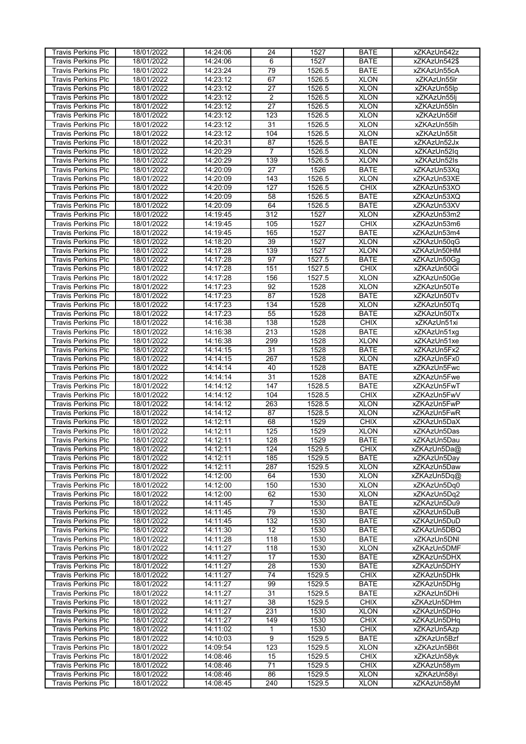| <b>Travis Perkins Plc</b> | 18/01/2022 | 14:24:06 | 24               | 1527   | <b>BATE</b> | xZKAzUn542z  |
|---------------------------|------------|----------|------------------|--------|-------------|--------------|
|                           |            |          | 6                |        |             |              |
| <b>Travis Perkins Plc</b> | 18/01/2022 | 14:24:06 |                  | 1527   | <b>BATE</b> | xZKAzUn542\$ |
| <b>Travis Perkins Plc</b> | 18/01/2022 | 14:23:24 | 79               | 1526.5 | <b>BATE</b> | xZKAzUn55cA  |
| <b>Travis Perkins Plc</b> | 18/01/2022 | 14:23:12 | 67               | 1526.5 | <b>XLON</b> | xZKAzUn55Ir  |
| <b>Travis Perkins Plc</b> | 18/01/2022 | 14:23:12 | $\overline{27}$  | 1526.5 | <b>XLON</b> | xZKAzUn55lp  |
| <b>Travis Perkins Plc</b> | 18/01/2022 | 14:23:12 | $\overline{2}$   | 1526.5 | <b>XLON</b> | xZKAzUn55lj  |
|                           |            |          |                  |        |             |              |
| <b>Travis Perkins Plc</b> | 18/01/2022 | 14:23:12 | $\overline{27}$  | 1526.5 | <b>XLON</b> | xZKAzUn55ln  |
| <b>Travis Perkins Plc</b> | 18/01/2022 | 14:23:12 | 123              | 1526.5 | <b>XLON</b> | xZKAzUn55lf  |
| <b>Travis Perkins Plc</b> | 18/01/2022 | 14:23:12 | 31               | 1526.5 | <b>XLON</b> | xZKAzUn55lh  |
| Travis Perkins Plc        | 18/01/2022 | 14:23:12 | 104              | 1526.5 | <b>XLON</b> | xZKAzUn55lt  |
| <b>Travis Perkins Plc</b> | 18/01/2022 | 14:20:31 | 87               | 1526.5 | <b>BATE</b> | xZKAzUn52Jx  |
|                           | 18/01/2022 | 14:20:29 | $\overline{7}$   | 1526.5 | <b>XLON</b> | xZKAzUn52lq  |
| <b>Travis Perkins Plc</b> |            |          |                  |        |             |              |
| <b>Travis Perkins Plc</b> | 18/01/2022 | 14:20:29 | 139              | 1526.5 | <b>XLON</b> | xZKAzUn52Is  |
| <b>Travis Perkins Plc</b> | 18/01/2022 | 14:20:09 | 27               | 1526   | <b>BATE</b> | xZKAzUn53Xq  |
| Travis Perkins Plc        | 18/01/2022 | 14:20:09 | 143              | 1526.5 | <b>XLON</b> | xZKAzUn53XE  |
| <b>Travis Perkins Plc</b> | 18/01/2022 | 14:20:09 | $\overline{127}$ | 1526.5 | <b>CHIX</b> | xZKAzUn53XO  |
| Travis Perkins Plc        | 18/01/2022 | 14:20:09 | 58               | 1526.5 | <b>BATE</b> | xZKAzUn53XQ  |
| <b>Travis Perkins Plc</b> | 18/01/2022 | 14:20:09 | 64               | 1526.5 | <b>BATE</b> | xZKAzUn53XV  |
|                           |            |          |                  |        |             |              |
| <b>Travis Perkins Plc</b> | 18/01/2022 | 14:19:45 | 312              | 1527   | <b>XLON</b> | xZKAzUn53m2  |
| <b>Travis Perkins Plc</b> | 18/01/2022 | 14:19:45 | 105              | 1527   | <b>CHIX</b> | xZKAzUn53m6  |
| <b>Travis Perkins Plc</b> | 18/01/2022 | 14:19:45 | 165              | 1527   | <b>BATE</b> | xZKAzUn53m4  |
| <b>Travis Perkins Plc</b> | 18/01/2022 | 14:18:20 | $\overline{39}$  | 1527   | <b>XLON</b> | xZKAzUn50qG  |
| <b>Travis Perkins Plc</b> | 18/01/2022 | 14:17:28 | 139              | 1527   | <b>XLON</b> | xZKAzUn50HM  |
|                           |            |          | 97               |        | <b>BATE</b> |              |
| <b>Travis Perkins Plc</b> | 18/01/2022 | 14:17:28 |                  | 1527.5 |             | xZKAzUn50Gq  |
| <b>Travis Perkins Plc</b> | 18/01/2022 | 14:17:28 | 151              | 1527.5 | <b>CHIX</b> | xZKAzUn50Gi  |
| <b>Travis Perkins Plc</b> | 18/01/2022 | 14:17:28 | 156              | 1527.5 | <b>XLON</b> | xZKAzUn50Ge  |
| Travis Perkins Plc        | 18/01/2022 | 14:17:23 | 92               | 1528   | <b>XLON</b> | xZKAzUn50Te  |
| <b>Travis Perkins Plc</b> | 18/01/2022 | 14:17:23 | 87               | 1528   | <b>BATE</b> | xZKAzUn50Tv  |
| <b>Travis Perkins Plc</b> | 18/01/2022 | 14:17:23 | 134              | 1528   | <b>XLON</b> | xZKAzUn50Tq  |
|                           | 18/01/2022 | 14:17:23 | 55               | 1528   | <b>BATE</b> |              |
| Travis Perkins Plc        |            |          |                  |        |             | xZKAzUn50Tx  |
| <b>Travis Perkins Plc</b> | 18/01/2022 | 14:16:38 | 138              | 1528   | <b>CHIX</b> | xZKAzUn51xi  |
| <b>Travis Perkins Plc</b> | 18/01/2022 | 14:16:38 | 213              | 1528   | <b>BATE</b> | xZKAzUn51xg  |
| <b>Travis Perkins Plc</b> | 18/01/2022 | 14:16:38 | 299              | 1528   | <b>XLON</b> | xZKAzUn51xe  |
| <b>Travis Perkins Plc</b> | 18/01/2022 | 14:14:15 | 31               | 1528   | <b>BATE</b> | xZKAzUn5Fx2  |
| Travis Perkins Plc        | 18/01/2022 | 14:14:15 | 267              | 1528   | <b>XLON</b> | xZKAzUn5Fx0  |
|                           |            |          |                  |        |             |              |
| <b>Travis Perkins Plc</b> | 18/01/2022 | 14:14:14 | 40               | 1528   | <b>BATE</b> | xZKAzUn5Fwc  |
| Travis Perkins Plc        | 18/01/2022 | 14:14:14 | 31               | 1528   | <b>BATE</b> | xZKAzUn5Fwe  |
| <b>Travis Perkins Plc</b> | 18/01/2022 | 14:14:12 | 147              | 1528.5 | <b>BATE</b> | xZKAzUn5FwT  |
| <b>Travis Perkins Plc</b> | 18/01/2022 | 14:14:12 | 104              | 1528.5 | <b>CHIX</b> | xZKAzUn5FwV  |
| <b>Travis Perkins Plc</b> | 18/01/2022 | 14:14:12 | 263              | 1528.5 | <b>XLON</b> | xZKAzUn5FwP  |
| <b>Travis Perkins Plc</b> | 18/01/2022 | 14:14:12 | 87               | 1528.5 | <b>XLON</b> | xZKAzUn5FwR  |
| <b>Travis Perkins Plc</b> | 18/01/2022 | 14:12:11 | 68               | 1529   | <b>CHIX</b> | xZKAzUn5DaX  |
|                           |            |          |                  |        |             |              |
| Travis Perkins Plc        | 18/01/2022 | 14:12:11 | 125              | 1529   | <b>XLON</b> | xZKAzUn5Das  |
| <b>Travis Perkins Plc</b> | 18/01/2022 | 14:12:11 | 128              | 1529   | <b>BATE</b> | xZKAzUn5Dau  |
| <b>Travis Perkins Plc</b> | 18/01/2022 | 14:12:11 | 124              | 1529.5 | <b>CHIX</b> | xZKAzUn5Da@  |
| <b>Travis Perkins Plc</b> | 18/01/2022 | 14:12:11 | 185              | 1529.5 | <b>BATE</b> | xZKAzUn5Day  |
| Travis Perkins Plc        | 18/01/2022 | 14:12:11 | 287              | 1529.5 | <b>XLON</b> | xZKAzUn5Daw  |
| <b>Travis Perkins Plc</b> | 18/01/2022 | 14:12:00 | 64               | 1530   | <b>XLON</b> | xZKAzUn5Dq@  |
|                           |            |          |                  |        |             |              |
| <b>Travis Perkins Plc</b> | 18/01/2022 | 14:12:00 | 150              | 1530   | <b>XLON</b> | xZKAzUn5Dq0  |
| <b>Travis Perkins Plc</b> | 18/01/2022 | 14:12:00 | 62               | 1530   | <b>XLON</b> | xZKAzUn5Dq2  |
| <b>Travis Perkins Plc</b> | 18/01/2022 | 14:11:45 | $\overline{7}$   | 1530   | <b>BATE</b> | xZKAzUn5Du9  |
| <b>Travis Perkins Plc</b> | 18/01/2022 | 14:11:45 | 79               | 1530   | <b>BATE</b> | xZKAzUn5DuB  |
| <b>Travis Perkins Plc</b> | 18/01/2022 | 14:11:45 | 132              | 1530   | <b>BATE</b> | xZKAzUn5DuD  |
| <b>Travis Perkins Plc</b> | 18/01/2022 | 14:11:30 | 12               | 1530   | <b>BATE</b> | xZKAzUn5DBQ  |
| <b>Travis Perkins Plc</b> | 18/01/2022 | 14:11:28 | 118              | 1530   | <b>BATE</b> | xZKAzUn5DNI  |
|                           |            |          |                  |        |             |              |
| <b>Travis Perkins Plc</b> | 18/01/2022 | 14:11:27 | 118              | 1530   | <b>XLON</b> | xZKAzUn5DMF  |
| <b>Travis Perkins Plc</b> | 18/01/2022 | 14:11:27 | 17               | 1530   | <b>BATE</b> | xZKAzUn5DHX  |
| <b>Travis Perkins Plc</b> | 18/01/2022 | 14:11:27 | 28               | 1530   | <b>BATE</b> | xZKAzUn5DHY  |
| <b>Travis Perkins Plc</b> | 18/01/2022 | 14:11:27 | 74               | 1529.5 | <b>CHIX</b> | xZKAzUn5DHk  |
| <b>Travis Perkins Plc</b> | 18/01/2022 | 14:11:27 | 99               | 1529.5 | <b>BATE</b> | xZKAzUn5DHg  |
| <b>Travis Perkins Plc</b> | 18/01/2022 | 14:11:27 | 31               | 1529.5 | <b>BATE</b> | xZKAzUn5DHi  |
|                           |            |          | 38               |        | <b>CHIX</b> |              |
| <b>Travis Perkins Plc</b> | 18/01/2022 | 14:11:27 |                  | 1529.5 |             | xZKAzUn5DHm  |
| <b>Travis Perkins Plc</b> | 18/01/2022 | 14:11:27 | 231              | 1530   | <b>XLON</b> | xZKAzUn5DHo  |
| <b>Travis Perkins Plc</b> | 18/01/2022 | 14:11:27 | 149              | 1530   | <b>CHIX</b> | xZKAzUn5DHq  |
| <b>Travis Perkins Plc</b> | 18/01/2022 | 14:11:02 | 1                | 1530   | <b>CHIX</b> | xZKAzUn5Azp  |
| <b>Travis Perkins Plc</b> | 18/01/2022 | 14:10:03 | $\overline{9}$   | 1529.5 | <b>BATE</b> | xZKAzUn5Bzf  |
| <b>Travis Perkins Plc</b> | 18/01/2022 | 14:09:54 | 123              | 1529.5 | <b>XLON</b> | xZKAzUn5B6t  |
|                           |            |          |                  |        | <b>CHIX</b> |              |
| <b>Travis Perkins Plc</b> | 18/01/2022 | 14:08:46 | 15               | 1529.5 |             | xZKAzUn58yk  |
| <b>Travis Perkins Plc</b> | 18/01/2022 | 14:08:46 | $\overline{71}$  | 1529.5 | <b>CHIX</b> | xZKAzUn58ym  |
| <b>Travis Perkins Plc</b> | 18/01/2022 | 14:08:46 | 86               | 1529.5 | <b>XLON</b> | xZKAzUn58yi  |
| <b>Travis Perkins Plc</b> | 18/01/2022 | 14:08:45 | 240              | 1529.5 | <b>XLON</b> | xZKAzUn58yM  |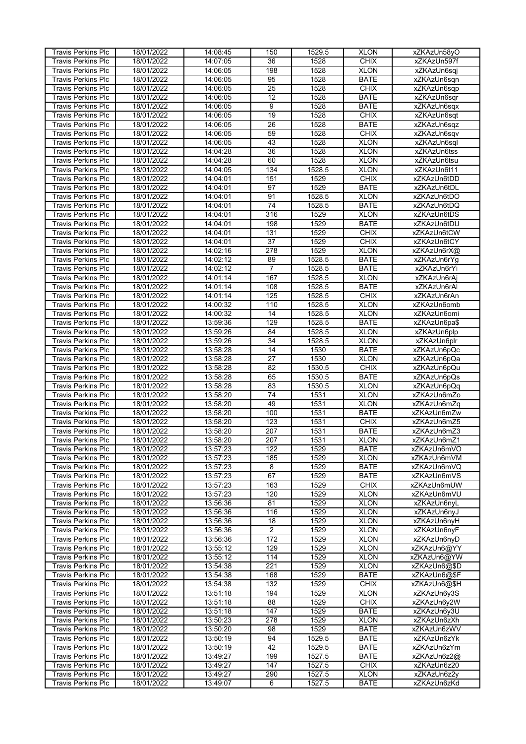| <b>Travis Perkins Plc</b> | 18/01/2022 | 14:08:45 | 150             | 1529.5 | <b>XLON</b> | xZKAzUn58yO  |
|---------------------------|------------|----------|-----------------|--------|-------------|--------------|
|                           |            |          |                 |        |             | xZKAzUn597f  |
| <b>Travis Perkins Plc</b> | 18/01/2022 | 14:07:05 | 36              | 1528   | <b>CHIX</b> |              |
| <b>Travis Perkins Plc</b> | 18/01/2022 | 14:06:05 | 198             | 1528   | <b>XLON</b> | xZKAzUn6sqj  |
| <b>Travis Perkins Plc</b> | 18/01/2022 | 14:06:05 | 95              | 1528   | <b>BATE</b> | xZKAzUn6sqn  |
| <b>Travis Perkins Plc</b> | 18/01/2022 | 14:06:05 | $\overline{25}$ | 1528   | <b>CHIX</b> | xZKAzUn6sqp  |
| <b>Travis Perkins Plc</b> | 18/01/2022 | 14:06:05 | $\overline{12}$ | 1528   | <b>BATE</b> | xZKAzUn6sqr  |
|                           |            |          |                 |        |             |              |
| Travis Perkins Plc        | 18/01/2022 | 14:06:05 | $\overline{9}$  | 1528   | <b>BATE</b> | xZKAzUn6sqx  |
| <b>Travis Perkins Plc</b> | 18/01/2022 | 14:06:05 | 19              | 1528   | <b>CHIX</b> | xZKAzUn6sqt  |
| <b>Travis Perkins Plc</b> | 18/01/2022 | 14:06:05 | 26              | 1528   | <b>BATE</b> | xZKAzUn6sqz  |
| Travis Perkins Plc        | 18/01/2022 | 14:06:05 | 59              | 1528   | <b>CHIX</b> | xZKAzUn6sqv  |
| <b>Travis Perkins Plc</b> | 18/01/2022 | 14:06:05 | 43              | 1528   | <b>XLON</b> | xZKAzUn6sql  |
|                           | 18/01/2022 | 14:04:28 | 36              | 1528   | <b>XLON</b> | xZKAzUn6tss  |
| <b>Travis Perkins Plc</b> |            |          |                 |        |             |              |
| <b>Travis Perkins Plc</b> | 18/01/2022 | 14:04:28 | 60              | 1528   | <b>XLON</b> | xZKAzUn6tsu  |
| <b>Travis Perkins Plc</b> | 18/01/2022 | 14:04:05 | 134             | 1528.5 | <b>XLON</b> | xZKAzUn6t11  |
| Travis Perkins Plc        | 18/01/2022 | 14:04:01 | 151             | 1529   | <b>CHIX</b> | xZKAzUn6tDD  |
| <b>Travis Perkins Plc</b> | 18/01/2022 | 14:04:01 | $\overline{97}$ | 1529   | <b>BATE</b> | xZKAzUn6tDL  |
| Travis Perkins Plc        | 18/01/2022 | 14:04:01 | 91              | 1528.5 | <b>XLON</b> | xZKAzUn6tDO  |
| <b>Travis Perkins Plc</b> | 18/01/2022 | 14:04:01 | 74              | 1528.5 | <b>BATE</b> | xZKAzUn6tDQ  |
|                           |            |          |                 |        |             |              |
| <b>Travis Perkins Plc</b> | 18/01/2022 | 14:04:01 | 316             | 1529   | <b>XLON</b> | xZKAzUn6tDS  |
| Travis Perkins Plc        | 18/01/2022 | 14:04:01 | 198             | 1529   | <b>BATE</b> | xZKAzUn6tDU  |
| <b>Travis Perkins Plc</b> | 18/01/2022 | 14:04:01 | 131             | 1529   | <b>CHIX</b> | xZKAzUn6tCW  |
| <b>Travis Perkins Plc</b> | 18/01/2022 | 14:04:01 | $\overline{37}$ | 1529   | <b>CHIX</b> | xZKAzUn6tCY  |
| <b>Travis Perkins Plc</b> | 18/01/2022 | 14:02:16 | 278             | 1529   | <b>XLON</b> | xZKAzUn6rX@  |
| <b>Travis Perkins Plc</b> | 18/01/2022 | 14:02:12 | 89              | 1528.5 | <b>BATE</b> | xZKAzUn6rYg  |
|                           |            |          |                 |        |             |              |
| <b>Travis Perkins Plc</b> | 18/01/2022 | 14:02:12 | $\overline{7}$  | 1528.5 | <b>BATE</b> | xZKAzUn6rYi  |
| <b>Travis Perkins Plc</b> | 18/01/2022 | 14:01:14 | 167             | 1528.5 | <b>XLON</b> | xZKAzUn6rAj  |
| <b>Travis Perkins Plc</b> | 18/01/2022 | 14:01:14 | 108             | 1528.5 | <b>BATE</b> | xZKAzUn6rAI  |
| <b>Travis Perkins Plc</b> | 18/01/2022 | 14:01:14 | 125             | 1528.5 | <b>CHIX</b> | xZKAzUn6rAn  |
| <b>Travis Perkins Plc</b> | 18/01/2022 | 14:00:32 | 110             | 1528.5 | <b>XLON</b> | xZKAzUn6omb  |
| <b>Travis Perkins Plc</b> | 18/01/2022 | 14:00:32 | 14              | 1528.5 | <b>XLON</b> | xZKAzUn6omi  |
|                           |            |          |                 |        |             |              |
| <b>Travis Perkins Plc</b> | 18/01/2022 | 13:59:36 | 129             | 1528.5 | <b>BATE</b> | xZKAzUn6pa\$ |
| <b>Travis Perkins Plc</b> | 18/01/2022 | 13:59:26 | 84              | 1528.5 | <b>XLON</b> | xZKAzUn6plp  |
| <b>Travis Perkins Plc</b> | 18/01/2022 | 13:59:26 | $\overline{34}$ | 1528.5 | <b>XLON</b> | xZKAzUn6plr  |
| Travis Perkins Plc        | 18/01/2022 | 13:58:28 | 14              | 1530   | <b>BATE</b> | xZKAzUn6pQc  |
| Travis Perkins Plc        | 18/01/2022 | 13:58:28 | $\overline{27}$ | 1530   | <b>XLON</b> | xZKAzUn6pQa  |
| <b>Travis Perkins Plc</b> | 18/01/2022 | 13:58:28 | 82              | 1530.5 | <b>CHIX</b> | xZKAzUn6pQu  |
|                           |            |          |                 |        |             | xZKAzUn6pQs  |
| <b>Travis Perkins Plc</b> | 18/01/2022 | 13:58:28 | 65              | 1530.5 | <b>BATE</b> |              |
| <b>Travis Perkins Plc</b> | 18/01/2022 | 13:58:28 | 83              | 1530.5 | <b>XLON</b> | xZKAzUn6pQq  |
| <b>Travis Perkins Plc</b> | 18/01/2022 | 13:58:20 | $\overline{74}$ | 1531   | <b>XLON</b> | xZKAzUn6mZo  |
| <b>Travis Perkins Plc</b> | 18/01/2022 | 13:58:20 | 49              | 1531   | <b>XLON</b> | xZKAzUn6mZq  |
| <b>Travis Perkins Plc</b> | 18/01/2022 | 13:58:20 | 100             | 1531   | <b>BATE</b> | xZKAzUn6mZw  |
| <b>Travis Perkins Plc</b> | 18/01/2022 | 13:58:20 | 123             | 1531   | <b>CHIX</b> | xZKAzUn6mZ5  |
| <b>Travis Perkins Plc</b> | 18/01/2022 | 13:58:20 | 207             | 1531   | <b>BATE</b> | xZKAzUn6mZ3  |
|                           |            |          |                 |        |             |              |
| <b>Travis Perkins Plc</b> | 18/01/2022 | 13:58:20 | 207             | 1531   | <b>XLON</b> | xZKAzUn6mZ1  |
| <b>Travis Perkins Plc</b> | 18/01/2022 | 13:57:23 | 122             | 1529   | <b>BATE</b> | xZKAzUn6mVO  |
| <b>Travis Perkins Plc</b> | 18/01/2022 | 13:57:23 | 185             | 1529   | <b>XLON</b> | xZKAzUn6mVM  |
| <b>Travis Perkins Plc</b> | 18/01/2022 | 13:57:23 | 8               | 1529   | <b>BATE</b> | xZKAzUn6mVQ  |
| <b>Travis Perkins Plc</b> | 18/01/2022 | 13:57:23 | 67              | 1529   | <b>BATE</b> | xZKAzUn6mVS  |
| <b>Travis Perkins Plc</b> | 18/01/2022 | 13:57:23 | 163             | 1529   | <b>CHIX</b> | xZKAzUn6mUW  |
| <b>Travis Perkins Plc</b> |            |          | 120             |        | <b>XLON</b> | xZKAzUn6mVU  |
|                           | 18/01/2022 | 13:57:23 |                 | 1529   |             |              |
| <b>Travis Perkins Plc</b> | 18/01/2022 | 13:56:36 | 81              | 1529   | <b>XLON</b> | xZKAzUn6nyL  |
| <b>Travis Perkins Plc</b> | 18/01/2022 | 13:56:36 | 116             | 1529   | <b>XLON</b> | xZKAzUn6nyJ  |
| <b>Travis Perkins Plc</b> | 18/01/2022 | 13:56:36 | 18              | 1529   | <b>XLON</b> | xZKAzUn6nyH  |
| <b>Travis Perkins Plc</b> | 18/01/2022 | 13:56:36 | $\overline{2}$  | 1529   | <b>XLON</b> | xZKAzUn6nyF  |
| <b>Travis Perkins Plc</b> | 18/01/2022 | 13:56:36 | 172             | 1529   | <b>XLON</b> | xZKAzUn6nyD  |
| <b>Travis Perkins Plc</b> | 18/01/2022 | 13:55:12 | 129             | 1529   | <b>XLON</b> | xZKAzUn6@YY  |
|                           |            |          |                 |        |             |              |
| <b>Travis Perkins Plc</b> | 18/01/2022 | 13:55:12 | 114             | 1529   | <b>XLON</b> | xZKAzUn6@YW  |
| <b>Travis Perkins Plc</b> | 18/01/2022 | 13:54:38 | 221             | 1529   | <b>XLON</b> | xZKAzUn6@\$D |
| <b>Travis Perkins Plc</b> | 18/01/2022 | 13:54:38 | 168             | 1529   | <b>BATE</b> | xZKAzUn6@\$F |
| <b>Travis Perkins Plc</b> | 18/01/2022 | 13:54:38 | 132             | 1529   | <b>CHIX</b> | xZKAzUn6@\$H |
| <b>Travis Perkins Plc</b> | 18/01/2022 | 13:51:18 | 194             | 1529   | <b>XLON</b> | xZKAzUn6y3S  |
| <b>Travis Perkins Plc</b> | 18/01/2022 | 13:51:18 | 88              | 1529   | <b>CHIX</b> | xZKAzUn6y2W  |
| <b>Travis Perkins Plc</b> | 18/01/2022 | 13:51:18 | 147             | 1529   | <b>BATE</b> | xZKAzUn6y3U  |
|                           |            |          |                 |        |             |              |
| <b>Travis Perkins Plc</b> | 18/01/2022 | 13:50:23 | 278             | 1529   | <b>XLON</b> | xZKAzUn6zXh  |
| <b>Travis Perkins Plc</b> | 18/01/2022 | 13:50:20 | 98              | 1529   | <b>BATE</b> | xZKAzUn6zWV  |
| <b>Travis Perkins Plc</b> | 18/01/2022 | 13:50:19 | 94              | 1529.5 | <b>BATE</b> | xZKAzUn6zYk  |
| Travis Perkins Plc        | 18/01/2022 | 13:50:19 | 42              | 1529.5 | <b>BATE</b> | xZKAzUn6zYm  |
| <b>Travis Perkins Plc</b> | 18/01/2022 | 13:49:27 | 199             | 1527.5 | <b>BATE</b> | xZKAzUn6z2@  |
| <b>Travis Perkins Plc</b> | 18/01/2022 | 13:49:27 | 147             | 1527.5 | <b>CHIX</b> | xZKAzUn6z20  |
|                           |            |          |                 |        |             |              |
| <b>Travis Perkins Plc</b> | 18/01/2022 | 13:49:27 | 290             | 1527.5 | <b>XLON</b> | xZKAzUn6z2y  |
| <b>Travis Perkins Plc</b> | 18/01/2022 | 13:49:07 | 6               | 1527.5 | <b>BATE</b> | xZKAzUn6zKd  |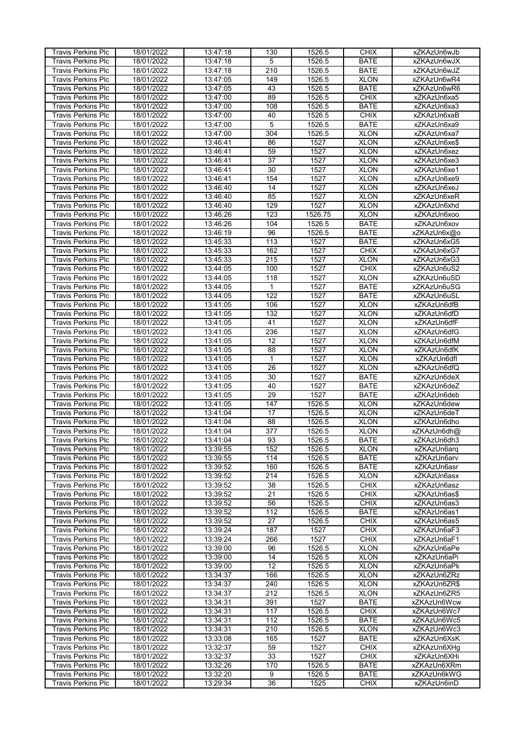| Travis Perkins Plc        | 18/01/2022 | 13:47:18 | 130                    | 1526.5  | <b>CHIX</b> | xZKAzUn6wJb                |
|---------------------------|------------|----------|------------------------|---------|-------------|----------------------------|
| <b>Travis Perkins Plc</b> | 18/01/2022 | 13:47:18 | 5                      | 1526.5  | <b>BATE</b> | xZKAzUn6wJX                |
|                           |            |          |                        |         |             |                            |
| <b>Travis Perkins Plc</b> | 18/01/2022 | 13:47:18 | 210                    | 1526.5  | <b>BATE</b> | xZKAzUn6wJZ                |
| Travis Perkins Plc        | 18/01/2022 | 13:47:05 | 149                    | 1526.5  | <b>XLON</b> | xZKAzUn6wR4                |
| <b>Travis Perkins Plc</b> | 18/01/2022 | 13:47:05 | 43                     | 1526.5  | <b>BATE</b> | xZKAzUn6wR6                |
| <b>Travis Perkins Plc</b> | 18/01/2022 | 13:47:00 | 89                     | 1526.5  | <b>CHIX</b> | xZKAzUn6xa5                |
| Travis Perkins Plc        | 18/01/2022 | 13:47:00 | 108                    | 1526.5  | <b>BATE</b> | xZKAzUn6xa3                |
| Travis Perkins Plc        | 18/01/2022 | 13:47:00 | 40                     | 1526.5  | <b>CHIX</b> | xZKAzUn6xaB                |
| <b>Travis Perkins Plc</b> | 18/01/2022 | 13:47:00 | $\overline{5}$         | 1526.5  | <b>BATE</b> | xZKAzUn6xa9                |
| <b>Travis Perkins Plc</b> | 18/01/2022 | 13:47:00 | 304                    | 1526.5  | <b>XLON</b> | xZKAzUn6xa7                |
|                           |            |          |                        |         |             |                            |
| <b>Travis Perkins Plc</b> | 18/01/2022 | 13:46:41 | 86                     | 1527    | <b>XLON</b> | xZKAzUn6xe\$               |
| <b>Travis Perkins Plc</b> | 18/01/2022 | 13:46:41 | 59                     | 1527    | <b>XLON</b> | xZKAzUn6xez                |
| <b>Travis Perkins Plc</b> | 18/01/2022 | 13:46:41 | $\overline{37}$        | 1527    | <b>XLON</b> | xZKAzUn6xe3                |
| Travis Perkins Plc        | 18/01/2022 | 13:46:41 | 30                     | 1527    | <b>XLON</b> | xZKAzUn6xe1                |
| <b>Travis Perkins Plc</b> | 18/01/2022 | 13:46:41 | 154                    | 1527    | <b>XLON</b> | xZKAzUn6xe9                |
| <b>Travis Perkins Plc</b> | 18/01/2022 | 13:46:40 | 14                     | 1527    | <b>XLON</b> | xZKAzUn6xeJ                |
| <b>Travis Perkins Plc</b> | 18/01/2022 | 13:46:40 | 85                     | 1527    | <b>XLON</b> | xZKAzUn6xeR                |
| <b>Travis Perkins Plc</b> | 18/01/2022 | 13:46:40 | 129                    | 1527    | <b>XLON</b> | xZKAzUn6xhd                |
| <b>Travis Perkins Plc</b> | 18/01/2022 | 13:46:26 | 123                    | 1526.75 | <b>XLON</b> | xZKAzUn6xoo                |
| <b>Travis Perkins Plc</b> | 18/01/2022 | 13:46:26 | 104                    | 1526.5  | BATE        | xZKAzUn6xov                |
|                           |            |          |                        |         |             |                            |
| <b>Travis Perkins Plc</b> | 18/01/2022 | 13:46:19 | 96                     | 1526.5  | <b>BATE</b> | xZKAzUn6x@o                |
| <b>Travis Perkins Plc</b> | 18/01/2022 | 13:45:33 | 113                    | 1527    | <b>BATE</b> | xZKAzUn6xG5                |
| <b>Travis Perkins Plc</b> | 18/01/2022 | 13:45:33 | 162                    | 1527    | <b>CHIX</b> | xZKAzUn6xG7                |
| Travis Perkins Plc        | 18/01/2022 | 13:45:33 | 215                    | 1527    | <b>XLON</b> | xZKAzUn6xG3                |
| <b>Travis Perkins Plc</b> | 18/01/2022 | 13:44:05 | 100                    | 1527    | <b>CHIX</b> | xZKAzUn6uS2                |
| <b>Travis Perkins Plc</b> | 18/01/2022 | 13:44:05 | 118                    | 1527    | <b>XLON</b> | xZKAzUn6uSD                |
| <b>Travis Perkins Plc</b> | 18/01/2022 | 13:44:05 | 1                      | 1527    | <b>BATE</b> | xZKAzUn6uSG                |
| <b>Travis Perkins Plc</b> | 18/01/2022 | 13:44:05 | 122                    | 1527    | <b>BATE</b> | xZKAzUn6uSL                |
| <b>Travis Perkins Plc</b> | 18/01/2022 | 13:41:05 | 106                    | 1527    | <b>XLON</b> | xZKAzUn6dfB                |
| <b>Travis Perkins Plc</b> | 18/01/2022 | 13:41:05 | 132                    | 1527    | <b>XLON</b> | xZKAzUn6dfD                |
| Travis Perkins Plc        | 18/01/2022 | 13:41:05 | 41                     | 1527    | <b>XLON</b> | xZKAzUn6dfF                |
| Travis Perkins Plc        | 18/01/2022 | 13:41:05 | 236                    | 1527    | <b>XLON</b> | xZKAzUn6dfG                |
| <b>Travis Perkins Plc</b> | 18/01/2022 | 13:41:05 | 12                     | 1527    | <b>XLON</b> | xZKAzUn6dfM                |
|                           |            |          |                        |         |             |                            |
| Travis Perkins Plc        | 18/01/2022 | 13:41:05 | 88                     | 1527    | <b>XLON</b> | xZKAzUn6dfK                |
| Travis Perkins Plc        | 18/01/2022 | 13:41:05 | $\mathbf{1}$           | 1527    | <b>XLON</b> | xZKAzUn6dfl                |
| <b>Travis Perkins Plc</b> | 18/01/2022 | 13:41:05 | 26                     | 1527    | <b>XLON</b> | xZKAzUn6dfQ                |
| <b>Travis Perkins Plc</b> | 18/01/2022 | 13:41:05 | 30                     | 1527    | <b>BATE</b> | xZKAzUn6deX                |
| <b>Travis Perkins Plc</b> | 18/01/2022 | 13:41:05 | 40                     | 1527    | <b>BATE</b> | xZKAzUn6deZ                |
| <b>Travis Perkins Plc</b> | 18/01/2022 | 13:41:05 | 29                     | 1527    | <b>BATE</b> | xZKAzUn6deb                |
| <b>Travis Perkins Plc</b> | 18/01/2022 | 13:41:05 | 147                    | 1526.5  | <b>XLON</b> | xZKAzUn6dew                |
| Travis Perkins Plc        | 18/01/2022 | 13:41:04 | 17                     | 1526.5  | <b>XLON</b> | xZKAzUn6deT                |
| <b>Travis Perkins Plc</b> | 18/01/2022 | 13:41:04 | 88                     | 1526.5  | <b>XLON</b> | xZKAzUn6dho                |
| <b>Travis Perkins Plc</b> | 18/01/2022 | 13:41:04 | 377                    | 1526.5  | <b>XLON</b> | xZKAzUn6dh@                |
| <b>Travis Perkins Plc</b> | 18/01/2022 | 13:41:04 | 93                     | 1526.5  | <b>BATE</b> | xZKAzUn6dh3                |
| <b>Travis Perkins Plc</b> | 18/01/2022 | 13:39:55 | 152                    | 1526.5  | <b>XLON</b> | xZKAzUn6arq                |
| Travis Perkins Plc        | 18/01/2022 | 13:39:55 | 114                    | 1526.5  | <b>BATE</b> | xZKAzUn6arv                |
| <b>Travis Perkins Plc</b> | 18/01/2022 | 13:39:52 | 160                    | 1526.5  | <b>BATE</b> | xZKAzUn6asr                |
| <b>Travis Perkins Plc</b> | 18/01/2022 | 13:39:52 | 214                    | 1526.5  | <b>XLON</b> | xZKAzUn6asx                |
| <b>Travis Perkins Plc</b> | 18/01/2022 | 13:39:52 | 38                     | 1526.5  | <b>CHIX</b> | xZKAzUn6asz                |
| <b>Travis Perkins Plc</b> | 18/01/2022 | 13:39:52 | 21                     | 1526.5  | <b>CHIX</b> | xZKAzUn6as\$               |
| <b>Travis Perkins Plc</b> | 18/01/2022 |          | 56                     |         | <b>CHIX</b> | xZKAzUn6as3                |
|                           |            | 13:39:52 |                        | 1526.5  | <b>BATE</b> |                            |
| <b>Travis Perkins Plc</b> | 18/01/2022 | 13:39:52 | 112<br>$\overline{27}$ | 1526.5  |             | xZKAzUn6as1<br>xZKAzUn6as5 |
| <b>Travis Perkins Plc</b> | 18/01/2022 | 13:39:52 |                        | 1526.5  | <b>CHIX</b> |                            |
| <b>Travis Perkins Plc</b> | 18/01/2022 | 13:39:24 | 187                    | 1527    | <b>CHIX</b> | xZKAzUn6aF3                |
| <b>Travis Perkins Plc</b> | 18/01/2022 | 13:39:24 | 266                    | 1527    | <b>CHIX</b> | xZKAzUn6aF1                |
| <b>Travis Perkins Plc</b> | 18/01/2022 | 13:39:00 | 96                     | 1526.5  | <b>XLON</b> | xZKAzUn6aPe                |
| <b>Travis Perkins Plc</b> | 18/01/2022 | 13:39:00 | 14                     | 1526.5  | <b>XLON</b> | xZKAzUn6aPi                |
| <b>Travis Perkins Plc</b> | 18/01/2022 | 13:39:00 | 12                     | 1526.5  | <b>XLON</b> | xZKAzUn6aPk                |
| <b>Travis Perkins Plc</b> | 18/01/2022 | 13:34:37 | 166                    | 1526.5  | <b>XLON</b> | xZKAzUn6ZRz                |
| <b>Travis Perkins Plc</b> | 18/01/2022 | 13:34:37 | 240                    | 1526.5  | <b>XLON</b> | xZKAzUn6ZR\$               |
| <b>Travis Perkins Plc</b> | 18/01/2022 | 13:34:37 | 212                    | 1526.5  | <b>XLON</b> | xZKAzUn6ZR5                |
| <b>Travis Perkins Plc</b> | 18/01/2022 | 13:34:31 | 391                    | 1527    | <b>BATE</b> | xZKAzUn6Wcw                |
| <b>Travis Perkins Plc</b> | 18/01/2022 | 13:34:31 | 117                    | 1526.5  | <b>CHIX</b> | xZKAzUn6Wc7                |
| Travis Perkins Plc        | 18/01/2022 | 13:34:31 | 112                    | 1526.5  | <b>BATE</b> | xZKAzUn6Wc5                |
| <b>Travis Perkins Plc</b> | 18/01/2022 | 13:34:31 | 210                    | 1526.5  | <b>XLON</b> | xZKAzUn6Wc3                |
| <b>Travis Perkins Plc</b> | 18/01/2022 | 13:33:08 | 165                    | 1527    | <b>BATE</b> | xZKAzUn6XsK                |
| <b>Travis Perkins Plc</b> | 18/01/2022 | 13:32:37 | 59                     | 1527    | <b>CHIX</b> | xZKAzUn6XHg                |
| <b>Travis Perkins Plc</b> |            |          |                        |         |             |                            |
|                           | 18/01/2022 | 13:32:37 | 33                     | 1527    | <b>CHIX</b> | xZKAzUn6XHi                |
| <b>Travis Perkins Plc</b> | 18/01/2022 | 13:32:26 | 170                    | 1526.5  | <b>BATE</b> | xZKAzUn6XRm                |
| <b>Travis Perkins Plc</b> | 18/01/2022 | 13:32:20 | 9                      | 1526.5  | <b>BATE</b> | xZKAzUn6kWG                |
| Travis Perkins Plc        | 18/01/2022 | 13:29:34 | 36                     | 1525    | <b>CHIX</b> | xZKAzUn6inD                |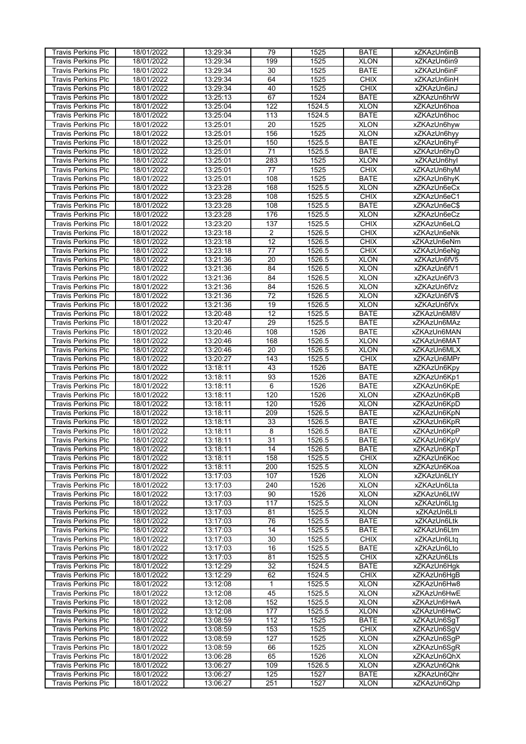| <b>Travis Perkins Plc</b> | 18/01/2022 | 13:29:34 | 79              | 1525   | <b>BATE</b> | xZKAzUn6inB  |
|---------------------------|------------|----------|-----------------|--------|-------------|--------------|
|                           |            |          | 199             |        | <b>XLON</b> |              |
| <b>Travis Perkins Plc</b> | 18/01/2022 | 13:29:34 |                 | 1525   |             | xZKAzUn6in9  |
| <b>Travis Perkins Plc</b> | 18/01/2022 | 13:29:34 | 30              | 1525   | <b>BATE</b> | xZKAzUn6inF  |
| <b>Travis Perkins Plc</b> | 18/01/2022 | 13:29:34 | 64              | 1525   | <b>CHIX</b> | xZKAzUn6inH  |
| <b>Travis Perkins Plc</b> | 18/01/2022 | 13:29:34 | 40              | 1525   | <b>CHIX</b> | xZKAzUn6inJ  |
| <b>Travis Perkins Plc</b> | 18/01/2022 | 13:25:13 | 67              | 1524   | <b>BATE</b> | xZKAzUn6hrW  |
|                           |            |          |                 |        |             |              |
| Travis Perkins Plc        | 18/01/2022 | 13:25:04 | 122             | 1524.5 | <b>XLON</b> | xZKAzUn6hoa  |
| <b>Travis Perkins Plc</b> | 18/01/2022 | 13:25:04 | 113             | 1524.5 | <b>BATE</b> | xZKAzUn6hoc  |
| <b>Travis Perkins Plc</b> | 18/01/2022 | 13:25:01 | 20              | 1525   | <b>XLON</b> | xZKAzUn6hyw  |
| <b>Travis Perkins Plc</b> | 18/01/2022 | 13:25:01 | 156             | 1525   | <b>XLON</b> | xZKAzUn6hyy  |
| <b>Travis Perkins Plc</b> | 18/01/2022 | 13:25:01 | 150             | 1525.5 | <b>BATE</b> | xZKAzUn6hyF  |
|                           | 18/01/2022 | 13:25:01 | $\overline{71}$ | 1525.5 | <b>BATE</b> |              |
| <b>Travis Perkins Plc</b> |            |          |                 |        |             | xZKAzUn6hyD  |
| <b>Travis Perkins Plc</b> | 18/01/2022 | 13:25:01 | 283             | 1525   | <b>XLON</b> | xZKAzUn6hyl  |
| <b>Travis Perkins Plc</b> | 18/01/2022 | 13:25:01 | 77              | 1525   | <b>CHIX</b> | xZKAzUn6hyM  |
| Travis Perkins Plc        | 18/01/2022 | 13:25:01 | 108             | 1525   | <b>BATE</b> | xZKAzUn6hyK  |
| <b>Travis Perkins Plc</b> | 18/01/2022 | 13:23:28 | 168             | 1525.5 | <b>XLON</b> | xZKAzUn6eCx  |
| Travis Perkins Plc        | 18/01/2022 | 13:23:28 | 108             | 1525.5 | <b>CHIX</b> | xZKAzUn6eC1  |
| <b>Travis Perkins Plc</b> | 18/01/2022 | 13:23:28 | 108             | 1525.5 | <b>BATE</b> | xZKAzUn6eC\$ |
|                           |            |          |                 |        |             |              |
| <b>Travis Perkins Plc</b> | 18/01/2022 | 13:23:28 | 176             | 1525.5 | <b>XLON</b> | xZKAzUn6eCz  |
| <b>Travis Perkins Plc</b> | 18/01/2022 | 13:23:20 | 137             | 1525.5 | <b>CHIX</b> | xZKAzUn6eLQ  |
| <b>Travis Perkins Plc</b> | 18/01/2022 | 13:23:18 | $\overline{c}$  | 1526.5 | <b>CHIX</b> | xZKAzUn6eNk  |
| <b>Travis Perkins Plc</b> | 18/01/2022 | 13:23:18 | 12              | 1526.5 | <b>CHIX</b> | xZKAzUn6eNm  |
| <b>Travis Perkins Plc</b> | 18/01/2022 | 13:23:18 | $\overline{77}$ | 1526.5 | <b>CHIX</b> | xZKAzUn6eNg  |
| <b>Travis Perkins Plc</b> | 18/01/2022 |          | 20              | 1526.5 | <b>XLON</b> | xZKAzUn6fV5  |
|                           |            | 13:21:36 |                 |        |             |              |
| <b>Travis Perkins Plc</b> | 18/01/2022 | 13:21:36 | 84              | 1526.5 | <b>XLON</b> | xZKAzUn6fV1  |
| <b>Travis Perkins Plc</b> | 18/01/2022 | 13:21:36 | 84              | 1526.5 | <b>XLON</b> | xZKAzUn6fV3  |
| <b>Travis Perkins Plc</b> | 18/01/2022 | 13:21:36 | 84              | 1526.5 | <b>XLON</b> | xZKAzUn6fVz  |
| <b>Travis Perkins Plc</b> | 18/01/2022 | 13:21:36 | $\overline{72}$ | 1526.5 | <b>XLON</b> | xZKAzUn6fV\$ |
| <b>Travis Perkins Plc</b> | 18/01/2022 | 13:21:36 | 19              | 1526.5 | <b>XLON</b> | xZKAzUn6fVx  |
|                           |            | 13:20:48 | $\overline{12}$ |        | <b>BATE</b> | xZKAzUn6M8V  |
| Travis Perkins Plc        | 18/01/2022 |          |                 | 1525.5 |             |              |
| <b>Travis Perkins Plc</b> | 18/01/2022 | 13:20:47 | 29              | 1525.5 | <b>BATE</b> | xZKAzUn6MAz  |
| <b>Travis Perkins Plc</b> | 18/01/2022 | 13:20:46 | 108             | 1526   | <b>BATE</b> | xZKAzUn6MAN  |
| <b>Travis Perkins Plc</b> | 18/01/2022 | 13:20:46 | 168             | 1526.5 | <b>XLON</b> | xZKAzUn6MAT  |
| <b>Travis Perkins Plc</b> | 18/01/2022 | 13:20:46 | 20              | 1526.5 | <b>XLON</b> | xZKAzUn6MLX  |
| Travis Perkins Plc        | 18/01/2022 | 13:20:27 | 143             | 1525.5 | <b>CHIX</b> | xZKAzUn6MPr  |
|                           |            |          |                 |        |             |              |
| <b>Travis Perkins Plc</b> | 18/01/2022 | 13:18:11 | 43              | 1526   | <b>BATE</b> | xZKAzUn6Kpy  |
| Travis Perkins Plc        | 18/01/2022 | 13:18:11 | 93              | 1526   | <b>BATE</b> | xZKAzUn6Kp1  |
| <b>Travis Perkins Plc</b> | 18/01/2022 | 13:18:11 | 6               | 1526   | <b>BATE</b> | xZKAzUn6KpE  |
| <b>Travis Perkins Plc</b> | 18/01/2022 | 13:18:11 | 120             | 1526   | <b>XLON</b> | xZKAzUn6KpB  |
| <b>Travis Perkins Plc</b> | 18/01/2022 | 13:18:11 | 120             | 1526   | <b>XLON</b> | xZKAzUn6KpD  |
| <b>Travis Perkins Plc</b> | 18/01/2022 | 13:18:11 | 209             | 1526.5 | <b>BATE</b> | xZKAzUn6KpN  |
| <b>Travis Perkins Plc</b> | 18/01/2022 | 13:18:11 | 33              | 1526.5 | <b>BATE</b> | xZKAzUn6KpR  |
|                           |            |          |                 |        |             |              |
| <b>Travis Perkins Plc</b> | 18/01/2022 | 13:18:11 | $\overline{8}$  | 1526.5 | <b>BATE</b> | xZKAzUn6KpP  |
| <b>Travis Perkins Plc</b> | 18/01/2022 | 13:18:11 | 31              | 1526.5 | <b>BATE</b> | xZKAzUn6KpV  |
| <b>Travis Perkins Plc</b> | 18/01/2022 | 13:18:11 | 14              | 1526.5 | <b>BATE</b> | xZKAzUn6KpT  |
| <b>Travis Perkins Plc</b> | 18/01/2022 | 13:18:11 | 158             | 1525.5 | <b>CHIX</b> | xZKAzUn6Koc  |
| Travis Perkins Plc        | 18/01/2022 | 13:18:11 | 200             | 1525.5 | <b>XLON</b> | xZKAzUn6Koa  |
| <b>Travis Perkins Plc</b> | 18/01/2022 | 13:17:03 | 107             | 1526   | <b>XLON</b> | xZKAzUn6LtY  |
|                           |            |          |                 |        |             |              |
| <b>Travis Perkins Plc</b> | 18/01/2022 | 13:17:03 | 240             | 1526   | <b>XLON</b> | xZKAzUn6Lta  |
| <b>Travis Perkins Plc</b> | 18/01/2022 | 13:17:03 | 90              | 1526   | <b>XLON</b> | xZKAzUn6LtW  |
| <b>Travis Perkins Plc</b> | 18/01/2022 | 13:17:03 | 117             | 1525.5 | <b>XLON</b> | xZKAzUn6Ltg  |
| <b>Travis Perkins Plc</b> | 18/01/2022 | 13:17:03 | 81              | 1525.5 | <b>XLON</b> | xZKAzUn6Lti  |
| <b>Travis Perkins Plc</b> | 18/01/2022 | 13:17:03 | 76              | 1525.5 | <b>BATE</b> | xZKAzUn6Ltk  |
| <b>Travis Perkins Plc</b> | 18/01/2022 | 13:17:03 | 14              | 1525.5 | <b>BATE</b> | xZKAzUn6Ltm  |
| <b>Travis Perkins Plc</b> | 18/01/2022 | 13:17:03 | 30              | 1525.5 | <b>CHIX</b> | xZKAzUn6Ltq  |
|                           |            |          |                 |        |             |              |
| <b>Travis Perkins Plc</b> | 18/01/2022 | 13:17:03 | 16              | 1525.5 | <b>BATE</b> | xZKAzUn6Lto  |
| <b>Travis Perkins Plc</b> | 18/01/2022 | 13:17:03 | 81              | 1525.5 | <b>CHIX</b> | xZKAzUn6Lts  |
| <b>Travis Perkins Plc</b> | 18/01/2022 | 13:12:29 | 32              | 1524.5 | <b>BATE</b> | xZKAzUn6Hgk  |
| <b>Travis Perkins Plc</b> | 18/01/2022 | 13:12:29 | 62              | 1524.5 | <b>CHIX</b> | xZKAzUn6HgB  |
| <b>Travis Perkins Plc</b> | 18/01/2022 | 13:12:08 | 1               | 1525.5 | <b>XLON</b> | xZKAzUn6Hw8  |
| <b>Travis Perkins Plc</b> | 18/01/2022 | 13:12:08 | 45              | 1525.5 | <b>XLON</b> | xZKAzUn6HwE  |
| <b>Travis Perkins Plc</b> |            |          | 152             |        | <b>XLON</b> | xZKAzUn6HwA  |
|                           | 18/01/2022 | 13:12:08 |                 | 1525.5 |             |              |
| <b>Travis Perkins Plc</b> | 18/01/2022 | 13:12:08 | 177             | 1525.5 | <b>XLON</b> | xZKAzUn6HwC  |
| <b>Travis Perkins Plc</b> | 18/01/2022 | 13:08:59 | 112             | 1525   | <b>BATE</b> | xZKAzUn6SgT  |
| <b>Travis Perkins Plc</b> | 18/01/2022 | 13:08:59 | 153             | 1525   | <b>CHIX</b> | xZKAzUn6SgV  |
| <b>Travis Perkins Plc</b> | 18/01/2022 | 13:08:59 | 127             | 1525   | <b>XLON</b> | xZKAzUn6SgP  |
| <b>Travis Perkins Plc</b> | 18/01/2022 | 13:08:59 | 66              | 1525   | <b>XLON</b> | xZKAzUn6SgR  |
| <b>Travis Perkins Plc</b> | 18/01/2022 | 13:06:28 | 65              | 1526   | <b>XLON</b> | xZKAzUn6QhX  |
|                           |            |          |                 |        |             |              |
| <b>Travis Perkins Plc</b> | 18/01/2022 | 13:06:27 | 109             | 1526.5 | <b>XLON</b> | xZKAzUn6Qhk  |
| <b>Travis Perkins Plc</b> | 18/01/2022 | 13:06:27 | 125             | 1527   | <b>BATE</b> | xZKAzUn6Qhr  |
| <b>Travis Perkins Plc</b> | 18/01/2022 | 13:06:27 | 251             | 1527   | <b>XLON</b> | xZKAzUn6Qhp  |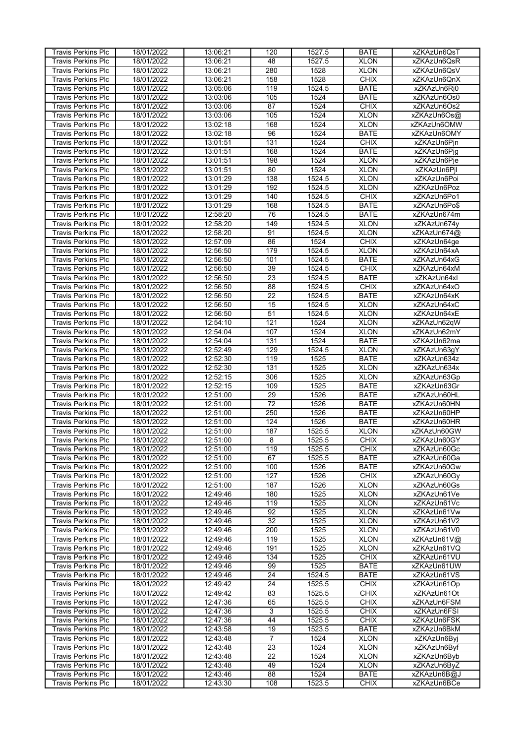| <b>Travis Perkins Plc</b> | 18/01/2022 | 13:06:21 | 120             | 1527.5 | <b>BATE</b> | xZKAzUn6QsT  |
|---------------------------|------------|----------|-----------------|--------|-------------|--------------|
| <b>Travis Perkins Plc</b> | 18/01/2022 | 13:06:21 | 48              | 1527.5 | <b>XLON</b> |              |
|                           |            |          |                 |        |             | xZKAzUn6QsR  |
| <b>Travis Perkins Plc</b> | 18/01/2022 | 13:06:21 | 280             | 1528   | <b>XLON</b> | xZKAzUn6QsV  |
| <b>Travis Perkins Plc</b> | 18/01/2022 | 13:06:21 | 158             | 1528   | <b>CHIX</b> | xZKAzUn6QnX  |
| <b>Travis Perkins Plc</b> | 18/01/2022 | 13:05:06 | 119             | 1524.5 | <b>BATE</b> | xZKAzUn6Rj0  |
| <b>Travis Perkins Plc</b> | 18/01/2022 | 13:03:06 | 105             | 1524   | <b>BATE</b> | xZKAzUn6Os0  |
|                           |            |          |                 |        |             |              |
| Travis Perkins Plc        | 18/01/2022 | 13:03:06 | 87              | 1524   | <b>CHIX</b> | xZKAzUn6Os2  |
| <b>Travis Perkins Plc</b> | 18/01/2022 | 13:03:06 | 105             | 1524   | <b>XLON</b> | xZKAzUn6Os@  |
| <b>Travis Perkins Plc</b> | 18/01/2022 | 13:02:18 | 168             | 1524   | <b>XLON</b> | xZKAzUn6OMW  |
| Travis Perkins Plc        | 18/01/2022 | 13:02:18 | 96              | 1524   | <b>BATE</b> | xZKAzUn6OMY  |
| <b>Travis Perkins Plc</b> | 18/01/2022 | 13:01:51 | 131             | 1524   | <b>CHIX</b> | xZKAzUn6Pjn  |
| <b>Travis Perkins Plc</b> | 18/01/2022 |          | 168             | 1524   | <b>BATE</b> | xZKAzUn6Pjg  |
|                           |            | 13:01:51 |                 |        |             |              |
| <b>Travis Perkins Plc</b> | 18/01/2022 | 13:01:51 | 198             | 1524   | <b>XLON</b> | xZKAzUn6Pje  |
| Travis Perkins Plc        | 18/01/2022 | 13:01:51 | 80              | 1524   | <b>XLON</b> | xZKAzUn6Pjl  |
| Travis Perkins Plc        | 18/01/2022 | 13:01:29 | 138             | 1524.5 | <b>XLON</b> | xZKAzUn6Poi  |
| <b>Travis Perkins Plc</b> | 18/01/2022 | 13:01:29 | 192             | 1524.5 | <b>XLON</b> | xZKAzUn6Poz  |
| <b>Travis Perkins Plc</b> | 18/01/2022 | 13:01:29 | 140             | 1524.5 | <b>CHIX</b> | xZKAzUn6Po1  |
| <b>Travis Perkins Plc</b> | 18/01/2022 | 13:01:29 | 168             | 1524.5 | <b>BATE</b> | xZKAzUn6Po\$ |
|                           |            |          |                 |        |             |              |
| <b>Travis Perkins Plc</b> | 18/01/2022 | 12:58:20 | 76              | 1524.5 | <b>BATE</b> | xZKAzUn674m  |
| <b>Travis Perkins Plc</b> | 18/01/2022 | 12:58:20 | 149             | 1524.5 | <b>XLON</b> | xZKAzUn674y  |
| <b>Travis Perkins Plc</b> | 18/01/2022 | 12:58:20 | 91              | 1524.5 | <b>XLON</b> | xZKAzUn674@  |
| Travis Perkins Plc        | 18/01/2022 | 12:57:09 | 86              | 1524   | <b>CHIX</b> | xZKAzUn64ge  |
| <b>Travis Perkins Plc</b> | 18/01/2022 | 12:56:50 | 179             | 1524.5 | <b>XLON</b> | xZKAzUn64xA  |
|                           | 18/01/2022 | 12:56:50 |                 |        | <b>BATE</b> | xZKAzUn64xG  |
| <b>Travis Perkins Plc</b> |            |          | 101             | 1524.5 |             |              |
| <b>Travis Perkins Plc</b> | 18/01/2022 | 12:56:50 | 39              | 1524.5 | <b>CHIX</b> | xZKAzUn64xM  |
| <b>Travis Perkins Plc</b> | 18/01/2022 | 12:56:50 | $\overline{23}$ | 1524.5 | <b>BATE</b> | xZKAzUn64xl  |
| <b>Travis Perkins Plc</b> | 18/01/2022 | 12:56:50 | 88              | 1524.5 | <b>CHIX</b> | xZKAzUn64xO  |
| <b>Travis Perkins Plc</b> | 18/01/2022 | 12:56:50 | $\overline{22}$ | 1524.5 | <b>BATE</b> | xZKAzUn64xK  |
| <b>Travis Perkins Plc</b> | 18/01/2022 | 12:56:50 | 15              | 1524.5 | <b>XLON</b> | xZKAzUn64xC  |
|                           |            | 12:56:50 | 51              |        | <b>XLON</b> |              |
| Travis Perkins Plc        | 18/01/2022 |          |                 | 1524.5 |             | xZKAzUn64xE  |
| <b>Travis Perkins Plc</b> | 18/01/2022 | 12:54:10 | 121             | 1524   | <b>XLON</b> | xZKAzUn62qW  |
| <b>Travis Perkins Plc</b> | 18/01/2022 | 12:54:04 | 107             | 1524   | <b>XLON</b> | xZKAzUn62mY  |
| <b>Travis Perkins Plc</b> | 18/01/2022 | 12:54:04 | 131             | 1524   | <b>BATE</b> | xZKAzUn62ma  |
| <b>Travis Perkins Plc</b> | 18/01/2022 | 12:52:49 | 129             | 1524.5 | <b>XLON</b> | xZKAzUn63gY  |
| Travis Perkins Plc        | 18/01/2022 | 12:52:30 | 119             | 1525   | <b>BATE</b> | xZKAzUn634z  |
| <b>Travis Perkins Plc</b> | 18/01/2022 | 12:52:30 | 131             | 1525   | <b>XLON</b> | xZKAzUn634x  |
|                           |            |          |                 |        |             |              |
| Travis Perkins Plc        | 18/01/2022 | 12:52:15 | 306             | 1525   | <b>XLON</b> | xZKAzUn63Gp  |
| <b>Travis Perkins Plc</b> | 18/01/2022 | 12:52:15 | 109             | 1525   | <b>BATE</b> | xZKAzUn63Gr  |
| <b>Travis Perkins Plc</b> | 18/01/2022 | 12:51:00 | 29              | 1526   | <b>BATE</b> | xZKAzUn60HL  |
| <b>Travis Perkins Plc</b> | 18/01/2022 | 12:51:00 | $\overline{72}$ | 1526   | <b>BATE</b> | xZKAzUn60HN  |
| <b>Travis Perkins Plc</b> | 18/01/2022 | 12:51:00 | 250             | 1526   | <b>BATE</b> | xZKAzUn60HP  |
| <b>Travis Perkins Plc</b> | 18/01/2022 | 12:51:00 | 124             | 1526   | <b>BATE</b> | xZKAzUn60HR  |
|                           |            |          |                 |        |             |              |
| <b>Travis Perkins Plc</b> | 18/01/2022 | 12:51:00 | 187             | 1525.5 | <b>XLON</b> | xZKAzUn60GW  |
| <b>Travis Perkins Plc</b> | 18/01/2022 | 12:51:00 | 8               | 1525.5 | <b>CHIX</b> | xZKAzUn60GY  |
| <b>Travis Perkins Plc</b> | 18/01/2022 | 12:51:00 | 119             | 1525.5 | <b>CHIX</b> | xZKAzUn60Gc  |
| <b>Travis Perkins Plc</b> | 18/01/2022 | 12:51:00 | 67              | 1525.5 | <b>BATE</b> | xZKAzUn60Ga  |
| Travis Perkins Plc        | 18/01/2022 | 12:51:00 | 100             | 1526   | <b>BATE</b> | xZKAzUn60Gw  |
| <b>Travis Perkins Plc</b> | 18/01/2022 | 12:51:00 | 127             | 1526   | <b>CHIX</b> | xZKAzUn60Gv  |
|                           |            |          |                 |        |             |              |
| <b>Travis Perkins Plc</b> | 18/01/2022 | 12:51:00 | 187             | 1526   | <b>XLON</b> | xZKAzUn60Gs  |
| <b>Travis Perkins Plc</b> | 18/01/2022 | 12:49:46 | 180             | 1525   | <b>XLON</b> | xZKAzUn61Ve  |
| <b>Travis Perkins Plc</b> | 18/01/2022 | 12:49:46 | 119             | 1525   | <b>XLON</b> | xZKAzUn61Vc  |
| <b>Travis Perkins Plc</b> | 18/01/2022 | 12:49:46 | 92              | 1525   | <b>XLON</b> | xZKAzUn61Vw  |
| <b>Travis Perkins Plc</b> | 18/01/2022 | 12:49:46 | $\overline{32}$ | 1525   | <b>XLON</b> | xZKAzUn61V2  |
| <b>Travis Perkins Plc</b> | 18/01/2022 | 12:49:46 | 200             | 1525   | <b>XLON</b> | xZKAzUn61V0  |
| <b>Travis Perkins Plc</b> | 18/01/2022 | 12:49:46 | 119             | 1525   | <b>XLON</b> | xZKAzUn61V@  |
|                           |            |          |                 |        |             |              |
| <b>Travis Perkins Plc</b> | 18/01/2022 | 12:49:46 | 191             | 1525   | <b>XLON</b> | xZKAzUn61VQ  |
| <b>Travis Perkins Plc</b> | 18/01/2022 | 12:49:46 | 134             | 1525   | <b>CHIX</b> | xZKAzUn61VU  |
| <b>Travis Perkins Plc</b> | 18/01/2022 | 12:49:46 | 99              | 1525   | <b>BATE</b> | xZKAzUn61UW  |
| <b>Travis Perkins Plc</b> | 18/01/2022 | 12:49:46 | 24              | 1524.5 | <b>BATE</b> | xZKAzUn61VS  |
| <b>Travis Perkins Plc</b> | 18/01/2022 | 12:49:42 | 24              | 1525.5 | <b>CHIX</b> | xZKAzUn61Op  |
| <b>Travis Perkins Plc</b> | 18/01/2022 | 12:49:42 | 83              | 1525.5 | <b>CHIX</b> | xZKAzUn61Ot  |
| <b>Travis Perkins Plc</b> |            |          |                 |        | <b>CHIX</b> | xZKAzUn6FSM  |
|                           | 18/01/2022 | 12:47:36 | 65              | 1525.5 |             |              |
| <b>Travis Perkins Plc</b> | 18/01/2022 | 12:47:36 | $\overline{3}$  | 1525.5 | <b>CHIX</b> | xZKAzUn6FSI  |
| <b>Travis Perkins Plc</b> | 18/01/2022 | 12:47:36 | 44              | 1525.5 | <b>CHIX</b> | xZKAzUn6FSK  |
| <b>Travis Perkins Plc</b> | 18/01/2022 | 12:43:58 | 19              | 1523.5 | <b>BATE</b> | xZKAzUn6BkM  |
| <b>Travis Perkins Plc</b> | 18/01/2022 | 12:43:48 | $\overline{7}$  | 1524   | <b>XLON</b> | xZKAzUn6Byj  |
| Travis Perkins Plc        | 18/01/2022 | 12:43:48 | 23              | 1524   | <b>XLON</b> | xZKAzUn6Byf  |
| <b>Travis Perkins Plc</b> | 18/01/2022 | 12:43:48 | $\overline{22}$ | 1524   | <b>XLON</b> | xZKAzUn6Byb  |
|                           |            |          |                 |        |             |              |
| <b>Travis Perkins Plc</b> | 18/01/2022 | 12:43:48 | 49              | 1524   | <b>XLON</b> | xZKAzUn6ByZ  |
| <b>Travis Perkins Plc</b> | 18/01/2022 | 12:43:46 | 88              | 1524   | <b>BATE</b> | xZKAzUn6B@J  |
| Travis Perkins Plc        | 18/01/2022 | 12:43:30 | 108             | 1523.5 | <b>CHIX</b> | xZKAzUn6BCe  |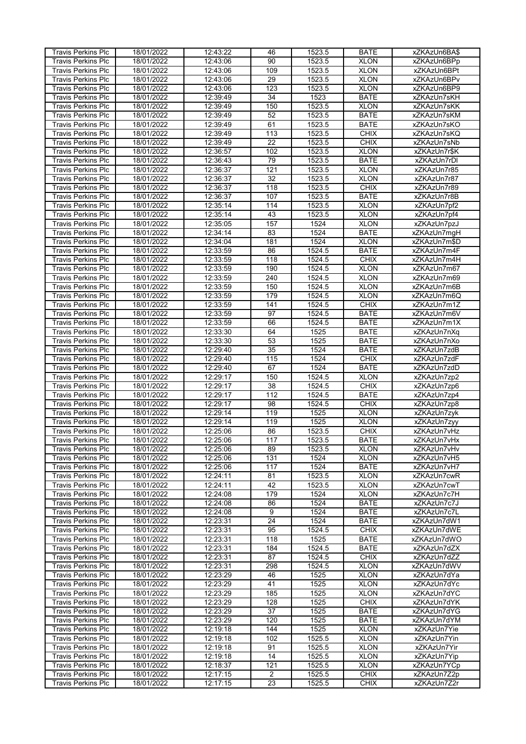| <b>Travis Perkins Plc</b> | 18/01/2022 | 12:43:22 | 46              | 1523.5 | <b>BATE</b> | xZKAzUn6BA\$ |
|---------------------------|------------|----------|-----------------|--------|-------------|--------------|
|                           |            |          | $\overline{90}$ |        |             |              |
| <b>Travis Perkins Plc</b> | 18/01/2022 | 12:43:06 |                 | 1523.5 | <b>XLON</b> | xZKAzUn6BPp  |
| <b>Travis Perkins Plc</b> | 18/01/2022 | 12:43:06 | 109             | 1523.5 | <b>XLON</b> | xZKAzUn6BPt  |
| <b>Travis Perkins Plc</b> | 18/01/2022 | 12:43:06 | 29              | 1523.5 | <b>XLON</b> | xZKAzUn6BPv  |
| <b>Travis Perkins Plc</b> | 18/01/2022 | 12:43:06 | 123             | 1523.5 | <b>XLON</b> | xZKAzUn6BP9  |
| <b>Travis Perkins Plc</b> | 18/01/2022 | 12:39:49 | $\overline{34}$ | 1523   | <b>BATE</b> | xZKAzUn7sKH  |
|                           |            |          |                 |        | <b>XLON</b> |              |
| Travis Perkins Plc        | 18/01/2022 | 12:39:49 | 150             | 1523.5 |             | xZKAzUn7sKK  |
| <b>Travis Perkins Plc</b> | 18/01/2022 | 12:39:49 | 52              | 1523.5 | <b>BATE</b> | xZKAzUn7sKM  |
| <b>Travis Perkins Plc</b> | 18/01/2022 | 12:39:49 | 61              | 1523.5 | <b>BATE</b> | xZKAzUn7sKO  |
| Travis Perkins Plc        | 18/01/2022 | 12:39:49 | 113             | 1523.5 | <b>CHIX</b> | xZKAzUn7sKQ  |
| <b>Travis Perkins Plc</b> | 18/01/2022 | 12:39:49 | $\overline{22}$ | 1523.5 | <b>CHIX</b> | xZKAzUn7sNb  |
|                           | 18/01/2022 | 12:36:57 | 102             |        | <b>XLON</b> |              |
| <b>Travis Perkins Plc</b> |            |          |                 | 1523.5 |             | xZKAzUn7r\$K |
| <b>Travis Perkins Plc</b> | 18/01/2022 | 12:36:43 | 79              | 1523.5 | <b>BATE</b> | xZKAzUn7rDI  |
| <b>Travis Perkins Plc</b> | 18/01/2022 | 12:36:37 | 121             | 1523.5 | <b>XLON</b> | xZKAzUn7r85  |
| Travis Perkins Plc        | 18/01/2022 | 12:36:37 | $\overline{32}$ | 1523.5 | <b>XLON</b> | xZKAzUn7r87  |
| <b>Travis Perkins Plc</b> | 18/01/2022 | 12:36:37 | 118             | 1523.5 | <b>CHIX</b> | xZKAzUn7r89  |
| Travis Perkins Plc        | 18/01/2022 | 12:36:37 | 107             | 1523.5 | <b>BATE</b> | xZKAzUn7r8B  |
| <b>Travis Perkins Plc</b> | 18/01/2022 | 12:35:14 | 114             | 1523.5 | <b>XLON</b> | xZKAzUn7pf2  |
|                           |            |          |                 |        |             |              |
| <b>Travis Perkins Plc</b> | 18/01/2022 | 12:35:14 | 43              | 1523.5 | <b>XLON</b> | xZKAzUn7pf4  |
| <b>Travis Perkins Plc</b> | 18/01/2022 | 12:35:05 | 157             | 1524   | <b>XLON</b> | xZKAzUn7pzJ  |
| <b>Travis Perkins Plc</b> | 18/01/2022 | 12:34:14 | 83              | 1524   | <b>BATE</b> | xZKAzUn7mqH  |
| <b>Travis Perkins Plc</b> | 18/01/2022 | 12:34:04 | 181             | 1524   | <b>XLON</b> | xZKAzUn7m\$D |
| <b>Travis Perkins Plc</b> | 18/01/2022 | 12:33:59 | 86              | 1524.5 | <b>BATE</b> | xZKAzUn7m4F  |
| <b>Travis Perkins Plc</b> | 18/01/2022 | 12:33:59 | 118             | 1524.5 | <b>CHIX</b> | xZKAzUn7m4H  |
|                           |            |          |                 |        |             |              |
| <b>Travis Perkins Plc</b> | 18/01/2022 | 12:33:59 | 190             | 1524.5 | <b>XLON</b> | xZKAzUn7m67  |
| <b>Travis Perkins Plc</b> | 18/01/2022 | 12:33:59 | 240             | 1524.5 | <b>XLON</b> | xZKAzUn7m69  |
| Travis Perkins Plc        | 18/01/2022 | 12:33:59 | 150             | 1524.5 | <b>XLON</b> | xZKAzUn7m6B  |
| <b>Travis Perkins Plc</b> | 18/01/2022 | 12:33:59 | 179             | 1524.5 | <b>XLON</b> | xZKAzUn7m6Q  |
| <b>Travis Perkins Plc</b> | 18/01/2022 | 12:33:59 | 141             | 1524.5 | <b>CHIX</b> | xZKAzUn7m1Z  |
| Travis Perkins Plc        | 18/01/2022 | 12:33:59 | 97              | 1524.5 | <b>BATE</b> | xZKAzUn7m6V  |
|                           |            |          |                 |        |             |              |
| <b>Travis Perkins Plc</b> | 18/01/2022 | 12:33:59 | 66              | 1524.5 | <b>BATE</b> | xZKAzUn7m1X  |
| <b>Travis Perkins Plc</b> | 18/01/2022 | 12:33:30 | 64              | 1525   | <b>BATE</b> | xZKAzUn7nXq  |
| <b>Travis Perkins Plc</b> | 18/01/2022 | 12:33:30 | 53              | 1525   | <b>BATE</b> | xZKAzUn7nXo  |
| <b>Travis Perkins Plc</b> | 18/01/2022 | 12:29:40 | 35              | 1524   | <b>BATE</b> | xZKAzUn7zdB  |
| <b>Travis Perkins Plc</b> | 18/01/2022 | 12:29:40 | 115             | 1524   | <b>CHIX</b> | xZKAzUn7zdF  |
| <b>Travis Perkins Plc</b> | 18/01/2022 | 12:29:40 | 67              | 1524   | <b>BATE</b> | xZKAzUn7zdD  |
|                           |            |          |                 |        |             |              |
| Travis Perkins Plc        | 18/01/2022 | 12:29:17 | 150             | 1524.5 | <b>XLON</b> | xZKAzUn7zp2  |
| <b>Travis Perkins Plc</b> | 18/01/2022 | 12:29:17 | $\overline{38}$ | 1524.5 | <b>CHIX</b> | xZKAzUn7zp6  |
| <b>Travis Perkins Plc</b> | 18/01/2022 | 12:29:17 | 112             | 1524.5 | <b>BATE</b> | xZKAzUn7zp4  |
| <b>Travis Perkins Plc</b> | 18/01/2022 | 12:29:17 | 98              | 1524.5 | <b>CHIX</b> | xZKAzUn7zp8  |
| <b>Travis Perkins Plc</b> | 18/01/2022 | 12:29:14 | 119             | 1525   | <b>XLON</b> | xZKAzUn7zyk  |
| <b>Travis Perkins Plc</b> | 18/01/2022 | 12:29:14 | 119             | 1525   | <b>XLON</b> | xZKAzUn7zyy  |
| <b>Travis Perkins Plc</b> | 18/01/2022 | 12:25:06 | 86              | 1523.5 | <b>CHIX</b> | xZKAzUn7vHz  |
|                           |            |          |                 |        |             |              |
| <b>Travis Perkins Plc</b> | 18/01/2022 | 12:25:06 | 117             | 1523.5 | <b>BATE</b> | xZKAzUn7vHx  |
| <b>Travis Perkins Plc</b> | 18/01/2022 | 12:25:06 | 89              | 1523.5 | <b>XLON</b> | xZKAzUn7vHv  |
| <b>Travis Perkins Plc</b> | 18/01/2022 | 12:25:06 | 131             | 1524   | <b>XLON</b> | xZKAzUn7vH5  |
| <b>Travis Perkins Plc</b> | 18/01/2022 | 12:25:06 | 117             | 1524   | <b>BATE</b> | xZKAzUn7vH7  |
| <b>Travis Perkins Plc</b> | 18/01/2022 | 12:24:11 | 81              | 1523.5 | <b>XLON</b> | xZKAzUn7cwR  |
| <b>Travis Perkins Plc</b> | 18/01/2022 | 12:24:11 | 42              | 1523.5 | <b>XLON</b> | xZKAzUn7cwT  |
|                           |            | 12:24:08 |                 |        |             |              |
| <b>Travis Perkins Plc</b> | 18/01/2022 |          | 179             | 1524   | <b>XLON</b> | xZKAzUn7c7H  |
| <b>Travis Perkins Plc</b> | 18/01/2022 | 12:24:08 | 86              | 1524   | <b>BATE</b> | xZKAzUn7c7J  |
| <b>Travis Perkins Plc</b> | 18/01/2022 | 12:24:08 | $\overline{9}$  | 1524   | <b>BATE</b> | xZKAzUn7c7L  |
| <b>Travis Perkins Plc</b> | 18/01/2022 | 12:23:31 | $\overline{24}$ | 1524   | <b>BATE</b> | xZKAzUn7dW1  |
| <b>Travis Perkins Plc</b> | 18/01/2022 | 12:23:31 | 95              | 1524.5 | <b>CHIX</b> | xZKAzUn7dWE  |
| <b>Travis Perkins Plc</b> | 18/01/2022 | 12:23:31 | 118             | 1525   | <b>BATE</b> | xZKAzUn7dWO  |
| <b>Travis Perkins Plc</b> | 18/01/2022 | 12:23:31 | 184             | 1524.5 | <b>BATE</b> | xZKAzUn7dZX  |
|                           |            |          |                 |        |             |              |
| <b>Travis Perkins Plc</b> | 18/01/2022 | 12:23:31 | 87              | 1524.5 | <b>CHIX</b> | xZKAzUn7dZZ  |
| <b>Travis Perkins Plc</b> | 18/01/2022 | 12:23:31 | 298             | 1524.5 | <b>XLON</b> | xZKAzUn7dWV  |
| <b>Travis Perkins Plc</b> | 18/01/2022 | 12:23:29 | 46              | 1525   | <b>XLON</b> | xZKAzUn7dYa  |
| <b>Travis Perkins Plc</b> | 18/01/2022 | 12:23:29 | 41              | 1525   | <b>XLON</b> | xZKAzUn7dYc  |
| <b>Travis Perkins Plc</b> | 18/01/2022 | 12:23:29 | 185             | 1525   | <b>XLON</b> | xZKAzUn7dYC  |
| <b>Travis Perkins Plc</b> | 18/01/2022 | 12:23:29 | 128             | 1525   | <b>CHIX</b> | xZKAzUn7dYK  |
|                           |            |          |                 |        |             |              |
| <b>Travis Perkins Plc</b> | 18/01/2022 | 12:23:29 | $\overline{37}$ | 1525   | <b>BATE</b> | xZKAzUn7dYG  |
| <b>Travis Perkins Plc</b> | 18/01/2022 | 12:23:29 | 120             | 1525   | <b>BATE</b> | xZKAzUn7dYM  |
| <b>Travis Perkins Plc</b> | 18/01/2022 | 12:19:18 | 144             | 1525   | <b>XLON</b> | xZKAzUn7Yie  |
| <b>Travis Perkins Plc</b> | 18/01/2022 | 12:19:18 | 102             | 1525.5 | <b>XLON</b> | xZKAzUn7Yin  |
| Travis Perkins Plc        | 18/01/2022 | 12:19:18 | 91              | 1525.5 | <b>XLON</b> | xZKAzUn7Yir  |
| <b>Travis Perkins Plc</b> | 18/01/2022 | 12:19:18 | 14              | 1525.5 | <b>XLON</b> | xZKAzUn7Yip  |
| <b>Travis Perkins Plc</b> | 18/01/2022 | 12:18:37 | 121             | 1525.5 | <b>XLON</b> | xZKAzUn7YCp  |
|                           |            |          |                 |        |             |              |
| <b>Travis Perkins Plc</b> | 18/01/2022 | 12:17:15 | $\overline{2}$  | 1525.5 | <b>CHIX</b> | xZKAzUn7Z2p  |
| Travis Perkins Plc        | 18/01/2022 | 12:17:15 | 23              | 1525.5 | <b>CHIX</b> | xZKAzUn7Z2r  |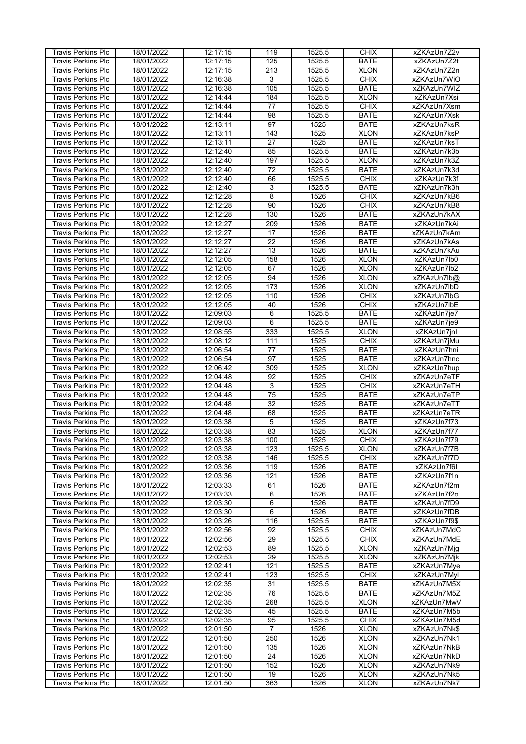| <b>Travis Perkins Plc</b> | 18/01/2022 | 12:17:15 | 119             | 1525.5 | <b>CHIX</b> | xZKAzUn7Z2v  |
|---------------------------|------------|----------|-----------------|--------|-------------|--------------|
|                           |            |          |                 |        |             |              |
| <b>Travis Perkins Plc</b> | 18/01/2022 | 12:17:15 | 125             | 1525.5 | <b>BATE</b> | xZKAzUn7Z2t  |
| <b>Travis Perkins Plc</b> | 18/01/2022 | 12:17:15 | 213             | 1525.5 | <b>XLON</b> | xZKAzUn7Z2n  |
| <b>Travis Perkins Plc</b> | 18/01/2022 | 12:16:38 | 3               | 1525.5 | <b>CHIX</b> | xZKAzUn7WiO  |
| <b>Travis Perkins Plc</b> | 18/01/2022 | 12:16:38 | 105             | 1525.5 | <b>BATE</b> | xZKAzUn7WIZ  |
| <b>Travis Perkins Plc</b> | 18/01/2022 | 12:14:44 | 184             | 1525.5 | <b>XLON</b> | xZKAzUn7Xsi  |
|                           |            |          |                 |        |             |              |
| Travis Perkins Plc        | 18/01/2022 | 12:14:44 | 77              | 1525.5 | <b>CHIX</b> | xZKAzUn7Xsm  |
| <b>Travis Perkins Plc</b> | 18/01/2022 | 12:14:44 | 98              | 1525.5 | <b>BATE</b> | xZKAzUn7Xsk  |
| <b>Travis Perkins Plc</b> | 18/01/2022 | 12:13:11 | 97              | 1525   | <b>BATE</b> | xZKAzUn7ksR  |
| Travis Perkins Plc        | 18/01/2022 | 12:13:11 | 143             | 1525   | <b>XLON</b> | xZKAzUn7ksP  |
| <b>Travis Perkins Plc</b> | 18/01/2022 | 12:13:11 | 27              | 1525   | <b>BATE</b> | xZKAzUn7ksT  |
|                           | 18/01/2022 |          | 85              | 1525.5 | <b>BATE</b> |              |
| <b>Travis Perkins Plc</b> |            | 12:12:40 |                 |        |             | xZKAzUn7k3b  |
| <b>Travis Perkins Plc</b> | 18/01/2022 | 12:12:40 | 197             | 1525.5 | <b>XLON</b> | xZKAzUn7k3Z  |
| <b>Travis Perkins Plc</b> | 18/01/2022 | 12:12:40 | 72              | 1525.5 | <b>BATE</b> | xZKAzUn7k3d  |
| Travis Perkins Plc        | 18/01/2022 | 12:12:40 | 66              | 1525.5 | <b>CHIX</b> | xZKAzUn7k3f  |
| <b>Travis Perkins Plc</b> | 18/01/2022 | 12:12:40 | $\overline{3}$  | 1525.5 | <b>BATE</b> | xZKAzUn7k3h  |
| Travis Perkins Plc        | 18/01/2022 | 12:12:28 | $\overline{8}$  | 1526   | <b>CHIX</b> | xZKAzUn7kB6  |
| <b>Travis Perkins Plc</b> | 18/01/2022 | 12:12:28 | 90              | 1526   | <b>CHIX</b> | xZKAzUn7kB8  |
|                           |            |          |                 |        |             |              |
| <b>Travis Perkins Plc</b> | 18/01/2022 | 12:12:28 | 130             | 1526   | <b>BATE</b> | xZKAzUn7kAX  |
| Travis Perkins Plc        | 18/01/2022 | 12:12:27 | 209             | 1526   | <b>BATE</b> | xZKAzUn7kAi  |
| <b>Travis Perkins Plc</b> | 18/01/2022 | 12:12:27 | 17              | 1526   | <b>BATE</b> | xZKAzUn7kAm  |
| <b>Travis Perkins Plc</b> | 18/01/2022 | 12:12:27 | 22              | 1526   | <b>BATE</b> | xZKAzUn7kAs  |
| <b>Travis Perkins Plc</b> | 18/01/2022 | 12:12:27 | 13              | 1526   | <b>BATE</b> | xZKAzUn7kAu  |
|                           | 18/01/2022 |          | 158             | 1526   | <b>XLON</b> | xZKAzUn7lb0  |
| <b>Travis Perkins Plc</b> |            | 12:12:05 |                 |        |             |              |
| <b>Travis Perkins Plc</b> | 18/01/2022 | 12:12:05 | 67              | 1526   | <b>XLON</b> | xZKAzUn7lb2  |
| <b>Travis Perkins Plc</b> | 18/01/2022 | 12:12:05 | 94              | 1526   | <b>XLON</b> | xZKAzUn7lb@  |
| Travis Perkins Plc        | 18/01/2022 | 12:12:05 | 173             | 1526   | <b>XLON</b> | xZKAzUn7lbD  |
| <b>Travis Perkins Plc</b> | 18/01/2022 | 12:12:05 | 110             | 1526   | <b>CHIX</b> | xZKAzUn7lbG  |
| <b>Travis Perkins Plc</b> | 18/01/2022 | 12:12:05 | 40              | 1526   | <b>CHIX</b> | xZKAzUn7lbE  |
|                           | 18/01/2022 | 12:09:03 |                 |        | <b>BATE</b> |              |
| Travis Perkins Plc        |            |          | 6               | 1525.5 |             | xZKAzUn7je7  |
| <b>Travis Perkins Plc</b> | 18/01/2022 | 12:09:03 | 6               | 1525.5 | <b>BATE</b> | xZKAzUn7je9  |
| <b>Travis Perkins Plc</b> | 18/01/2022 | 12:08:55 | 333             | 1525.5 | <b>XLON</b> | xZKAzUn7jnl  |
| <b>Travis Perkins Plc</b> | 18/01/2022 | 12:08:12 | 111             | 1525   | <b>CHIX</b> | xZKAzUn7jMu  |
| <b>Travis Perkins Plc</b> | 18/01/2022 | 12:06:54 | 77              | 1525   | <b>BATE</b> | xZKAzUn7hni  |
| Travis Perkins Plc        | 18/01/2022 | 12:06:54 | 97              | 1525   | <b>BATE</b> | xZKAzUn7hnc  |
|                           | 18/01/2022 | 12:06:42 | 309             | 1525   | <b>XLON</b> |              |
| <b>Travis Perkins Plc</b> |            |          |                 |        |             | xZKAzUn7hup  |
| <b>Travis Perkins Plc</b> | 18/01/2022 | 12:04:48 | 92              | 1525   | <b>CHIX</b> | xZKAzUn7eTF  |
| <b>Travis Perkins Plc</b> | 18/01/2022 | 12:04:48 | $\overline{3}$  | 1525   | <b>CHIX</b> | xZKAzUn7eTH  |
| <b>Travis Perkins Plc</b> | 18/01/2022 | 12:04:48 | $\overline{75}$ | 1525   | <b>BATE</b> | xZKAzUn7eTP  |
| <b>Travis Perkins Plc</b> | 18/01/2022 | 12:04:48 | $\overline{32}$ | 1525   | <b>BATE</b> | xZKAzUn7eTT  |
| <b>Travis Perkins Plc</b> | 18/01/2022 | 12:04:48 | 68              | 1525   | <b>BATE</b> | xZKAzUn7eTR  |
| <b>Travis Perkins Plc</b> | 18/01/2022 | 12:03:38 | $\overline{5}$  | 1525   | <b>BATE</b> | xZKAzUn7f73  |
|                           |            |          |                 |        |             |              |
| Travis Perkins Plc        | 18/01/2022 | 12:03:38 | 83              | 1525   | <b>XLON</b> | xZKAzUn7f77  |
| <b>Travis Perkins Plc</b> | 18/01/2022 | 12:03:38 | 100             | 1525   | <b>CHIX</b> | xZKAzUn7f79  |
| <b>Travis Perkins Plc</b> | 18/01/2022 | 12:03:38 | 123             | 1525.5 | <b>XLON</b> | xZKAzUn7f7B  |
| <b>Travis Perkins Plc</b> | 18/01/2022 | 12:03:38 | 146             | 1525.5 | <b>CHIX</b> | xZKAzUn7f7D  |
| Travis Perkins Plc        | 18/01/2022 | 12:03:36 | 119             | 1526   | <b>BATE</b> | xZKAzUn7f6I  |
| <b>Travis Perkins Plc</b> | 18/01/2022 | 12:03:36 | 121             | 1526   | <b>BATE</b> | xZKAzUn7f1n  |
|                           |            |          |                 |        |             |              |
| <b>Travis Perkins Plc</b> | 18/01/2022 | 12:03:33 | 61              | 1526   | <b>BATE</b> | xZKAzUn7f2m  |
| <b>Travis Perkins Plc</b> | 18/01/2022 | 12:03:33 | 6               | 1526   | <b>BATE</b> | xZKAzUn7f2o  |
| <b>Travis Perkins Plc</b> | 18/01/2022 | 12:03:30 | 6               | 1526   | <b>BATE</b> | xZKAzUn7fD9  |
| <b>Travis Perkins Plc</b> | 18/01/2022 | 12:03:30 | 6               | 1526   | <b>BATE</b> | xZKAzUn7fDB  |
| <b>Travis Perkins Plc</b> | 18/01/2022 | 12:03:26 | 116             | 1525.5 | <b>BATE</b> | xZKAzUn7f9\$ |
| <b>Travis Perkins Plc</b> | 18/01/2022 | 12:02:56 | 92              | 1525.5 | <b>CHIX</b> | xZKAzUn7MdC  |
| <b>Travis Perkins Plc</b> | 18/01/2022 | 12:02:56 | 29              | 1525.5 | <b>CHIX</b> | xZKAzUn7MdE  |
|                           |            |          |                 |        |             |              |
| <b>Travis Perkins Plc</b> | 18/01/2022 | 12:02:53 | 89              | 1525.5 | <b>XLON</b> | xZKAzUn7Mjg  |
| <b>Travis Perkins Plc</b> | 18/01/2022 | 12:02:53 | 29              | 1525.5 | <b>XLON</b> | xZKAzUn7Mjk  |
| <b>Travis Perkins Plc</b> | 18/01/2022 | 12:02:41 | 121             | 1525.5 | <b>BATE</b> | xZKAzUn7Mye  |
| <b>Travis Perkins Plc</b> | 18/01/2022 | 12:02:41 | 123             | 1525.5 | <b>CHIX</b> | xZKAzUn7Myl  |
| <b>Travis Perkins Plc</b> | 18/01/2022 | 12:02:35 | 31              | 1525.5 | <b>BATE</b> | xZKAzUn7M5X  |
| <b>Travis Perkins Plc</b> | 18/01/2022 | 12:02:35 | 76              | 1525.5 | <b>BATE</b> | xZKAzUn7M5Z  |
| <b>Travis Perkins Plc</b> | 18/01/2022 | 12:02:35 | 268             |        | <b>XLON</b> | xZKAzUn7MwV  |
|                           |            |          |                 | 1525.5 |             |              |
| <b>Travis Perkins Plc</b> | 18/01/2022 | 12:02:35 | 45              | 1525.5 | <b>BATE</b> | xZKAzUn7M5b  |
| <b>Travis Perkins Plc</b> | 18/01/2022 | 12:02:35 | 95              | 1525.5 | <b>CHIX</b> | xZKAzUn7M5d  |
| <b>Travis Perkins Plc</b> | 18/01/2022 | 12:01:50 | $\overline{7}$  | 1526   | <b>XLON</b> | xZKAzUn7Nk\$ |
| <b>Travis Perkins Plc</b> | 18/01/2022 | 12:01:50 | 250             | 1526   | <b>XLON</b> | xZKAzUn7Nk1  |
| Travis Perkins Plc        | 18/01/2022 | 12:01:50 | 135             | 1526   | <b>XLON</b> | xZKAzUn7NkB  |
| <b>Travis Perkins Plc</b> | 18/01/2022 | 12:01:50 | 24              | 1526   | <b>XLON</b> | xZKAzUn7NkD  |
|                           |            |          |                 |        |             |              |
| <b>Travis Perkins Plc</b> | 18/01/2022 | 12:01:50 | 152             | 1526   | <b>XLON</b> | xZKAzUn7Nk9  |
| <b>Travis Perkins Plc</b> | 18/01/2022 | 12:01:50 | 19              | 1526   | <b>XLON</b> | xZKAzUn7Nk5  |
| Travis Perkins Plc        | 18/01/2022 | 12:01:50 | 363             | 1526   | <b>XLON</b> | xZKAzUn7Nk7  |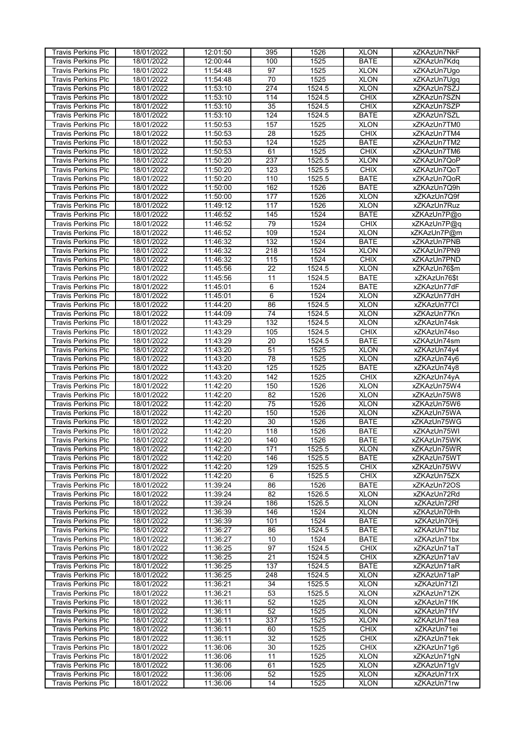| <b>Travis Perkins Plc</b> | 18/01/2022 | 12:01:50 | 395              | 1526   | <b>XLON</b> | xZKAzUn7NkF  |
|---------------------------|------------|----------|------------------|--------|-------------|--------------|
| Travis Perkins Plc        | 18/01/2022 | 12:00:44 | 100              | 1525   | <b>BATE</b> | xZKAzUn7Kdq  |
| <b>Travis Perkins Plc</b> | 18/01/2022 | 11:54:48 | $\overline{97}$  | 1525   | <b>XLON</b> | xZKAzUn7Ugo  |
|                           |            |          |                  |        |             |              |
| Travis Perkins Plc        | 18/01/2022 | 11:54:48 | 70               | 1525   | <b>XLON</b> | xZKAzUn7Uqq  |
| <b>Travis Perkins Plc</b> | 18/01/2022 | 11:53:10 | 274              | 1524.5 | <b>XLON</b> | xZKAzUn7SZJ  |
| <b>Travis Perkins Plc</b> | 18/01/2022 | 11:53:10 | 114              | 1524.5 | <b>CHIX</b> | xZKAzUn7SZN  |
| Travis Perkins Plc        | 18/01/2022 | 11:53:10 | 35               | 1524.5 | <b>CHIX</b> | xZKAzUn7SZP  |
| <b>Travis Perkins Plc</b> | 18/01/2022 | 11:53:10 | 124              | 1524.5 | <b>BATE</b> | xZKAzUn7SZL  |
| <b>Travis Perkins Plc</b> | 18/01/2022 | 11:50:53 | 157              | 1525   | <b>XLON</b> | xZKAzUn7TM0  |
| <b>Travis Perkins Plc</b> | 18/01/2022 | 11:50:53 | 28               | 1525   | <b>CHIX</b> | xZKAzUn7TM4  |
| <b>Travis Perkins Plc</b> |            |          | 124              |        | <b>BATE</b> |              |
|                           | 18/01/2022 | 11:50:53 |                  | 1525   |             | xZKAzUn7TM2  |
| Travis Perkins Plc        | 18/01/2022 | 11:50:53 | 61               | 1525   | <b>CHIX</b> | xZKAzUn7TM6  |
| <b>Travis Perkins Plc</b> | 18/01/2022 | 11:50:20 | 237              | 1525.5 | <b>XLON</b> | xZKAzUn7QoP  |
| <b>Travis Perkins Plc</b> | 18/01/2022 | 11:50:20 | 123              | 1525.5 | <b>CHIX</b> | xZKAzUn7QoT  |
| <b>Travis Perkins Plc</b> | 18/01/2022 | 11:50:20 | 110              | 1525.5 | <b>BATE</b> | xZKAzUn7QoR  |
| <b>Travis Perkins Plc</b> | 18/01/2022 | 11:50:00 | 162              | 1526   | <b>BATE</b> | xZKAzUn7Q9h  |
| Travis Perkins Plc        | 18/01/2022 | 11:50:00 | 177              | 1526   | <b>XLON</b> | xZKAzUn7Q9f  |
| <b>Travis Perkins Plc</b> | 18/01/2022 | 11:49:12 | 117              | 1526   | <b>XLON</b> | xZKAzUn7Ruz  |
| <b>Travis Perkins Plc</b> | 18/01/2022 | 11:46:52 | 145              | 1524   | <b>BATE</b> | xZKAzUn7P@o  |
| <b>Travis Perkins Plc</b> | 18/01/2022 | 11:46:52 | 79               | 1524   | <b>CHIX</b> |              |
|                           |            |          |                  |        |             | xZKAzUn7P@q  |
| <b>Travis Perkins Plc</b> | 18/01/2022 | 11:46:52 | 109              | 1524   | <b>XLON</b> | xZKAzUn7P@m  |
| <b>Travis Perkins Plc</b> | 18/01/2022 | 11:46:32 | $\overline{132}$ | 1524   | <b>BATE</b> | xZKAzUn7PNB  |
| <b>Travis Perkins Plc</b> | 18/01/2022 | 11:46:32 | 218              | 1524   | <b>XLON</b> | xZKAzUn7PN9  |
| <b>Travis Perkins Plc</b> | 18/01/2022 | 11:46:32 | 115              | 1524   | <b>CHIX</b> | xZKAzUn7PND  |
| <b>Travis Perkins Plc</b> | 18/01/2022 | 11:45:56 | $\overline{22}$  | 1524.5 | <b>XLON</b> | xZKAzUn76\$m |
| <b>Travis Perkins Plc</b> | 18/01/2022 | 11:45:56 | 11               | 1524.5 | <b>BATE</b> | xZKAzUn76\$t |
| <b>Travis Perkins Plc</b> | 18/01/2022 | 11:45:01 | 6                | 1524   | <b>BATE</b> | xZKAzUn77dF  |
| <b>Travis Perkins Plc</b> | 18/01/2022 | 11:45:01 | 6                | 1524   | <b>XLON</b> | xZKAzUn77dH  |
| Travis Perkins Plc        | 18/01/2022 | 11:44:20 | 86               | 1524.5 | <b>XLON</b> | xZKAzUn77CI  |
| <b>Travis Perkins Plc</b> | 18/01/2022 | 11:44:09 | $\overline{74}$  | 1524.5 | <b>XLON</b> | xZKAzUn77Kn  |
| Travis Perkins Plc        | 18/01/2022 | 11:43:29 | 132              | 1524.5 | <b>XLON</b> | xZKAzUn74sk  |
| <b>Travis Perkins Plc</b> | 18/01/2022 | 11:43:29 | 105              | 1524.5 | <b>CHIX</b> | xZKAzUn74so  |
|                           |            |          |                  |        |             |              |
| <b>Travis Perkins Plc</b> | 18/01/2022 | 11:43:29 | $\overline{20}$  | 1524.5 | <b>BATE</b> | xZKAzUn74sm  |
| Travis Perkins Plc        | 18/01/2022 | 11:43:20 | 51               | 1525   | <b>XLON</b> | xZKAzUn74y4  |
| <b>Travis Perkins Plc</b> | 18/01/2022 | 11:43:20 | $\overline{78}$  | 1525   | <b>XLON</b> | xZKAzUn74y6  |
| <b>Travis Perkins Plc</b> | 18/01/2022 | 11:43:20 | 125              | 1525   | <b>BATE</b> | xZKAzUn74y8  |
| <b>Travis Perkins Plc</b> | 18/01/2022 | 11:43:20 | 142              | 1525   | <b>CHIX</b> | xZKAzUn74yA  |
| <b>Travis Perkins Plc</b> | 18/01/2022 | 11:42:20 | 150              | 1526   | <b>XLON</b> | xZKAzUn75W4  |
| <b>Travis Perkins Plc</b> | 18/01/2022 | 11:42:20 | $\overline{82}$  | 1526   | <b>XLON</b> | xZKAzUn75W8  |
| <b>Travis Perkins Plc</b> | 18/01/2022 | 11:42:20 | 75               | 1526   | <b>XLON</b> | xZKAzUn75W6  |
| <b>Travis Perkins Plc</b> | 18/01/2022 | 11:42:20 | 150              | 1526   | <b>XLON</b> | xZKAzUn75WA  |
| Travis Perkins Plc        | 18/01/2022 | 11:42:20 | $\overline{30}$  | 1526   | <b>BATE</b> | xZKAzUn75WG  |
| <b>Travis Perkins Plc</b> | 18/01/2022 | 11:42:20 | $\overline{118}$ | 1526   | <b>BATE</b> | xZKAzUn75WI  |
| <b>Travis Perkins Plc</b> | 18/01/2022 | 11:42:20 | 140              | 1526   | <b>BATE</b> | xZKAzUn75WK  |
| <b>Travis Perkins Plc</b> | 18/01/2022 | 11:42:20 | 171              | 1525.5 | <b>XLON</b> | xZKAzUn75WR  |
| <b>Travis Perkins Plc</b> | 18/01/2022 | 11:42:20 | 146              | 1525.5 | <b>BATE</b> | xZKAzUn75WT  |
|                           | 18/01/2022 |          | 129              | 1525.5 | <b>CHIX</b> |              |
| Travis Perkins Plc        |            | 11:42:20 |                  |        |             | xZKAzUn75WV  |
| <b>Travis Perkins Plc</b> | 18/01/2022 | 11:42:20 | 6                | 1525.5 | <b>CHIX</b> | xZKAzUn75ZX  |
| <b>Travis Perkins Plc</b> | 18/01/2022 | 11:39:24 | 86               | 1526   | <b>BATE</b> | xZKAzUn72OS  |
| <b>Travis Perkins Plc</b> | 18/01/2022 | 11:39:24 | 82               | 1526.5 | <b>XLON</b> | xZKAzUn72Rd  |
| <b>Travis Perkins Plc</b> | 18/01/2022 | 11:39:24 | 186              | 1526.5 | <b>XLON</b> | xZKAzUn72Rf  |
| <b>Travis Perkins Plc</b> | 18/01/2022 | 11:36:39 | 146              | 1524   | <b>XLON</b> | xZKAzUn70Hh  |
| <b>Travis Perkins Plc</b> | 18/01/2022 | 11:36:39 | 101              | 1524   | <b>BATE</b> | xZKAzUn70Hi  |
| <b>Travis Perkins Plc</b> | 18/01/2022 | 11:36:27 | 86               | 1524.5 | <b>BATE</b> | xZKAzUn71bz  |
| <b>Travis Perkins Plc</b> | 18/01/2022 | 11:36:27 | 10               | 1524   | <b>BATE</b> | xZKAzUn71bx  |
| <b>Travis Perkins Plc</b> | 18/01/2022 | 11:36:25 | 97               | 1524.5 | <b>CHIX</b> | xZKAzUn71aT  |
| <b>Travis Perkins Plc</b> | 18/01/2022 | 11:36:25 | 21               | 1524.5 | <b>CHIX</b> | xZKAzUn71aV  |
| <b>Travis Perkins Plc</b> | 18/01/2022 | 11:36:25 | 137              | 1524.5 | <b>BATE</b> | xZKAzUn71aR  |
| <b>Travis Perkins Plc</b> | 18/01/2022 | 11:36:25 | 248              | 1524.5 | <b>XLON</b> | xZKAzUn71aP  |
| <b>Travis Perkins Plc</b> | 18/01/2022 | 11:36:21 | 34               | 1525.5 | <b>XLON</b> | xZKAzUn71ZI  |
| <b>Travis Perkins Plc</b> | 18/01/2022 | 11:36:21 | 53               | 1525.5 | <b>XLON</b> | xZKAzUn71ZK  |
| <b>Travis Perkins Plc</b> | 18/01/2022 | 11:36:11 | 52               | 1525   | <b>XLON</b> | xZKAzUn71fK  |
| <b>Travis Perkins Plc</b> | 18/01/2022 | 11:36:11 | 52               | 1525   | <b>XLON</b> | xZKAzUn71fV  |
|                           |            |          |                  |        |             |              |
| <b>Travis Perkins Plc</b> | 18/01/2022 | 11:36:11 | 337              | 1525   | <b>XLON</b> | xZKAzUn71ea  |
| <b>Travis Perkins Plc</b> | 18/01/2022 | 11:36:11 | 60               | 1525   | <b>CHIX</b> | xZKAzUn71ei  |
| <b>Travis Perkins Plc</b> | 18/01/2022 | 11:36:11 | 32               | 1525   | <b>CHIX</b> | xZKAzUn71ek  |
| <b>Travis Perkins Plc</b> | 18/01/2022 | 11:36:06 | 30               | 1525   | <b>CHIX</b> | xZKAzUn71g6  |
| <b>Travis Perkins Plc</b> | 18/01/2022 | 11:36:06 | 11               | 1525   | <b>XLON</b> | xZKAzUn71gN  |
| <b>Travis Perkins Plc</b> | 18/01/2022 | 11:36:06 | 61               | 1525   | <b>XLON</b> | xZKAzUn71gV  |
| <b>Travis Perkins Plc</b> | 18/01/2022 | 11:36:06 | 52               | 1525   | <b>XLON</b> | xZKAzUn71rX  |
| Travis Perkins Plc        | 18/01/2022 | 11:36:06 | 14               | 1525   | <b>XLON</b> | xZKAzUn71rw  |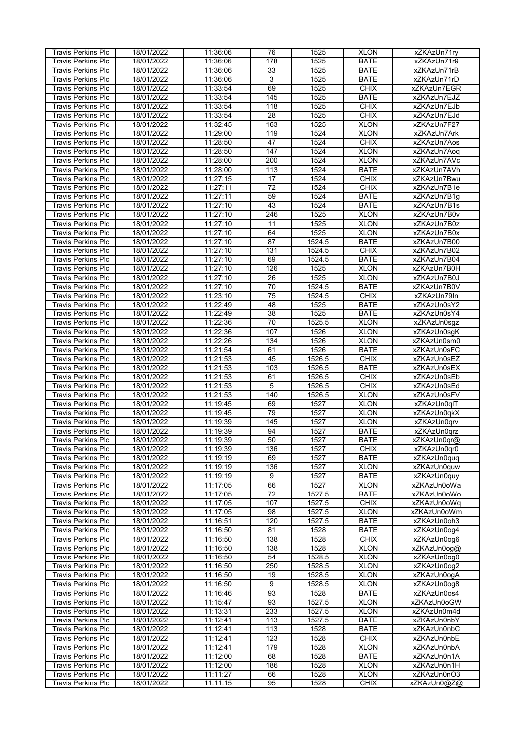| <b>Travis Perkins Plc</b> | 18/01/2022 | 11:36:06 | 76               | 1525   | <b>XLON</b> | xZKAzUn71ry |
|---------------------------|------------|----------|------------------|--------|-------------|-------------|
| Travis Perkins Plc        | 18/01/2022 | 11:36:06 | 178              | 1525   | <b>BATE</b> | xZKAzUn71r9 |
|                           |            |          |                  |        |             |             |
| <b>Travis Perkins Plc</b> | 18/01/2022 | 11:36:06 | 33               | 1525   | <b>BATE</b> | xZKAzUn71rB |
| <b>Travis Perkins Plc</b> | 18/01/2022 | 11:36:06 | 3                | 1525   | <b>BATE</b> | xZKAzUn71rD |
| <b>Travis Perkins Plc</b> | 18/01/2022 | 11:33:54 | 69               | 1525   | <b>CHIX</b> | xZKAzUn7EGR |
| <b>Travis Perkins Plc</b> | 18/01/2022 | 11:33:54 | 145              | 1525   | <b>BATE</b> | xZKAzUn7EJZ |
|                           |            |          |                  |        |             |             |
| Travis Perkins Plc        | 18/01/2022 | 11:33:54 | 118              | 1525   | <b>CHIX</b> | xZKAzUn7EJb |
| <b>Travis Perkins Plc</b> | 18/01/2022 | 11:33:54 | $\overline{28}$  | 1525   | <b>CHIX</b> | xZKAzUn7EJd |
| <b>Travis Perkins Plc</b> | 18/01/2022 | 11:32:45 | 163              | 1525   | <b>XLON</b> | xZKAzUn7F27 |
| <b>Travis Perkins Plc</b> | 18/01/2022 | 11:29:00 | 119              | 1524   | <b>XLON</b> | xZKAzUn7Ark |
| Travis Perkins Plc        | 18/01/2022 | 11:28:50 | 47               | 1524   | <b>CHIX</b> | xZKAzUn7Aos |
|                           |            |          |                  |        |             |             |
| Travis Perkins Plc        | 18/01/2022 | 11:28:50 | $\overline{147}$ | 1524   | <b>XLON</b> | xZKAzUn7Aoq |
| <b>Travis Perkins Plc</b> | 18/01/2022 | 11:28:00 | 200              | 1524   | <b>XLON</b> | xZKAzUn7AVc |
| Travis Perkins Plc        | 18/01/2022 | 11:28:00 | 113              | 1524   | <b>BATE</b> | xZKAzUn7AVh |
| <b>Travis Perkins Plc</b> | 18/01/2022 | 11:27:15 | 17               | 1524   | <b>CHIX</b> | xZKAzUn7Bwu |
| <b>Travis Perkins Plc</b> | 18/01/2022 | 11:27:11 | 72               | 1524   | <b>CHIX</b> | xZKAzUn7B1e |
|                           |            |          |                  |        |             |             |
| Travis Perkins Plc        | 18/01/2022 | 11:27:11 | 59               | 1524   | <b>BATE</b> | xZKAzUn7B1g |
| <b>Travis Perkins Plc</b> | 18/01/2022 | 11:27:10 | 43               | 1524   | <b>BATE</b> | xZKAzUn7B1s |
| <b>Travis Perkins Plc</b> | 18/01/2022 | 11:27:10 | 246              | 1525   | <b>XLON</b> | xZKAzUn7B0v |
| <b>Travis Perkins Plc</b> | 18/01/2022 | 11:27:10 | 11               | 1525   | <b>XLON</b> | xZKAzUn7B0z |
| <b>Travis Perkins Plc</b> | 18/01/2022 | 11:27:10 | 64               | 1525   | <b>XLON</b> | xZKAzUn7B0x |
|                           |            |          |                  |        |             |             |
| Travis Perkins Plc        | 18/01/2022 | 11:27:10 | $\overline{87}$  | 1524.5 | <b>BATE</b> | xZKAzUn7B00 |
| <b>Travis Perkins Plc</b> | 18/01/2022 | 11:27:10 | 131              | 1524.5 | <b>CHIX</b> | xZKAzUn7B02 |
| <b>Travis Perkins Plc</b> | 18/01/2022 | 11:27:10 | 69               | 1524.5 | <b>BATE</b> | xZKAzUn7B04 |
| <b>Travis Perkins Plc</b> | 18/01/2022 | 11:27:10 | 126              | 1525   | <b>XLON</b> | xZKAzUn7B0H |
| <b>Travis Perkins Plc</b> | 18/01/2022 | 11:27:10 | 26               | 1525   | <b>XLON</b> | xZKAzUn7B0J |
| <b>Travis Perkins Plc</b> |            |          | 70               |        | <b>BATE</b> |             |
|                           | 18/01/2022 | 11:27:10 |                  | 1524.5 |             | xZKAzUn7B0V |
| <b>Travis Perkins Plc</b> | 18/01/2022 | 11:23:10 | $\overline{75}$  | 1524.5 | <b>CHIX</b> | xZKAzUn79In |
| <b>Travis Perkins Plc</b> | 18/01/2022 | 11:22:49 | $\overline{48}$  | 1525   | <b>BATE</b> | xZKAzUn0sY2 |
| <b>Travis Perkins Plc</b> | 18/01/2022 | 11:22:49 | $\overline{38}$  | 1525   | <b>BATE</b> | xZKAzUn0sY4 |
| Travis Perkins Plc        | 18/01/2022 | 11:22:36 | 70               | 1525.5 | <b>XLON</b> | xZKAzUn0sgz |
| <b>Travis Perkins Plc</b> | 18/01/2022 | 11:22:36 | 107              | 1526   | <b>XLON</b> | xZKAzUn0sgK |
|                           |            |          |                  |        |             |             |
| <b>Travis Perkins Plc</b> | 18/01/2022 | 11:22:26 | 134              | 1526   | <b>XLON</b> | xZKAzUn0sm0 |
| Travis Perkins Plc        | 18/01/2022 | 11:21:54 | 61               | 1526   | <b>BATE</b> | xZKAzUn0sFC |
| <b>Travis Perkins Plc</b> | 18/01/2022 | 11:21:53 | 45               | 1526.5 | <b>CHIX</b> | xZKAzUn0sEZ |
| <b>Travis Perkins Plc</b> | 18/01/2022 | 11:21:53 | 103              | 1526.5 | <b>BATE</b> | xZKAzUn0sEX |
| Travis Perkins Plc        | 18/01/2022 | 11:21:53 | 61               | 1526.5 | <b>CHIX</b> | xZKAzUn0sEb |
|                           |            |          | 5                |        |             |             |
| <b>Travis Perkins Plc</b> | 18/01/2022 | 11:21:53 |                  | 1526.5 | <b>CHIX</b> | xZKAzUn0sEd |
| <b>Travis Perkins Plc</b> | 18/01/2022 | 11:21:53 | 140              | 1526.5 | <b>XLON</b> | xZKAzUn0sFV |
| <b>Travis Perkins Plc</b> | 18/01/2022 | 11:19:45 | 69               | 1527   | <b>XLON</b> | xZKAzUn0qlT |
| <b>Travis Perkins Plc</b> | 18/01/2022 | 11:19:45 | 79               | 1527   | <b>XLON</b> | xZKAzUn0qkX |
| Travis Perkins Plc        | 18/01/2022 | 11:19:39 | 145              | 1527   | <b>XLON</b> | xZKAzUn0qrv |
| <b>Travis Perkins Plc</b> | 18/01/2022 | 11:19:39 | 94               | 1527   | <b>BATE</b> | xZKAzUn0qrz |
|                           |            |          | $\overline{50}$  |        |             |             |
| <b>Travis Perkins Plc</b> | 18/01/2022 | 11:19:39 |                  | 1527   | <b>BATE</b> | xZKAzUn0qr@ |
| <b>Travis Perkins Plc</b> | 18/01/2022 | 11:19:39 | 136              | 1527   | <b>CHIX</b> | xZKAzUn0qr0 |
| <b>Travis Perkins Plc</b> | 18/01/2022 | 11:19:19 | 69               | 1527   | <b>BATE</b> | xZKAzUn0quq |
| <b>Travis Perkins Plc</b> | 18/01/2022 | 11:19:19 | 136              | 1527   | <b>XLON</b> | xZKAzUn0quw |
| <b>Travis Perkins Plc</b> | 18/01/2022 | 11:19:19 | 9                | 1527   | <b>BATE</b> | xZKAzUn0quy |
| <b>Travis Perkins Plc</b> | 18/01/2022 | 11:17:05 | 66               | 1527   | <b>XLON</b> | xZKAzUn0oWa |
|                           |            |          |                  |        |             |             |
| <b>Travis Perkins Plc</b> | 18/01/2022 | 11:17:05 | 72               | 1527.5 | <b>BATE</b> | xZKAzUn0oWo |
| <b>Travis Perkins Plc</b> | 18/01/2022 | 11:17:05 | 107              | 1527.5 | <b>CHIX</b> | xZKAzUn0oWq |
| <b>Travis Perkins Plc</b> | 18/01/2022 | 11:17:05 | 98               | 1527.5 | <b>XLON</b> | xZKAzUn0oWm |
| <b>Travis Perkins Plc</b> | 18/01/2022 | 11:16:51 | 120              | 1527.5 | <b>BATE</b> | xZKAzUn0oh3 |
| <b>Travis Perkins Plc</b> | 18/01/2022 | 11:16:50 | 81               | 1528   | <b>BATE</b> | xZKAzUn0oq4 |
| <b>Travis Perkins Plc</b> | 18/01/2022 | 11:16:50 | 138              | 1528   | <b>CHIX</b> | xZKAzUn0og6 |
|                           |            |          |                  |        |             |             |
| <b>Travis Perkins Plc</b> | 18/01/2022 | 11:16:50 | 138              | 1528   | <b>XLON</b> | xZKAzUn0og@ |
| <b>Travis Perkins Plc</b> | 18/01/2022 | 11:16:50 | 54               | 1528.5 | <b>XLON</b> | xZKAzUn0og0 |
| <b>Travis Perkins Plc</b> | 18/01/2022 | 11:16:50 | 250              | 1528.5 | <b>XLON</b> | xZKAzUn0og2 |
| <b>Travis Perkins Plc</b> | 18/01/2022 | 11:16:50 | 19               | 1528.5 | <b>XLON</b> | xZKAzUn0ogA |
| <b>Travis Perkins Plc</b> | 18/01/2022 | 11:16:50 | 9                | 1528.5 | <b>XLON</b> | xZKAzUn0og8 |
| <b>Travis Perkins Plc</b> | 18/01/2022 | 11:16:46 | 93               | 1528   | <b>BATE</b> | xZKAzUn0os4 |
|                           |            |          |                  |        |             |             |
| <b>Travis Perkins Plc</b> | 18/01/2022 | 11:15:47 | 93               | 1527.5 | <b>XLON</b> | xZKAzUn0oGW |
| <b>Travis Perkins Plc</b> | 18/01/2022 | 11:13:31 | 233              | 1527.5 | <b>XLON</b> | xZKAzUn0m4d |
| <b>Travis Perkins Plc</b> | 18/01/2022 | 11:12:41 | 113              | 1527.5 | <b>BATE</b> | xZKAzUn0nbY |
| <b>Travis Perkins Plc</b> | 18/01/2022 | 11:12:41 | 113              | 1528   | <b>BATE</b> | xZKAzUn0nbC |
| <b>Travis Perkins Plc</b> | 18/01/2022 | 11:12:41 | 123              | 1528   | <b>CHIX</b> | xZKAzUn0nbE |
| <b>Travis Perkins Plc</b> | 18/01/2022 | 11:12:41 | 179              | 1528   | <b>XLON</b> | xZKAzUn0nbA |
|                           |            |          |                  |        |             |             |
| <b>Travis Perkins Plc</b> | 18/01/2022 | 11:12:00 | 68               | 1528   | <b>BATE</b> | xZKAzUn0n1A |
| <b>Travis Perkins Plc</b> | 18/01/2022 | 11:12:00 | 186              | 1528   | <b>XLON</b> | xZKAzUn0n1H |
| <b>Travis Perkins Plc</b> | 18/01/2022 | 11:11:27 | 66               | 1528   | <b>XLON</b> | xZKAzUn0nO3 |
| <b>Travis Perkins Plc</b> | 18/01/2022 | 11:11:15 | 95               | 1528   | <b>CHIX</b> | xZKAzUn0@Z@ |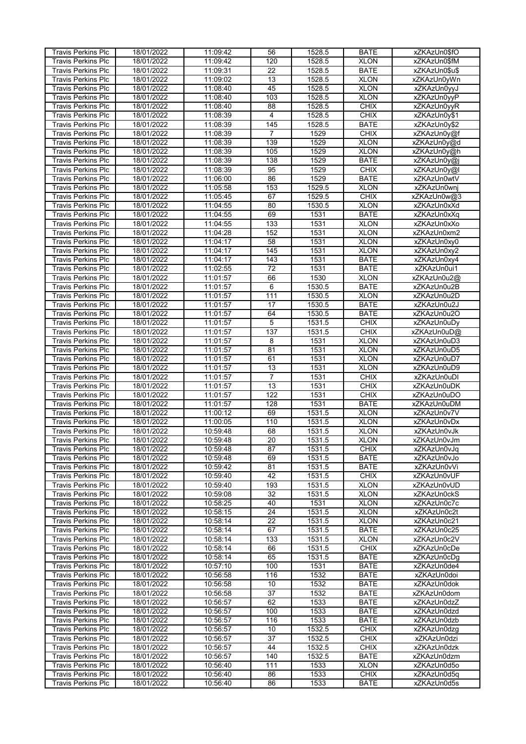| <b>Travis Perkins Plc</b> | 18/01/2022               | 11:09:42             | 56              | 1528.5           | <b>BATE</b>                | xZKAzUn0\$fO               |
|---------------------------|--------------------------|----------------------|-----------------|------------------|----------------------------|----------------------------|
| Travis Perkins Plc        | 18/01/2022               | 11:09:42             | 120             | 1528.5           | <b>XLON</b>                | xZKAzUn0\$fM               |
| <b>Travis Perkins Plc</b> | 18/01/2022               | 11:09:31             | $\overline{22}$ | 1528.5           | <b>BATE</b>                | xZKAzUn0\$u\$              |
|                           |                          |                      |                 |                  |                            |                            |
| Travis Perkins Plc        | 18/01/2022               | 11:09:02             | 13              | 1528.5           | <b>XLON</b>                | xZKAzUn0yWn                |
| <b>Travis Perkins Plc</b> | 18/01/2022               | 11:08:40             | 45              | 1528.5           | <b>XLON</b>                | xZKAzUn0yyJ                |
| <b>Travis Perkins Plc</b> | 18/01/2022               | 11:08:40             | 103             | 1528.5           | <b>XLON</b>                | xZKAzUn0yyP                |
| <b>Travis Perkins Plc</b> | 18/01/2022               | 11:08:40             | 88              | 1528.5           | <b>CHIX</b>                | xZKAzUn0yyR                |
| <b>Travis Perkins Plc</b> | 18/01/2022               | 11:08:39             | $\overline{4}$  | 1528.5           | <b>CHIX</b>                | xZKAzUn0y\$1               |
| <b>Travis Perkins Plc</b> | 18/01/2022               | 11:08:39             | 145             | 1528.5           | <b>BATE</b>                | xZKAzUn0y\$2               |
| <b>Travis Perkins Plc</b> | 18/01/2022               | 11:08:39             | $\overline{7}$  | 1529             | <b>CHIX</b>                | xZKAzUn0y@f                |
| <b>Travis Perkins Plc</b> | 18/01/2022               | 11:08:39             | 139             | 1529             | <b>XLON</b>                | xZKAzUn0y@d                |
|                           |                          |                      |                 |                  |                            |                            |
| Travis Perkins Plc        | 18/01/2022               | 11:08:39             | 105             | 1529             | <b>XLON</b>                | xZKAzUn0y@h                |
| <b>Travis Perkins Plc</b> | 18/01/2022               | 11:08:39             | 138             | 1529             | <b>BATE</b>                | xZKAzUn0y@j                |
| Travis Perkins Plc        | 18/01/2022               | 11:08:39             | 95              | 1529             | <b>CHIX</b>                | xZKAzUn0y@l                |
| <b>Travis Perkins Plc</b> | 18/01/2022               | 11:06:00             | 86              | 1529             | <b>BATE</b>                | xZKAzUn0wtV                |
| <b>Travis Perkins Plc</b> | 18/01/2022               | 11:05:58             | 153             | 1529.5           | <b>XLON</b>                | xZKAzUn0wnj                |
| <b>Travis Perkins Plc</b> | 18/01/2022               | 11:05:45             | 67              | 1529.5           | <b>CHIX</b>                | xZKAzUn0w@3                |
| <b>Travis Perkins Plc</b> | 18/01/2022               | 11:04:55             | 80              | 1530.5           | <b>XLON</b>                | xZKAzUn0xXd                |
| <b>Travis Perkins Plc</b> | 18/01/2022               | 11:04:55             | 69              | 1531             | <b>BATE</b>                | xZKAzUn0xXq                |
| <b>Travis Perkins Plc</b> | 18/01/2022               | 11:04:55             | 133             | 1531             | <b>XLON</b>                | xZKAzUn0xXo                |
|                           |                          |                      |                 |                  |                            |                            |
| <b>Travis Perkins Plc</b> | 18/01/2022               | 11:04:28             | 152             | 1531             | <b>XLON</b>                | xZKAzUn0xm2                |
| Travis Perkins Plc        | 18/01/2022               | 11:04:17             | 58              | 1531             | <b>XLON</b>                | xZKAzUn0xy0                |
| <b>Travis Perkins Plc</b> | 18/01/2022               | 11:04:17             | 145             | 1531             | <b>XLON</b>                | xZKAzUn0xy2                |
| <b>Travis Perkins Plc</b> | 18/01/2022               | 11:04:17             | 143             | 1531             | <b>BATE</b>                | xZKAzUn0xy4                |
| <b>Travis Perkins Plc</b> | 18/01/2022               | 11:02:55             | $\overline{72}$ | 1531             | <b>BATE</b>                | xZKAzUn0ui1                |
| <b>Travis Perkins Plc</b> | 18/01/2022               | 11:01:57             | 66              | 1530             | <b>XLON</b>                | xZKAzUn0u2@                |
| <b>Travis Perkins Plc</b> | 18/01/2022               | 11:01:57             | 6               | 1530.5           | <b>BATE</b>                | xZKAzUn0u2B                |
| <b>Travis Perkins Plc</b> | 18/01/2022               | 11:01:57             | 111             | 1530.5           | <b>XLON</b>                | xZKAzUn0u2D                |
| <b>Travis Perkins Plc</b> | 18/01/2022               | 11:01:57             | $\overline{17}$ | 1530.5           | <b>BATE</b>                | xZKAzUn0u2J                |
| <b>Travis Perkins Plc</b> | 18/01/2022               | 11:01:57             | 64              | 1530.5           | <b>BATE</b>                | xZKAzUn0u2O                |
| Travis Perkins Plc        | 18/01/2022               | 11:01:57             | 5               | 1531.5           | <b>CHIX</b>                | xZKAzUn0uDy                |
| <b>Travis Perkins Plc</b> | 18/01/2022               | 11:01:57             | 137             | 1531.5           | <b>CHIX</b>                | xZKAzUn0uD@                |
| <b>Travis Perkins Plc</b> | 18/01/2022               | 11:01:57             | $\overline{8}$  | 1531             | <b>XLON</b>                | xZKAzUn0uD3                |
|                           |                          |                      | 81              | 1531             | <b>XLON</b>                | xZKAzUn0uD5                |
| Travis Perkins Plc        | 18/01/2022               | 11:01:57             |                 |                  |                            |                            |
| <b>Travis Perkins Plc</b> | 18/01/2022               | 11:01:57             | 61              | 1531             | <b>XLON</b>                | xZKAzUn0uD7                |
| <b>Travis Perkins Plc</b> | 18/01/2022               | 11:01:57             | 13              | 1531             | <b>XLON</b>                | xZKAzUn0uD9                |
| Travis Perkins Plc        | 18/01/2022               | 11:01:57             | $\overline{7}$  | 1531             | <b>CHIX</b>                | xZKAzUn0uDI                |
| <b>Travis Perkins Plc</b> | 18/01/2022               | 11:01:57             | 13              | 1531             | <b>CHIX</b>                | xZKAzUn0uDK                |
| <b>Travis Perkins Plc</b> | 18/01/2022               | 11:01:57             | 122             | 1531             | <b>CHIX</b>                | xZKAzUn0uDO                |
| <b>Travis Perkins Plc</b> | 18/01/2022               | 11:01:57             | 128             | 1531             | <b>BATE</b>                | xZKAzUn0uDM                |
| <b>Travis Perkins Plc</b> | 18/01/2022               | 11:00:12             | 69              | 1531.5           | <b>XLON</b>                | xZKAzUn0v7V                |
| Travis Perkins Plc        | 18/01/2022               | 11:00:05             | 110             | 1531.5           | <b>XLON</b>                | xZKAzUn0vDx                |
| <b>Travis Perkins Plc</b> | 18/01/2022               | 10:59:48             | 68              | 1531.5           | <b>XLON</b>                | xZKAzUn0vJk                |
| <b>Travis Perkins Plc</b> | 18/01/2022               | 10:59:48             | $\overline{20}$ | 1531.5           | <b>XLON</b>                | xZKAzUn0vJm                |
| <b>Travis Perkins Plc</b> | 18/01/2022               | 10:59:48             | 87              | 1531.5           | <b>CHIX</b>                | xZKAzUn0vJq                |
| <b>Travis Perkins Plc</b> | 18/01/2022               | 10:59:48             | 69              | 1531.5           | <b>BATE</b>                | xZKAzUn0vJo                |
| <b>Travis Perkins Plc</b> | 18/01/2022               | 10:59:42             | 81              | 1531.5           | <b>BATE</b>                | xZKAzUn0vVi                |
| <b>Travis Perkins Plc</b> | 18/01/2022               | 10:59:40             | 42              | 1531.5           | <b>CHIX</b>                | xZKAzUn0vUF                |
| <b>Travis Perkins Plc</b> |                          |                      | 193             |                  |                            |                            |
| <b>Travis Perkins Plc</b> | 18/01/2022<br>18/01/2022 | 10:59:40<br>10:59:08 | 32              | 1531.5<br>1531.5 | <b>XLON</b><br><b>XLON</b> | xZKAzUn0vUD<br>xZKAzUn0ckS |
|                           |                          |                      |                 |                  |                            |                            |
| <b>Travis Perkins Plc</b> | 18/01/2022               | 10:58:25             | 40              | 1531             | <b>XLON</b>                | xZKAzUn0c7c                |
| <b>Travis Perkins Plc</b> | 18/01/2022               | 10:58:15             | 24              | 1531.5           | <b>XLON</b>                | xZKAzUn0c2t                |
| <b>Travis Perkins Plc</b> | 18/01/2022               | 10:58:14             | 22              | 1531.5           | <b>XLON</b>                | xZKAzUn0c21                |
| <b>Travis Perkins Plc</b> | 18/01/2022               | 10:58:14             | 67              | 1531.5           | <b>BATE</b>                | xZKAzUn0c25                |
| <b>Travis Perkins Plc</b> | 18/01/2022               | 10:58:14             | 133             | 1531.5           | <b>XLON</b>                | xZKAzUn0c2V                |
| <b>Travis Perkins Plc</b> | 18/01/2022               | 10:58:14             | 66              | 1531.5           | <b>CHIX</b>                | xZKAzUn0cDe                |
| <b>Travis Perkins Plc</b> | 18/01/2022               | 10:58:14             | 65              | 1531.5           | <b>BATE</b>                | xZKAzUn0cDq                |
| <b>Travis Perkins Plc</b> | 18/01/2022               | 10:57:10             | 100             | 1531             | <b>BATE</b>                | xZKAzUn0de4                |
| <b>Travis Perkins Plc</b> | 18/01/2022               | 10:56:58             | 116             | 1532             | <b>BATE</b>                | xZKAzUn0doi                |
| <b>Travis Perkins Plc</b> | 18/01/2022               | 10:56:58             | 10              | 1532             | <b>BATE</b>                | xZKAzUn0dok                |
| <b>Travis Perkins Plc</b> | 18/01/2022               | 10:56:58             | 37              | 1532             | <b>BATE</b>                | xZKAzUn0dom                |
| <b>Travis Perkins Plc</b> | 18/01/2022               | 10:56:57             | 62              | 1533             | <b>BATE</b>                | xZKAzUn0dzZ                |
| <b>Travis Perkins Plc</b> | 18/01/2022               | 10:56:57             | 100             | 1533             | <b>BATE</b>                | xZKAzUn0dzd                |
| Travis Perkins Plc        | 18/01/2022               | 10:56:57             | 116             | 1533             | <b>BATE</b>                | xZKAzUn0dzb                |
| <b>Travis Perkins Plc</b> | 18/01/2022               | 10:56:57             | 10              | 1532.5           | CHIX                       | xZKAzUn0dzg                |
|                           | 18/01/2022               |                      | $\overline{37}$ |                  | <b>CHIX</b>                |                            |
| <b>Travis Perkins Plc</b> |                          | 10:56:57             |                 | 1532.5           |                            | xZKAzUn0dzi                |
| <b>Travis Perkins Plc</b> | 18/01/2022               | 10:56:57             | 44              | 1532.5           | CHIX                       | xZKAzUn0dzk                |
| <b>Travis Perkins Plc</b> | 18/01/2022               | 10:56:57             | 140             | 1532.5           | <b>BATE</b>                | xZKAzUn0dzm                |
| <b>Travis Perkins Plc</b> | 18/01/2022               | 10:56:40             | 111             | 1533             | <b>XLON</b>                | xZKAzUn0d5o                |
| <b>Travis Perkins Plc</b> | 18/01/2022               | 10:56:40             | 86              | 1533             | <b>CHIX</b>                | xZKAzUn0d5q                |
| Travis Perkins Plc        | 18/01/2022               | 10:56:40             | 86              | 1533             | <b>BATE</b>                | xZKAzUn0d5s                |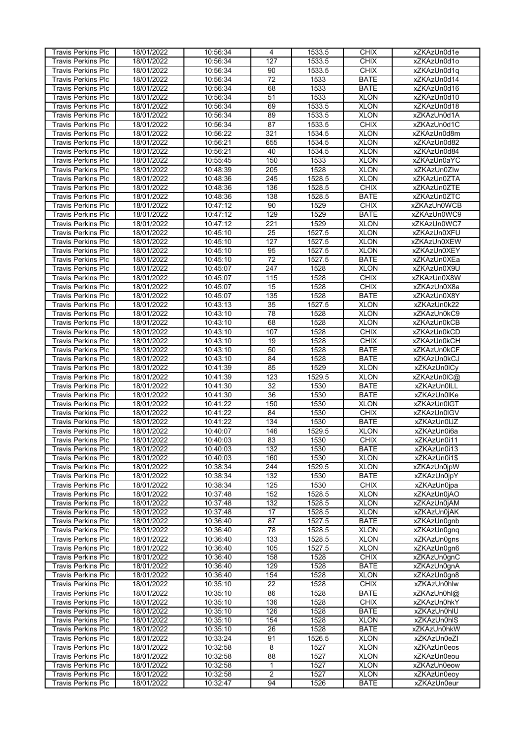| <b>Travis Perkins Plc</b> | 18/01/2022 | 10:56:34 | $\overline{4}$   | 1533.5 | <b>CHIX</b> | xZKAzUn0d1e  |
|---------------------------|------------|----------|------------------|--------|-------------|--------------|
| <b>Travis Perkins Plc</b> |            | 10:56:34 | $\overline{127}$ |        | <b>CHIX</b> | xZKAzUn0d1o  |
|                           | 18/01/2022 |          |                  | 1533.5 |             |              |
| <b>Travis Perkins Plc</b> | 18/01/2022 | 10:56:34 | 90               | 1533.5 | <b>CHIX</b> | xZKAzUn0d1q  |
| <b>Travis Perkins Plc</b> | 18/01/2022 | 10:56:34 | 72               | 1533   | <b>BATE</b> | xZKAzUn0d14  |
| <b>Travis Perkins Plc</b> | 18/01/2022 | 10:56:34 | 68               | 1533   | <b>BATE</b> | xZKAzUn0d16  |
| <b>Travis Perkins Plc</b> | 18/01/2022 | 10:56:34 | 51               | 1533   | <b>XLON</b> | xZKAzUn0d10  |
|                           |            |          |                  |        |             |              |
| Travis Perkins Plc        | 18/01/2022 | 10:56:34 | 69               | 1533.5 | <b>XLON</b> | xZKAzUn0d18  |
| Travis Perkins Plc        | 18/01/2022 | 10:56:34 | 89               | 1533.5 | <b>XLON</b> | xZKAzUn0d1A  |
| <b>Travis Perkins Plc</b> | 18/01/2022 | 10:56:34 | 87               | 1533.5 | <b>CHIX</b> | xZKAzUn0d1C  |
| Travis Perkins Plc        | 18/01/2022 | 10:56:22 | 321              | 1534.5 | <b>XLON</b> | xZKAzUn0d8m  |
| <b>Travis Perkins Plc</b> | 18/01/2022 | 10:56:21 | 655              | 1534.5 | <b>XLON</b> | xZKAzUn0d82  |
|                           |            | 10:56:21 |                  |        |             |              |
| <b>Travis Perkins Plc</b> | 18/01/2022 |          | 40               | 1534.5 | <b>XLON</b> | xZKAzUn0d84  |
| <b>Travis Perkins Plc</b> | 18/01/2022 | 10:55:45 | 150              | 1533   | <b>XLON</b> | xZKAzUn0aYC  |
| <b>Travis Perkins Plc</b> | 18/01/2022 | 10:48:39 | 205              | 1528   | <b>XLON</b> | xZKAzUn0Zlw  |
| <b>Travis Perkins Plc</b> | 18/01/2022 | 10:48:36 | 245              | 1528.5 | <b>XLON</b> | xZKAzUn0ZTA  |
| <b>Travis Perkins Plc</b> | 18/01/2022 | 10:48:36 | 136              | 1528.5 | <b>CHIX</b> | xZKAzUn0ZTE  |
| Travis Perkins Plc        | 18/01/2022 | 10:48:36 | 138              | 1528.5 | <b>BATE</b> | xZKAzUn0ZTC  |
| <b>Travis Perkins Plc</b> | 18/01/2022 | 10:47:12 | 90               | 1529   | <b>CHIX</b> | xZKAzUn0WCB  |
|                           |            |          |                  |        |             |              |
| <b>Travis Perkins Plc</b> | 18/01/2022 | 10:47:12 | 129              | 1529   | <b>BATE</b> | xZKAzUn0WC9  |
| <b>Travis Perkins Plc</b> | 18/01/2022 | 10:47:12 | 221              | 1529   | <b>XLON</b> | xZKAzUn0WC7  |
| <b>Travis Perkins Plc</b> | 18/01/2022 | 10:45:10 | 25               | 1527.5 | <b>XLON</b> | xZKAzUn0XFU  |
| <b>Travis Perkins Plc</b> | 18/01/2022 | 10:45:10 | 127              | 1527.5 | <b>XLON</b> | xZKAzUn0XEW  |
| <b>Travis Perkins Plc</b> | 18/01/2022 | 10:45:10 | 95               | 1527.5 | <b>XLON</b> | xZKAzUn0XEY  |
|                           |            |          |                  |        | <b>BATE</b> | xZKAzUn0XEa  |
| <b>Travis Perkins Plc</b> | 18/01/2022 | 10:45:10 | 72               | 1527.5 |             |              |
| <b>Travis Perkins Plc</b> | 18/01/2022 | 10:45:07 | 247              | 1528   | <b>XLON</b> | xZKAzUn0X9U  |
| <b>Travis Perkins Plc</b> | 18/01/2022 | 10:45:07 | 115              | 1528   | <b>CHIX</b> | xZKAzUn0X8W  |
| <b>Travis Perkins Plc</b> | 18/01/2022 | 10:45:07 | 15               | 1528   | <b>CHIX</b> | xZKAzUn0X8a  |
| <b>Travis Perkins Plc</b> | 18/01/2022 | 10:45:07 | 135              | 1528   | <b>BATE</b> | xZKAzUn0X8Y  |
| <b>Travis Perkins Plc</b> | 18/01/2022 | 10:43:13 | 35               | 1527.5 | <b>XLON</b> | xZKAzUn0k22  |
|                           |            | 10:43:10 | 78               | 1528   | <b>XLON</b> |              |
| Travis Perkins Plc        | 18/01/2022 |          |                  |        |             | xZKAzUn0kC9  |
| <b>Travis Perkins Plc</b> | 18/01/2022 | 10:43:10 | 68               | 1528   | <b>XLON</b> | xZKAzUn0kCB  |
| <b>Travis Perkins Plc</b> | 18/01/2022 | 10:43:10 | 107              | 1528   | <b>CHIX</b> | xZKAzUn0kCD  |
| <b>Travis Perkins Plc</b> | 18/01/2022 | 10:43:10 | 19               | 1528   | <b>CHIX</b> | xZKAzUn0kCH  |
| <b>Travis Perkins Plc</b> | 18/01/2022 | 10:43:10 | 50               | 1528   | <b>BATE</b> | xZKAzUn0kCF  |
| Travis Perkins Plc        | 18/01/2022 | 10:43:10 | 84               | 1528   | <b>BATE</b> | xZKAzUn0kCJ  |
|                           | 18/01/2022 | 10:41:39 | 85               | 1529   | <b>XLON</b> |              |
| <b>Travis Perkins Plc</b> |            |          |                  |        |             | xZKAzUn0ICy  |
| Travis Perkins Plc        | 18/01/2022 | 10:41:39 | 123              | 1529.5 | <b>XLON</b> | xZKAzUn0IC@  |
| <b>Travis Perkins Plc</b> | 18/01/2022 | 10:41:30 | $\overline{32}$  | 1530   | <b>BATE</b> | xZKAzUn0ILL  |
| <b>Travis Perkins Plc</b> | 18/01/2022 | 10:41:30 | 36               | 1530   | <b>BATE</b> | xZKAzUn0IKe  |
| Travis Perkins Plc        | 18/01/2022 | 10:41:22 | 150              | 1530   | <b>XLON</b> | xZKAzUn0IGT  |
| Travis Perkins Plc        | 18/01/2022 | 10:41:22 | 84               | 1530   | <b>CHIX</b> | xZKAzUn0IGV  |
| <b>Travis Perkins Plc</b> | 18/01/2022 | 10:41:22 | 134              | 1530   | <b>BATE</b> | xZKAzUn0IJZ  |
|                           |            |          |                  |        |             |              |
| <b>Travis Perkins Plc</b> | 18/01/2022 | 10:40:07 | 146              | 1529.5 | <b>XLON</b> | xZKAzUn0i6a  |
| <b>Travis Perkins Plc</b> | 18/01/2022 | 10:40:03 | 83               | 1530   | <b>CHIX</b> | xZKAzUn0i11  |
| <b>Travis Perkins Plc</b> | 18/01/2022 | 10:40:03 | 132              | 1530   | <b>BATE</b> | xZKAzUn0i13  |
| <b>Travis Perkins Plc</b> | 18/01/2022 | 10:40:03 | 160              | 1530   | <b>XLON</b> | xZKAzUn0i1\$ |
| Travis Perkins Plc        | 18/01/2022 | 10:38:34 | 244              | 1529.5 | <b>XLON</b> | xZKAzUn0jpW  |
| <b>Travis Perkins Plc</b> | 18/01/2022 | 10:38:34 | 132              | 1530   | <b>BATE</b> | xZKAzUn0jpY  |
|                           |            |          |                  |        |             |              |
| <b>Travis Perkins Plc</b> | 18/01/2022 | 10:38:34 | 125              | 1530   | <b>CHIX</b> | xZKAzUn0jpa  |
| <b>Travis Perkins Plc</b> | 18/01/2022 | 10:37:48 | 152              | 1528.5 | <b>XLON</b> | xZKAzUn0jAO  |
| <b>Travis Perkins Plc</b> | 18/01/2022 | 10:37:48 | 132              | 1528.5 | <b>XLON</b> | xZKAzUn0jAM  |
| <b>Travis Perkins Plc</b> | 18/01/2022 | 10:37:48 | $\overline{17}$  | 1528.5 | <b>XLON</b> | xZKAzUn0jAK  |
| <b>Travis Perkins Plc</b> | 18/01/2022 | 10:36:40 | 87               | 1527.5 | <b>BATE</b> | xZKAzUn0gnb  |
| <b>Travis Perkins Plc</b> | 18/01/2022 | 10:36:40 | 78               | 1528.5 | <b>XLON</b> | xZKAzUn0gnq  |
| <b>Travis Perkins Plc</b> | 18/01/2022 | 10:36:40 | 133              | 1528.5 | <b>XLON</b> |              |
|                           |            |          |                  |        |             | xZKAzUn0gns  |
| <b>Travis Perkins Plc</b> | 18/01/2022 | 10:36:40 | 105              | 1527.5 | <b>XLON</b> | xZKAzUn0gn6  |
| <b>Travis Perkins Plc</b> | 18/01/2022 | 10:36:40 | 158              | 1528   | <b>CHIX</b> | xZKAzUn0gnC  |
| <b>Travis Perkins Plc</b> | 18/01/2022 | 10:36:40 | 129              | 1528   | <b>BATE</b> | xZKAzUn0gnA  |
| <b>Travis Perkins Plc</b> | 18/01/2022 | 10:36:40 | 154              | 1528   | <b>XLON</b> | xZKAzUn0gn8  |
| <b>Travis Perkins Plc</b> | 18/01/2022 | 10:35:10 | 22               | 1528   | <b>CHIX</b> | xZKAzUn0hlw  |
| <b>Travis Perkins Plc</b> | 18/01/2022 | 10:35:10 | 86               | 1528   | <b>BATE</b> | xZKAzUn0hl@  |
| <b>Travis Perkins Plc</b> |            |          | 136              |        | <b>CHIX</b> | xZKAzUn0hkY  |
|                           | 18/01/2022 | 10:35:10 |                  | 1528   |             |              |
| <b>Travis Perkins Plc</b> | 18/01/2022 | 10:35:10 | 126              | 1528   | <b>BATE</b> | xZKAzUn0hlU  |
| <b>Travis Perkins Plc</b> | 18/01/2022 | 10:35:10 | 154              | 1528   | <b>XLON</b> | xZKAzUn0hIS  |
| <b>Travis Perkins Plc</b> | 18/01/2022 | 10:35:10 | 26               | 1528   | <b>BATE</b> | xZKAzUn0hkW  |
| <b>Travis Perkins Plc</b> | 18/01/2022 | 10:33:24 | 91               | 1526.5 | <b>XLON</b> | xZKAzUn0eZI  |
| <b>Travis Perkins Plc</b> | 18/01/2022 | 10:32:58 | 8                | 1527   | <b>XLON</b> | xZKAzUn0eos  |
|                           |            |          | 88               |        |             |              |
| <b>Travis Perkins Plc</b> | 18/01/2022 | 10:32:58 |                  | 1527   | <b>XLON</b> | xZKAzUn0eou  |
| <b>Travis Perkins Plc</b> | 18/01/2022 | 10:32:58 | 1                | 1527   | <b>XLON</b> | xZKAzUn0eow  |
| <b>Travis Perkins Plc</b> | 18/01/2022 | 10:32:58 | $\overline{2}$   | 1527   | <b>XLON</b> | xZKAzUn0eoy  |
| Travis Perkins Plc        | 18/01/2022 | 10:32:47 | 94               | 1526   | <b>BATE</b> | xZKAzUn0eur  |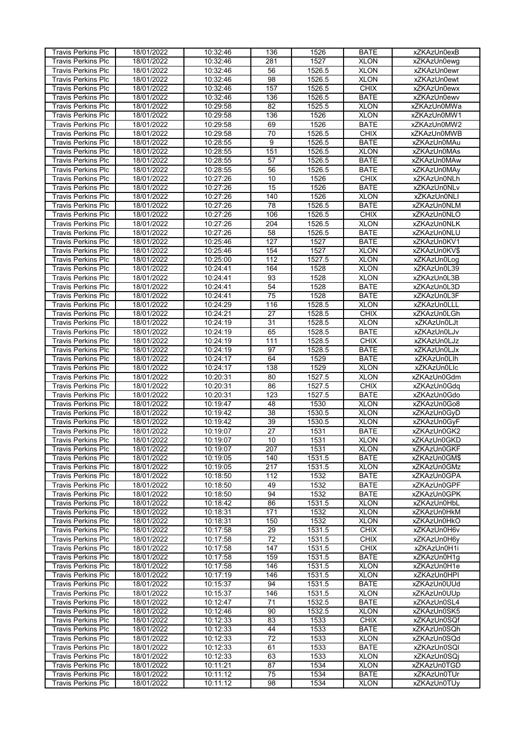| <b>Travis Perkins Plc</b> | 18/01/2022 | 10:32:46 | 136             | 1526   | <b>BATE</b> | xZKAzUn0exB  |
|---------------------------|------------|----------|-----------------|--------|-------------|--------------|
| <b>Travis Perkins Plc</b> | 18/01/2022 | 10:32:46 | 281             | 1527   | <b>XLON</b> | xZKAzUn0ewg  |
|                           |            |          |                 |        |             |              |
| <b>Travis Perkins Plc</b> | 18/01/2022 | 10:32:46 | 56              | 1526.5 | <b>XLON</b> | xZKAzUn0ewr  |
| <b>Travis Perkins Plc</b> | 18/01/2022 | 10:32:46 | 98              | 1526.5 | <b>XLON</b> | xZKAzUn0ewt  |
| <b>Travis Perkins Plc</b> | 18/01/2022 | 10:32:46 | 157             | 1526.5 | <b>CHIX</b> | xZKAzUn0ewx  |
| <b>Travis Perkins Plc</b> | 18/01/2022 | 10:32:46 | 136             | 1526.5 | <b>BATE</b> | xZKAzUn0ewv  |
| Travis Perkins Plc        | 18/01/2022 | 10:29:58 | 82              | 1525.5 | <b>XLON</b> | xZKAzUn0MWa  |
| <b>Travis Perkins Plc</b> | 18/01/2022 | 10:29:58 | 136             | 1526   | <b>XLON</b> | xZKAzUn0MW1  |
|                           |            |          |                 |        |             |              |
| <b>Travis Perkins Plc</b> | 18/01/2022 | 10:29:58 | 69              | 1526   | <b>BATE</b> | xZKAzUn0MW2  |
| Travis Perkins Plc        | 18/01/2022 | 10:29:58 | 70              | 1526.5 | <b>CHIX</b> | xZKAzUn0MWB  |
| <b>Travis Perkins Plc</b> | 18/01/2022 | 10:28:55 | 9               | 1526.5 | <b>BATE</b> | xZKAzUn0MAu  |
| Travis Perkins Plc        | 18/01/2022 | 10:28:55 | 151             | 1526.5 | <b>XLON</b> | xZKAzUn0MAs  |
| <b>Travis Perkins Plc</b> | 18/01/2022 | 10:28:55 | 57              | 1526.5 | <b>BATE</b> | xZKAzUn0MAw  |
|                           |            |          |                 |        |             |              |
| <b>Travis Perkins Plc</b> | 18/01/2022 | 10:28:55 | 56              | 1526.5 | <b>BATE</b> | xZKAzUn0MAv  |
| <b>Travis Perkins Plc</b> | 18/01/2022 | 10:27:26 | 10              | 1526   | <b>CHIX</b> | xZKAzUn0NLh  |
| <b>Travis Perkins Plc</b> | 18/01/2022 | 10:27:26 | 15              | 1526   | <b>BATE</b> | xZKAzUn0NLv  |
| Travis Perkins Plc        | 18/01/2022 | 10:27:26 | 140             | 1526   | <b>XLON</b> | xZKAzUn0NLI  |
| <b>Travis Perkins Plc</b> | 18/01/2022 | 10:27:26 | 78              | 1526.5 | <b>BATE</b> | xZKAzUn0NLM  |
|                           |            |          |                 |        |             |              |
| <b>Travis Perkins Plc</b> | 18/01/2022 | 10:27:26 | 106             | 1526.5 | <b>CHIX</b> | xZKAzUn0NLO  |
| <b>Travis Perkins Plc</b> | 18/01/2022 | 10:27:26 | 204             | 1526.5 | <b>XLON</b> | xZKAzUn0NLK  |
| <b>Travis Perkins Plc</b> | 18/01/2022 | 10:27:26 | 58              | 1526.5 | <b>BATE</b> | xZKAzUn0NLU  |
| <b>Travis Perkins Plc</b> | 18/01/2022 | 10:25:46 | 127             | 1527   | <b>BATE</b> | xZKAzUn0KV1  |
| <b>Travis Perkins Plc</b> | 18/01/2022 | 10:25:46 | 154             | 1527   | <b>XLON</b> | xZKAzUn0KV\$ |
|                           |            |          | 112             | 1527.5 | <b>XLON</b> |              |
| <b>Travis Perkins Plc</b> | 18/01/2022 | 10:25:00 |                 |        |             | xZKAzUn0Log  |
| <b>Travis Perkins Plc</b> | 18/01/2022 | 10:24:41 | 164             | 1528   | <b>XLON</b> | xZKAzUn0L39  |
| <b>Travis Perkins Plc</b> | 18/01/2022 | 10:24:41 | 93              | 1528   | <b>XLON</b> | xZKAzUn0L3B  |
| Travis Perkins Plc        | 18/01/2022 | 10:24:41 | 54              | 1528   | <b>BATE</b> | xZKAzUn0L3D  |
| <b>Travis Perkins Plc</b> | 18/01/2022 | 10:24:41 | $\overline{75}$ | 1528   | <b>BATE</b> | xZKAzUn0L3F  |
|                           | 18/01/2022 | 10:24:29 | 116             | 1528.5 | <b>XLON</b> |              |
| <b>Travis Perkins Plc</b> |            |          |                 |        |             | xZKAzUn0LLL  |
| Travis Perkins Plc        | 18/01/2022 | 10:24:21 | 27              | 1528.5 | <b>CHIX</b> | xZKAzUn0LGh  |
| <b>Travis Perkins Plc</b> | 18/01/2022 | 10:24:19 | 31              | 1528.5 | <b>XLON</b> | xZKAzUn0LJt  |
| Travis Perkins Plc        | 18/01/2022 | 10:24:19 | 65              | 1528.5 | <b>BATE</b> | xZKAzUn0LJv  |
| <b>Travis Perkins Plc</b> | 18/01/2022 | 10:24:19 | 111             | 1528.5 | <b>CHIX</b> | xZKAzUn0LJz  |
| <b>Travis Perkins Plc</b> | 18/01/2022 | 10:24:19 | 97              | 1528.5 | <b>BATE</b> | xZKAzUn0LJx  |
|                           |            |          |                 |        |             |              |
| Travis Perkins Plc        | 18/01/2022 | 10:24:17 | 64              | 1529   | <b>BATE</b> | xZKAzUn0Llh  |
| <b>Travis Perkins Plc</b> | 18/01/2022 | 10:24:17 | 138             | 1529   | <b>XLON</b> | xZKAzUn0LIc  |
| Travis Perkins Plc        | 18/01/2022 | 10:20:31 | 80              | 1527.5 | <b>XLON</b> | xZKAzUn0Gdm  |
| <b>Travis Perkins Plc</b> | 18/01/2022 | 10:20:31 | 86              | 1527.5 | <b>CHIX</b> | xZKAzUn0Gdq  |
| <b>Travis Perkins Plc</b> | 18/01/2022 | 10:20:31 | 123             | 1527.5 | <b>BATE</b> | xZKAzUn0Gdo  |
|                           |            |          |                 |        |             |              |
| <b>Travis Perkins Plc</b> | 18/01/2022 | 10:19:47 | 48              | 1530   | <b>XLON</b> | xZKAzUn0Go8  |
| <b>Travis Perkins Plc</b> | 18/01/2022 | 10:19:42 | 38              | 1530.5 | <b>XLON</b> | xZKAzUn0GyD  |
| <b>Travis Perkins Plc</b> | 18/01/2022 | 10:19:42 | 39              | 1530.5 | <b>XLON</b> | xZKAzUn0GyF  |
| <b>Travis Perkins Plc</b> | 18/01/2022 | 10:19:07 | $\overline{27}$ | 1531   | <b>BATE</b> | xZKAzUn0GK2  |
| <b>Travis Perkins Plc</b> | 18/01/2022 | 10:19:07 | 10              | 1531   | <b>XLON</b> | xZKAzUn0GKD  |
| <b>Travis Perkins Plc</b> | 18/01/2022 | 10:19:07 |                 | 1531   | <b>XLON</b> | xZKAzUn0GKF  |
|                           |            |          | 207             |        |             |              |
| <b>Travis Perkins Plc</b> | 18/01/2022 | 10:19:05 | 140             | 1531.5 | <b>BATE</b> | xZKAzUn0GM\$ |
| Travis Perkins Plc        | 18/01/2022 | 10:19:05 | 217             | 1531.5 | <b>XLON</b> | xZKAzUn0GMz  |
| <b>Travis Perkins Plc</b> | 18/01/2022 | 10:18:50 | 112             | 1532   | <b>BATE</b> | xZKAzUn0GPA  |
| <b>Travis Perkins Plc</b> | 18/01/2022 | 10:18:50 | 49              | 1532   | <b>BATE</b> | xZKAzUn0GPF  |
| <b>Travis Perkins Plc</b> | 18/01/2022 | 10:18:50 | 94              | 1532   | <b>BATE</b> | xZKAzUn0GPK  |
| <b>Travis Perkins Plc</b> |            |          |                 |        |             |              |
|                           | 18/01/2022 | 10:18:42 | 86              | 1531.5 | <b>XLON</b> | xZKAzUn0HbL  |
| <b>Travis Perkins Plc</b> | 18/01/2022 | 10:18:31 | 171             | 1532   | <b>XLON</b> | xZKAzUn0HkM  |
| <b>Travis Perkins Plc</b> | 18/01/2022 | 10:18:31 | 150             | 1532   | <b>XLON</b> | xZKAzUn0HkO  |
| <b>Travis Perkins Plc</b> | 18/01/2022 | 10:17:58 | 29              | 1531.5 | <b>CHIX</b> | xZKAzUn0H6v  |
| <b>Travis Perkins Plc</b> | 18/01/2022 | 10:17:58 | 72              | 1531.5 | <b>CHIX</b> | xZKAzUn0H6y  |
| <b>Travis Perkins Plc</b> | 18/01/2022 |          | 147             |        | <b>CHIX</b> |              |
|                           |            | 10:17:58 |                 | 1531.5 |             | xZKAzUn0H1i  |
| <b>Travis Perkins Plc</b> | 18/01/2022 | 10:17:58 | 159             | 1531.5 | <b>BATE</b> | xZKAzUn0H1g  |
| <b>Travis Perkins Plc</b> | 18/01/2022 | 10:17:58 | 146             | 1531.5 | <b>XLON</b> | xZKAzUn0H1e  |
| <b>Travis Perkins Plc</b> | 18/01/2022 | 10:17:19 | 146             | 1531.5 | <b>XLON</b> | xZKAzUn0HPI  |
| <b>Travis Perkins Plc</b> | 18/01/2022 | 10:15:37 | 94              | 1531.5 | <b>BATE</b> | xZKAzUn0UUd  |
| <b>Travis Perkins Plc</b> | 18/01/2022 | 10:15:37 | 146             | 1531.5 | <b>XLON</b> | xZKAzUn0UUp  |
|                           |            |          |                 |        |             |              |
| <b>Travis Perkins Plc</b> | 18/01/2022 | 10:12:47 | 71              | 1532.5 | <b>BATE</b> | xZKAzUn0SL4  |
| <b>Travis Perkins Plc</b> | 18/01/2022 | 10:12:46 | 90              | 1532.5 | <b>XLON</b> | xZKAzUn0SK5  |
| <b>Travis Perkins Plc</b> | 18/01/2022 | 10:12:33 | 83              | 1533   | <b>CHIX</b> | xZKAzUn0SQf  |
| <b>Travis Perkins Plc</b> | 18/01/2022 | 10:12:33 | 44              | 1533   | <b>BATE</b> | xZKAzUn0SQh  |
| <b>Travis Perkins Plc</b> | 18/01/2022 | 10:12:33 | $\overline{72}$ | 1533   | <b>XLON</b> | xZKAzUn0SQd  |
|                           |            |          |                 |        |             |              |
| Travis Perkins Plc        | 18/01/2022 | 10:12:33 | 61              | 1533   | <b>BATE</b> | xZKAzUn0SQI  |
| <b>Travis Perkins Plc</b> | 18/01/2022 | 10:12:33 | 63              | 1533   | <b>XLON</b> | xZKAzUn0SQi  |
| <b>Travis Perkins Plc</b> | 18/01/2022 | 10:11:21 | 87              | 1534   | <b>XLON</b> | xZKAzUn0TGD  |
| <b>Travis Perkins Plc</b> | 18/01/2022 | 10:11:12 | 75              | 1534   | <b>BATE</b> | xZKAzUn0TUr  |
| Travis Perkins Plc        | 18/01/2022 | 10:11:12 | 98              | 1534   | <b>XLON</b> | xZKAzUn0TUy  |
|                           |            |          |                 |        |             |              |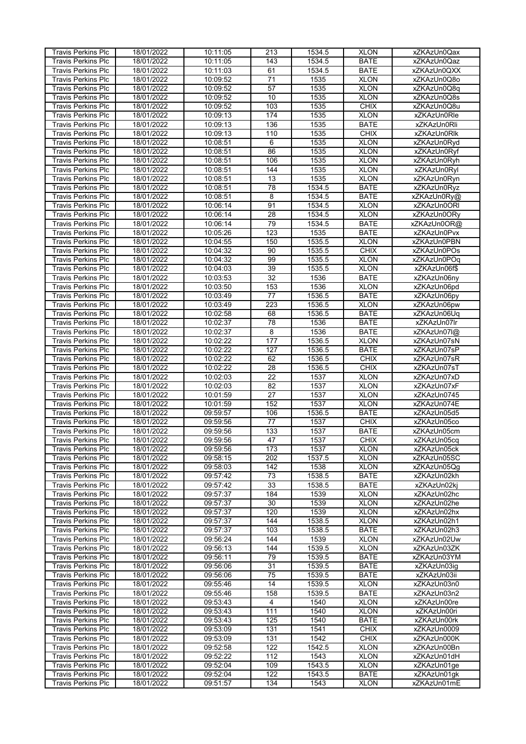| <b>Travis Perkins Plc</b> | 18/01/2022 | 10:11:05 | 213             | 1534.5 | <b>XLON</b> | xZKAzUn0Qax  |
|---------------------------|------------|----------|-----------------|--------|-------------|--------------|
| Travis Perkins Plc        | 18/01/2022 | 10:11:05 | 143             | 1534.5 | <b>BATE</b> | xZKAzUn0Qaz  |
|                           |            |          |                 |        |             |              |
| <b>Travis Perkins Plc</b> | 18/01/2022 | 10:11:03 | 61              | 1534.5 | <b>BATE</b> | xZKAzUn0QXX  |
| Travis Perkins Plc        | 18/01/2022 | 10:09:52 | $\overline{71}$ | 1535   | <b>XLON</b> | xZKAzUn0Q8o  |
| <b>Travis Perkins Plc</b> | 18/01/2022 | 10:09:52 | $\overline{57}$ | 1535   | <b>XLON</b> | xZKAzUn0Q8q  |
| <b>Travis Perkins Plc</b> | 18/01/2022 | 10:09:52 | 10              | 1535   | <b>XLON</b> | xZKAzUn0Q8s  |
|                           |            |          |                 |        |             |              |
| <b>Travis Perkins Plc</b> | 18/01/2022 | 10:09:52 | 103             | 1535   | <b>CHIX</b> | xZKAzUn0Q8u  |
| <b>Travis Perkins Plc</b> | 18/01/2022 | 10:09:13 | 174             | 1535   | <b>XLON</b> | xZKAzUn0Rle  |
| <b>Travis Perkins Plc</b> | 18/01/2022 | 10:09:13 | 136             | 1535   | <b>BATE</b> | xZKAzUn0Rli  |
| Travis Perkins Plc        | 18/01/2022 | 10:09:13 | 110             | 1535   | <b>CHIX</b> | xZKAzUn0Rlk  |
| <b>Travis Perkins Plc</b> | 18/01/2022 | 10:08:51 | 6               | 1535   | <b>XLON</b> | xZKAzUn0Ryd  |
|                           |            |          |                 |        |             |              |
| Travis Perkins Plc        | 18/01/2022 | 10:08:51 | $\overline{86}$ | 1535   | <b>XLON</b> | xZKAzUn0Ryf  |
| <b>Travis Perkins Plc</b> | 18/01/2022 | 10:08:51 | 106             | 1535   | <b>XLON</b> | xZKAzUn0Ryh  |
| <b>Travis Perkins Plc</b> | 18/01/2022 | 10:08:51 | 144             | 1535   | <b>XLON</b> | xZKAzUn0Ryl  |
| Travis Perkins Plc        | 18/01/2022 | 10:08:51 | 13              | 1535   | <b>XLON</b> | xZKAzUn0Ryn  |
| <b>Travis Perkins Plc</b> | 18/01/2022 | 10:08:51 | 78              | 1534.5 | <b>BATE</b> | xZKAzUn0Ryz  |
|                           |            |          |                 |        |             |              |
| Travis Perkins Plc        | 18/01/2022 | 10:08:51 | 8               | 1534.5 | <b>BATE</b> | xZKAzUn0Ry@  |
| <b>Travis Perkins Plc</b> | 18/01/2022 | 10:06:14 | 91              | 1534.5 | <b>XLON</b> | xZKAzUn0ORI  |
| <b>Travis Perkins Plc</b> | 18/01/2022 | 10:06:14 | $\overline{28}$ | 1534.5 | <b>XLON</b> | xZKAzUn0ORy  |
| <b>Travis Perkins Plc</b> | 18/01/2022 | 10:06:14 | 79              | 1534.5 | <b>BATE</b> | xZKAzUn0OR@  |
| <b>Travis Perkins Plc</b> | 18/01/2022 | 10:05:26 | 123             | 1535   | <b>BATE</b> | xZKAzUn0Pvx  |
|                           |            |          |                 |        |             |              |
| <b>Travis Perkins Plc</b> | 18/01/2022 | 10:04:55 | 150             | 1535.5 | <b>XLON</b> | xZKAzUn0PBN  |
| <b>Travis Perkins Plc</b> | 18/01/2022 | 10:04:32 | 90              | 1535.5 | <b>CHIX</b> | xZKAzUn0POs  |
| <b>Travis Perkins Plc</b> | 18/01/2022 | 10:04:32 | 99              | 1535.5 | <b>XLON</b> | xZKAzUn0POq  |
| <b>Travis Perkins Plc</b> | 18/01/2022 | 10:04:03 | 39              | 1535.5 | <b>XLON</b> | xZKAzUn06f\$ |
| <b>Travis Perkins Plc</b> | 18/01/2022 | 10:03:53 | $\overline{32}$ | 1536   | <b>BATE</b> | xZKAzUn06ny  |
|                           |            |          |                 |        |             |              |
| <b>Travis Perkins Plc</b> | 18/01/2022 | 10:03:50 | 153             | 1536   | <b>XLON</b> | xZKAzUn06pd  |
| <b>Travis Perkins Plc</b> | 18/01/2022 | 10:03:49 | $\overline{77}$ | 1536.5 | <b>BATE</b> | xZKAzUn06py  |
| <b>Travis Perkins Plc</b> | 18/01/2022 | 10:03:49 | 223             | 1536.5 | <b>XLON</b> | xZKAzUn06pw  |
| Travis Perkins Plc        | 18/01/2022 | 10:02:58 | 68              | 1536.5 | <b>BATE</b> | xZKAzUn06Uq  |
| <b>Travis Perkins Plc</b> | 18/01/2022 | 10:02:37 | $\overline{78}$ | 1536   | <b>BATE</b> | xZKAzUn07lr  |
|                           |            |          | $\overline{8}$  |        |             |              |
| <b>Travis Perkins Plc</b> | 18/01/2022 | 10:02:37 |                 | 1536   | <b>BATE</b> | xZKAzUn07l@  |
| <b>Travis Perkins Plc</b> | 18/01/2022 | 10:02:22 | 177             | 1536.5 | <b>XLON</b> | xZKAzUn07sN  |
| <b>Travis Perkins Plc</b> | 18/01/2022 | 10:02:22 | 127             | 1536.5 | <b>BATE</b> | xZKAzUn07sP  |
| Travis Perkins Plc        | 18/01/2022 | 10:02:22 | 62              | 1536.5 | <b>CHIX</b> | xZKAzUn07sR  |
| <b>Travis Perkins Plc</b> | 18/01/2022 | 10:02:22 | $\overline{28}$ | 1536.5 | <b>CHIX</b> | xZKAzUn07sT  |
|                           |            |          |                 |        |             |              |
| Travis Perkins Plc        | 18/01/2022 | 10:02:03 | 22              | 1537   | <b>XLON</b> | xZKAzUn07xD  |
| <b>Travis Perkins Plc</b> | 18/01/2022 | 10:02:03 | 82              | 1537   | <b>XLON</b> | xZKAzUn07xF  |
| <b>Travis Perkins Plc</b> | 18/01/2022 | 10:01:59 | $\overline{27}$ | 1537   | <b>XLON</b> | xZKAzUn0745  |
| <b>Travis Perkins Plc</b> | 18/01/2022 | 10:01:59 | 152             | 1537   | <b>XLON</b> | xZKAzUn074E  |
| <b>Travis Perkins Plc</b> | 18/01/2022 | 09:59:57 | 106             | 1536.5 | <b>BATE</b> | xZKAzUn05d5  |
|                           | 18/01/2022 |          | $\overline{77}$ |        |             |              |
| <b>Travis Perkins Plc</b> |            | 09:59:56 |                 | 1537   | <b>CHIX</b> | xZKAzUn05co  |
| <b>Travis Perkins Plc</b> | 18/01/2022 | 09:59:56 | 133             | 1537   | <b>BATE</b> | xZKAzUn05cm  |
| <b>Travis Perkins Plc</b> | 18/01/2022 | 09:59:56 | $\overline{47}$ | 1537   | <b>CHIX</b> | xZKAzUn05cq  |
| <b>Travis Perkins Plc</b> | 18/01/2022 | 09:59:56 | 173             | 1537   | <b>XLON</b> | xZKAzUn05ck  |
| <b>Travis Perkins Plc</b> | 18/01/2022 | 09:58:15 | 202             | 1537.5 | <b>XLON</b> | xZKAzUn05SC  |
|                           |            |          |                 |        |             |              |
| Travis Perkins Plc        | 18/01/2022 | 09:58:03 | 142             | 1538   | <b>XLON</b> | xZKAzUn05Qq  |
| <b>Travis Perkins Plc</b> | 18/01/2022 | 09:57:42 | 73              | 1538.5 | <b>BATE</b> | xZKAzUn02kh  |
| <b>Travis Perkins Plc</b> | 18/01/2022 | 09:57:42 | 33              | 1538.5 | <b>BATE</b> | xZKAzUn02kj  |
| <b>Travis Perkins Plc</b> | 18/01/2022 | 09:57:37 | 184             | 1539   | <b>XLON</b> | xZKAzUn02hc  |
| <b>Travis Perkins Plc</b> | 18/01/2022 | 09:57:37 | 30              | 1539   | <b>XLON</b> | xZKAzUn02he  |
| <b>Travis Perkins Plc</b> | 18/01/2022 | 09:57:37 | 120             | 1539   | <b>XLON</b> | xZKAzUn02hx  |
|                           |            |          |                 |        |             |              |
| <b>Travis Perkins Plc</b> | 18/01/2022 | 09:57:37 | 144             | 1538.5 | <b>XLON</b> | xZKAzUn02h1  |
| <b>Travis Perkins Plc</b> | 18/01/2022 | 09:57:37 | 103             | 1538.5 | <b>BATE</b> | xZKAzUn02h3  |
| <b>Travis Perkins Plc</b> | 18/01/2022 | 09:56:24 | 144             | 1539   | <b>XLON</b> | xZKAzUn02Uw  |
| <b>Travis Perkins Plc</b> | 18/01/2022 | 09:56:13 | 144             | 1539.5 | <b>XLON</b> | xZKAzUn03ZK  |
| <b>Travis Perkins Plc</b> | 18/01/2022 | 09:56:11 | 79              | 1539.5 | <b>BATE</b> | xZKAzUn03YM  |
|                           |            |          |                 |        |             |              |
| <b>Travis Perkins Plc</b> | 18/01/2022 | 09:56:06 | $\overline{31}$ | 1539.5 | <b>BATE</b> | xZKAzUn03ig  |
| <b>Travis Perkins Plc</b> | 18/01/2022 | 09:56:06 | 75              | 1539.5 | <b>BATE</b> | xZKAzUn03ii  |
| <b>Travis Perkins Plc</b> | 18/01/2022 | 09:55:46 | 14              | 1539.5 | <b>XLON</b> | xZKAzUn03n0  |
| <b>Travis Perkins Plc</b> | 18/01/2022 | 09:55:46 | 158             | 1539.5 | <b>BATE</b> | xZKAzUn03n2  |
| <b>Travis Perkins Plc</b> | 18/01/2022 | 09:53:43 | 4               | 1540   | <b>XLON</b> | xZKAzUn00re  |
|                           |            |          |                 |        |             |              |
| <b>Travis Perkins Plc</b> | 18/01/2022 | 09:53:43 | 111             | 1540   | <b>XLON</b> | xZKAzUn00ri  |
| <b>Travis Perkins Plc</b> | 18/01/2022 | 09:53:43 | 125             | 1540   | <b>BATE</b> | xZKAzUn00rk  |
| <b>Travis Perkins Plc</b> | 18/01/2022 | 09:53:09 | 131             | 1541   | <b>CHIX</b> | xZKAzUn0009  |
| <b>Travis Perkins Plc</b> | 18/01/2022 | 09:53:09 | 131             | 1542   | <b>CHIX</b> | xZKAzUn000K  |
| Travis Perkins Plc        | 18/01/2022 | 09:52:58 | 122             | 1542.5 | <b>XLON</b> | xZKAzUn00Bn  |
| <b>Travis Perkins Plc</b> | 18/01/2022 | 09:52:22 | 112             | 1543   | <b>XLON</b> | xZKAzUn01dH  |
|                           |            |          |                 |        |             |              |
| <b>Travis Perkins Plc</b> | 18/01/2022 | 09:52:04 | 109             | 1543.5 | <b>XLON</b> | xZKAzUn01ge  |
| <b>Travis Perkins Plc</b> | 18/01/2022 | 09:52:04 | 122             | 1543.5 | <b>BATE</b> | xZKAzUn01gk  |
| Travis Perkins Plc        | 18/01/2022 | 09:51:57 | 134             | 1543   | <b>XLON</b> | xZKAzUn01mE  |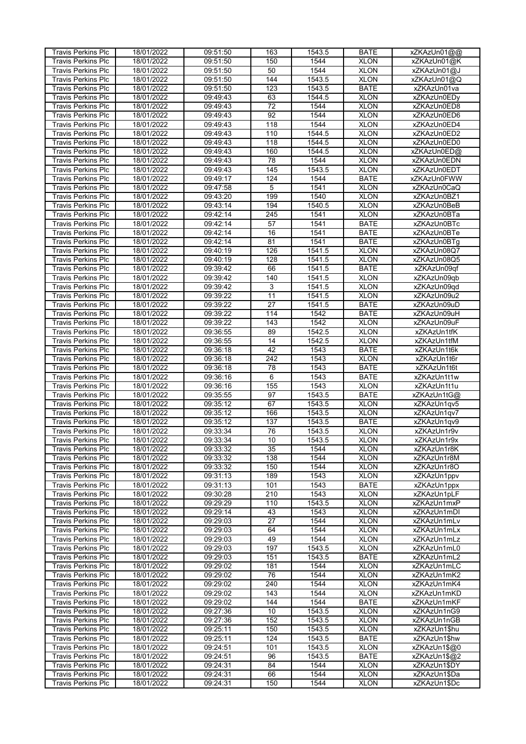| <b>Travis Perkins Plc</b> | 18/01/2022 | 09:51:50 | 163             | 1543.5 | <b>BATE</b> | xZKAzUn01@@  |
|---------------------------|------------|----------|-----------------|--------|-------------|--------------|
| <b>Travis Perkins Plc</b> | 18/01/2022 | 09:51:50 | 150             | 1544   | <b>XLON</b> | xZKAzUn01@K  |
| Travis Perkins Plc        | 18/01/2022 | 09:51:50 | 50              | 1544   | <b>XLON</b> | xZKAzUn01@J  |
|                           |            |          |                 |        |             |              |
| <b>Travis Perkins Plc</b> | 18/01/2022 | 09:51:50 | 144             | 1543.5 | <b>XLON</b> | xZKAzUn01@Q  |
| <b>Travis Perkins Plc</b> | 18/01/2022 | 09:51:50 | 123             | 1543.5 | <b>BATE</b> | xZKAzUn01va  |
| <b>Travis Perkins Plc</b> | 18/01/2022 | 09:49:43 | 63              | 1544.5 | <b>XLON</b> | xZKAzUn0EDy  |
| Travis Perkins Plc        | 18/01/2022 | 09:49:43 | 72              | 1544   | <b>XLON</b> | xZKAzUn0ED8  |
| <b>Travis Perkins Plc</b> | 18/01/2022 | 09:49:43 | 92              | 1544   | <b>XLON</b> | xZKAzUn0ED6  |
| <b>Travis Perkins Plc</b> | 18/01/2022 | 09:49:43 | 118             | 1544   | <b>XLON</b> | xZKAzUn0ED4  |
| <b>Travis Perkins Plc</b> | 18/01/2022 | 09:49:43 | 110             | 1544.5 | <b>XLON</b> | xZKAzUn0ED2  |
| <b>Travis Perkins Plc</b> | 18/01/2022 | 09:49:43 | 118             | 1544.5 | <b>XLON</b> | xZKAzUn0ED0  |
|                           |            |          |                 |        |             |              |
| <b>Travis Perkins Plc</b> | 18/01/2022 | 09:49:43 | 160             | 1544.5 | <b>XLON</b> | xZKAzUn0ED@  |
| <b>Travis Perkins Plc</b> | 18/01/2022 | 09:49:43 | 78              | 1544   | <b>XLON</b> | xZKAzUn0EDN  |
| Travis Perkins Plc        | 18/01/2022 | 09:49:43 | 145             | 1543.5 | <b>XLON</b> | xZKAzUn0EDT  |
| Travis Perkins Plc        | 18/01/2022 | 09:49:17 | 124             | 1544   | <b>BATE</b> | xZKAzUn0FWW  |
| <b>Travis Perkins Plc</b> | 18/01/2022 | 09:47:58 | $\overline{5}$  | 1541   | <b>XLON</b> | xZKAzUn0CaQ  |
| Travis Perkins Plc        | 18/01/2022 | 09:43:20 | 199             | 1540   | <b>XLON</b> | xZKAzUn0BZ1  |
| <b>Travis Perkins Plc</b> | 18/01/2022 | 09:43:14 | 194             | 1540.5 | <b>XLON</b> | xZKAzUn0BeB  |
| <b>Travis Perkins Plc</b> | 18/01/2022 | 09:42:14 | 245             | 1541   | <b>XLON</b> | xZKAzUn0BTa  |
| <b>Travis Perkins Plc</b> | 18/01/2022 | 09:42:14 | 57              | 1541   | <b>BATE</b> | xZKAzUn0BTc  |
|                           |            |          |                 |        |             |              |
| <b>Travis Perkins Plc</b> | 18/01/2022 | 09:42:14 | 16              | 1541   | <b>BATE</b> | xZKAzUn0BTe  |
| <b>Travis Perkins Plc</b> | 18/01/2022 | 09:42:14 | 81              | 1541   | <b>BATE</b> | xZKAzUn0BTg  |
| <b>Travis Perkins Plc</b> | 18/01/2022 | 09:40:19 | 126             | 1541.5 | <b>XLON</b> | xZKAzUn08Q7  |
| <b>Travis Perkins Plc</b> | 18/01/2022 | 09:40:19 | 128             | 1541.5 | <b>XLON</b> | xZKAzUn08Q5  |
| <b>Travis Perkins Plc</b> | 18/01/2022 | 09:39:42 | 66              | 1541.5 | <b>BATE</b> | xZKAzUn09qf  |
| <b>Travis Perkins Plc</b> | 18/01/2022 | 09:39:42 | 140             | 1541.5 | <b>XLON</b> | xZKAzUn09qb  |
| <b>Travis Perkins Plc</b> | 18/01/2022 | 09:39:42 | 3               | 1541.5 | <b>XLON</b> | xZKAzUn09qd  |
| <b>Travis Perkins Plc</b> | 18/01/2022 | 09:39:22 | $\overline{11}$ | 1541.5 | <b>XLON</b> | xZKAzUn09u2  |
| <b>Travis Perkins Plc</b> | 18/01/2022 | 09:39:22 | $\overline{27}$ | 1541.5 | <b>BATE</b> | xZKAzUn09uD  |
| <b>Travis Perkins Plc</b> | 18/01/2022 | 09:39:22 | 114             | 1542   | <b>BATE</b> | xZKAzUn09uH  |
| <b>Travis Perkins Plc</b> | 18/01/2022 | 09:39:22 | 143             | 1542   | <b>XLON</b> | xZKAzUn09uF  |
| <b>Travis Perkins Plc</b> | 18/01/2022 | 09:36:55 | 89              | 1542.5 | <b>XLON</b> | xZKAzUn1tfK  |
|                           |            |          |                 |        |             |              |
| <b>Travis Perkins Plc</b> | 18/01/2022 | 09:36:55 | 14              | 1542.5 | <b>XLON</b> | xZKAzUn1tfM  |
| Travis Perkins Plc        | 18/01/2022 | 09:36:18 | 42              | 1543   | <b>BATE</b> | xZKAzUn1t6k  |
| Travis Perkins Plc        | 18/01/2022 | 09:36:18 | 242             | 1543   | <b>XLON</b> | xZKAzUn1t6r  |
| <b>Travis Perkins Plc</b> | 18/01/2022 | 09:36:18 | $\overline{78}$ | 1543   | <b>BATE</b> | xZKAzUn1t6t  |
| Travis Perkins Plc        | 18/01/2022 | 09:36:16 | 6               | 1543   | <b>BATE</b> | xZKAzUn1t1w  |
| <b>Travis Perkins Plc</b> | 18/01/2022 | 09:36:16 | 155             | 1543   | <b>XLON</b> | xZKAzUn1t1u  |
| <b>Travis Perkins Plc</b> | 18/01/2022 | 09:35:55 | 97              | 1543.5 | <b>BATE</b> | xZKAzUn1tG@  |
| <b>Travis Perkins Plc</b> | 18/01/2022 | 09:35:12 | 67              | 1543.5 | <b>XLON</b> | xZKAzUn1qv5  |
| <b>Travis Perkins Plc</b> | 18/01/2022 | 09:35:12 | 166             | 1543.5 | <b>XLON</b> | xZKAzUn1qv7  |
| <b>Travis Perkins Plc</b> | 18/01/2022 | 09:35:12 | 137             | 1543.5 | <b>BATE</b> | xZKAzUn1qv9  |
| <b>Travis Perkins Plc</b> | 18/01/2022 | 09:33:34 | 76              | 1543.5 | <b>XLON</b> | xZKAzUn1r9v  |
| <b>Travis Perkins Plc</b> | 18/01/2022 | 09:33:34 | 10              | 1543.5 | <b>XLON</b> | xZKAzUn1r9x  |
| <b>Travis Perkins Plc</b> | 18/01/2022 | 09:33:32 | 35              | 1544   | <b>XLON</b> | xZKAzUn1r8K  |
| <b>Travis Perkins Plc</b> | 18/01/2022 | 09:33:32 | 138             | 1544   | <b>XLON</b> | xZKAzUn1r8M  |
|                           |            |          |                 |        | <b>XLON</b> |              |
| Travis Perkins Plc        | 18/01/2022 | 09:33:32 | 150             | 1544   |             | xZKAzUn1r8O  |
| <b>Travis Perkins Plc</b> | 18/01/2022 | 09:31:13 | 189             | 1543   | <b>XLON</b> | xZKAzUn1ppv  |
| <b>Travis Perkins Plc</b> | 18/01/2022 | 09:31:13 | 101             | 1543   | <b>BATE</b> | xZKAzUn1ppx  |
| <b>Travis Perkins Plc</b> | 18/01/2022 | 09:30:28 | 210             | 1543   | <b>XLON</b> | xZKAzUn1pLF  |
| <b>Travis Perkins Plc</b> | 18/01/2022 | 09:29:29 | 110             | 1543.5 | <b>XLON</b> | xZKAzUn1mxP  |
| <b>Travis Perkins Plc</b> | 18/01/2022 | 09:29:14 | 43              | 1543   | <b>XLON</b> | xZKAzUn1mDI  |
| <b>Travis Perkins Plc</b> | 18/01/2022 | 09:29:03 | 27              | 1544   | <b>XLON</b> | xZKAzUn1mLv  |
| <b>Travis Perkins Plc</b> | 18/01/2022 | 09:29:03 | 64              | 1544   | <b>XLON</b> | xZKAzUn1mLx  |
| <b>Travis Perkins Plc</b> | 18/01/2022 | 09:29:03 | 49              | 1544   | <b>XLON</b> | xZKAzUn1mLz  |
| <b>Travis Perkins Plc</b> | 18/01/2022 | 09:29:03 | 197             | 1543.5 | <b>XLON</b> | xZKAzUn1mL0  |
| Travis Perkins Plc        | 18/01/2022 | 09:29:03 | 151             | 1543.5 | <b>BATE</b> | xZKAzUn1mL2  |
| <b>Travis Perkins Plc</b> | 18/01/2022 | 09:29:02 | 181             | 1544   | <b>XLON</b> | xZKAzUn1mLC  |
| <b>Travis Perkins Plc</b> | 18/01/2022 | 09:29:02 | 76              | 1544   | <b>XLON</b> | xZKAzUn1mK2  |
| Travis Perkins Plc        | 18/01/2022 | 09:29:02 | 240             | 1544   | <b>XLON</b> | xZKAzUn1mK4  |
| <b>Travis Perkins Plc</b> | 18/01/2022 | 09:29:02 | 143             | 1544   | <b>XLON</b> | xZKAzUn1mKD  |
| <b>Travis Perkins Plc</b> | 18/01/2022 | 09:29:02 | 144             | 1544   | <b>BATE</b> | xZKAzUn1mKF  |
|                           |            |          |                 |        |             |              |
| <b>Travis Perkins Plc</b> | 18/01/2022 | 09:27:36 | 10              | 1543.5 | <b>XLON</b> | xZKAzUn1nG9  |
| <b>Travis Perkins Plc</b> | 18/01/2022 | 09:27:36 | 152             | 1543.5 | <b>XLON</b> | xZKAzUn1nGB  |
| <b>Travis Perkins Plc</b> | 18/01/2022 | 09:25:11 | 150             | 1543.5 | <b>XLON</b> | xZKAzUn1\$hu |
| <b>Travis Perkins Plc</b> | 18/01/2022 | 09:25:11 | 124             | 1543.5 | <b>BATE</b> | xZKAzUn1\$hw |
| <b>Travis Perkins Plc</b> | 18/01/2022 | 09:24:51 | 101             | 1543.5 | <b>XLON</b> | xZKAzUn1\$@0 |
| <b>Travis Perkins Plc</b> | 18/01/2022 | 09:24:51 | 96              | 1543.5 | <b>BATE</b> | xZKAzUn1\$@2 |
| <b>Travis Perkins Plc</b> | 18/01/2022 | 09:24:31 | 84              | 1544   | <b>XLON</b> | xZKAzUn1\$DY |
| Travis Perkins Plc        | 18/01/2022 | 09:24:31 | 66              | 1544   | <b>XLON</b> | xZKAzUn1\$Da |
| <b>Travis Perkins Plc</b> | 18/01/2022 | 09:24:31 | 150             | 1544   | <b>XLON</b> | xZKAzUn1\$Dc |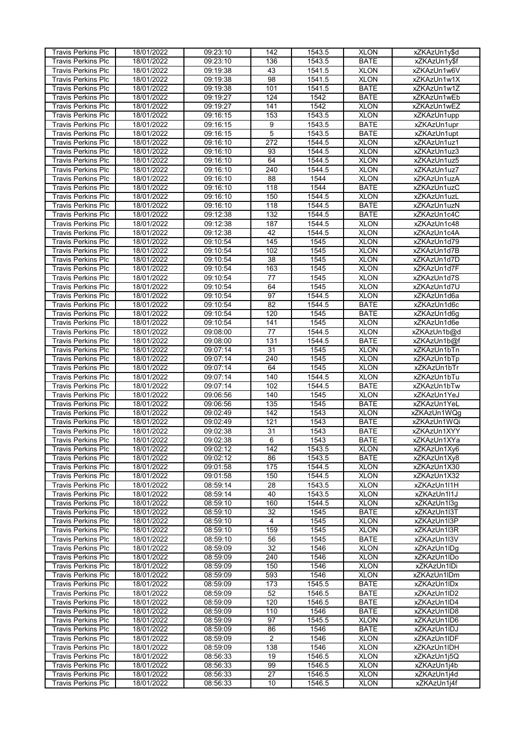| <b>Travis Perkins Plc</b> | 18/01/2022 | 09:23:10 | 142             | 1543.5 | <b>XLON</b> | xZKAzUn1y\$d |
|---------------------------|------------|----------|-----------------|--------|-------------|--------------|
|                           |            |          |                 |        |             | xZKAzUn1y\$f |
| <b>Travis Perkins Plc</b> | 18/01/2022 | 09:23:10 | 136             | 1543.5 | <b>BATE</b> |              |
| <b>Travis Perkins Plc</b> | 18/01/2022 | 09:19:38 | 43              | 1541.5 | <b>XLON</b> | xZKAzUn1w6V  |
| <b>Travis Perkins Plc</b> | 18/01/2022 | 09:19:38 | 98              | 1541.5 | <b>XLON</b> | xZKAzUn1w1X  |
| <b>Travis Perkins Plc</b> | 18/01/2022 | 09:19:38 | 101             | 1541.5 | <b>BATE</b> | xZKAzUn1w1Z  |
| <b>Travis Perkins Plc</b> | 18/01/2022 | 09:19:27 | 124             | 1542   | <b>BATE</b> | xZKAzUn1wEb  |
|                           |            |          |                 |        |             |              |
| Travis Perkins Plc        | 18/01/2022 | 09:19:27 | 141             | 1542   | <b>XLON</b> | xZKAzUn1wEZ  |
| <b>Travis Perkins Plc</b> | 18/01/2022 | 09:16:15 | 153             | 1543.5 | <b>XLON</b> | xZKAzUn1upp  |
| <b>Travis Perkins Plc</b> | 18/01/2022 | 09:16:15 | $\overline{9}$  | 1543.5 | <b>BATE</b> | xZKAzUn1upr  |
| Travis Perkins Plc        | 18/01/2022 | 09:16:15 | 5               | 1543.5 | <b>BATE</b> | xZKAzUn1upt  |
| <b>Travis Perkins Plc</b> | 18/01/2022 | 09:16:10 | 272             | 1544.5 | <b>XLON</b> | xZKAzUn1uz1  |
|                           | 18/01/2022 | 09:16:10 | 93              | 1544.5 | <b>XLON</b> |              |
| <b>Travis Perkins Plc</b> |            |          |                 |        |             | xZKAzUn1uz3  |
| Travis Perkins Plc        | 18/01/2022 | 09:16:10 | 64              | 1544.5 | <b>XLON</b> | xZKAzUn1uz5  |
| <b>Travis Perkins Plc</b> | 18/01/2022 | 09:16:10 | 240             | 1544.5 | <b>XLON</b> | xZKAzUn1uz7  |
| <b>Travis Perkins Plc</b> | 18/01/2022 | 09:16:10 | 88              | 1544   | <b>XLON</b> | xZKAzUn1uzA  |
| <b>Travis Perkins Plc</b> | 18/01/2022 | 09:16:10 | 118             | 1544   | <b>BATE</b> | xZKAzUn1uzC  |
| <b>Travis Perkins Plc</b> | 18/01/2022 | 09:16:10 | 150             | 1544.5 | <b>XLON</b> | xZKAzUn1uzL  |
| <b>Travis Perkins Plc</b> | 18/01/2022 | 09:16:10 | 118             | 1544.5 | <b>BATE</b> | xZKAzUn1uzN  |
|                           |            |          |                 |        |             |              |
| <b>Travis Perkins Plc</b> | 18/01/2022 | 09:12:38 | 132             | 1544.5 | <b>BATE</b> | xZKAzUn1c4C  |
| <b>Travis Perkins Plc</b> | 18/01/2022 | 09:12:38 | 187             | 1544.5 | <b>XLON</b> | xZKAzUn1c48  |
| <b>Travis Perkins Plc</b> | 18/01/2022 | 09:12:38 | 42              | 1544.5 | <b>XLON</b> | xZKAzUn1c4A  |
| <b>Travis Perkins Plc</b> | 18/01/2022 | 09:10:54 | 145             | 1545   | <b>XLON</b> | xZKAzUn1d79  |
| <b>Travis Perkins Plc</b> | 18/01/2022 | 09:10:54 | 102             | 1545   | <b>XLON</b> | xZKAzUn1d7B  |
| <b>Travis Perkins Plc</b> | 18/01/2022 | 09:10:54 | 38              | 1545   | <b>XLON</b> | xZKAzUn1d7D  |
|                           |            |          |                 |        |             |              |
| <b>Travis Perkins Plc</b> | 18/01/2022 | 09:10:54 | 163             | 1545   | <b>XLON</b> | xZKAzUn1d7F  |
| <b>Travis Perkins Plc</b> | 18/01/2022 | 09:10:54 | $\overline{77}$ | 1545   | <b>XLON</b> | xZKAzUn1d7S  |
| Travis Perkins Plc        | 18/01/2022 | 09:10:54 | 64              | 1545   | <b>XLON</b> | xZKAzUn1d7U  |
| <b>Travis Perkins Plc</b> | 18/01/2022 | 09:10:54 | 97              | 1544.5 | <b>XLON</b> | xZKAzUn1d6a  |
| <b>Travis Perkins Plc</b> | 18/01/2022 | 09:10:54 | 82              | 1544.5 | <b>BATE</b> | xZKAzUn1d6c  |
| Travis Perkins Plc        | 18/01/2022 | 09:10:54 | 120             | 1545   | <b>BATE</b> | xZKAzUn1d6g  |
|                           |            |          |                 |        |             |              |
| <b>Travis Perkins Plc</b> | 18/01/2022 | 09:10:54 | 141             | 1545   | <b>XLON</b> | xZKAzUn1d6e  |
| <b>Travis Perkins Plc</b> | 18/01/2022 | 09:08:00 | $\overline{77}$ | 1544.5 | <b>XLON</b> | xZKAzUn1b@d  |
| <b>Travis Perkins Plc</b> | 18/01/2022 | 09:08:00 | 131             | 1544.5 | <b>BATE</b> | xZKAzUn1b@f  |
| <b>Travis Perkins Plc</b> | 18/01/2022 | 09:07:14 | 31              | 1545   | <b>XLON</b> | xZKAzUn1bTn  |
| <b>Travis Perkins Plc</b> | 18/01/2022 | 09:07:14 | 240             | 1545   | <b>XLON</b> | xZKAzUn1bTp  |
| <b>Travis Perkins Plc</b> | 18/01/2022 | 09:07:14 | 64              | 1545   | <b>XLON</b> | xZKAzUn1bTr  |
|                           |            |          |                 |        |             |              |
| Travis Perkins Plc        | 18/01/2022 | 09:07:14 | 140             | 1544.5 | <b>XLON</b> | xZKAzUn1bTu  |
| <b>Travis Perkins Plc</b> | 18/01/2022 | 09:07:14 | 102             | 1544.5 | <b>BATE</b> | xZKAzUn1bTw  |
| <b>Travis Perkins Plc</b> | 18/01/2022 | 09:06:56 | 140             | 1545   | <b>XLON</b> | xZKAzUn1YeJ  |
| <b>Travis Perkins Plc</b> | 18/01/2022 | 09:06:56 | 135             | 1545   | <b>BATE</b> | xZKAzUn1YeL  |
| <b>Travis Perkins Plc</b> | 18/01/2022 | 09:02:49 | 142             | 1543   | <b>XLON</b> | xZKAzUn1WQg  |
| <b>Travis Perkins Plc</b> | 18/01/2022 | 09:02:49 | 121             | 1543   | <b>BATE</b> | xZKAzUn1WQi  |
| <b>Travis Perkins Plc</b> | 18/01/2022 | 09:02:38 | 31              | 1543   | <b>BATE</b> | xZKAzUn1XYY  |
|                           |            |          |                 |        |             |              |
| <b>Travis Perkins Plc</b> | 18/01/2022 | 09:02:38 | $6\overline{6}$ | 1543   | <b>BATE</b> | xZKAzUn1XYa  |
| <b>Travis Perkins Plc</b> | 18/01/2022 | 09:02:12 | 142             | 1543.5 | <b>XLON</b> | xZKAzUn1Xy6  |
| <b>Travis Perkins Plc</b> | 18/01/2022 | 09:02:12 | 86              | 1543.5 | <b>BATE</b> | xZKAzUn1Xy8  |
| <b>Travis Perkins Plc</b> | 18/01/2022 | 09:01:58 | 175             | 1544.5 | <b>XLON</b> | xZKAzUn1X30  |
| <b>Travis Perkins Plc</b> | 18/01/2022 | 09:01:58 | 150             | 1544.5 | <b>XLON</b> | xZKAzUn1X32  |
| <b>Travis Perkins Plc</b> | 18/01/2022 | 08:59:14 | 28              | 1543.5 | <b>XLON</b> | xZKAzUn1l1H  |
| <b>Travis Perkins Plc</b> | 18/01/2022 | 08:59:14 | 40              | 1543.5 | <b>XLON</b> | xZKAzUn1I1J  |
|                           |            |          |                 |        |             |              |
| <b>Travis Perkins Plc</b> | 18/01/2022 | 08:59:10 | 160             | 1544.5 | <b>XLON</b> | xZKAzUn1l3g  |
| <b>Travis Perkins Plc</b> | 18/01/2022 | 08:59:10 | 32              | 1545   | <b>BATE</b> | xZKAzUn1I3T  |
| <b>Travis Perkins Plc</b> | 18/01/2022 | 08:59:10 | $\overline{4}$  | 1545   | <b>XLON</b> | xZKAzUn1I3P  |
| <b>Travis Perkins Plc</b> | 18/01/2022 | 08:59:10 | 159             | 1545   | <b>XLON</b> | xZKAzUn1I3R  |
| <b>Travis Perkins Plc</b> | 18/01/2022 | 08:59:10 | 56              | 1545   | <b>BATE</b> | xZKAzUn1l3V  |
| <b>Travis Perkins Plc</b> | 18/01/2022 | 08:59:09 | 32              | 1546   | <b>XLON</b> | xZKAzUn1IDg  |
| <b>Travis Perkins Plc</b> | 18/01/2022 | 08:59:09 | 240             | 1546   | <b>XLON</b> | xZKAzUn1IDo  |
|                           |            |          |                 |        |             |              |
| <b>Travis Perkins Plc</b> | 18/01/2022 | 08:59:09 | 150             | 1546   | <b>XLON</b> | xZKAzUn1IDi  |
| <b>Travis Perkins Plc</b> | 18/01/2022 | 08:59:09 | 593             | 1546   | <b>XLON</b> | xZKAzUn1IDm  |
| <b>Travis Perkins Plc</b> | 18/01/2022 | 08:59:09 | 173             | 1545.5 | <b>BATE</b> | xZKAzUn1IDx  |
| <b>Travis Perkins Plc</b> | 18/01/2022 | 08:59:09 | 52              | 1546.5 | <b>BATE</b> | xZKAzUn1ID2  |
| <b>Travis Perkins Plc</b> | 18/01/2022 | 08:59:09 | 120             | 1546.5 | <b>BATE</b> | xZKAzUn1ID4  |
| <b>Travis Perkins Plc</b> | 18/01/2022 | 08:59:09 | 110             | 1546   | <b>BATE</b> | xZKAzUn1ID8  |
| <b>Travis Perkins Plc</b> | 18/01/2022 | 08:59:09 | 97              | 1545.5 | <b>XLON</b> | xZKAzUn1ID6  |
|                           |            |          |                 |        |             |              |
| <b>Travis Perkins Plc</b> | 18/01/2022 | 08:59:09 | 86              | 1546   | <b>BATE</b> | xZKAzUn1IDJ  |
| <b>Travis Perkins Plc</b> | 18/01/2022 | 08:59:09 | $\overline{2}$  | 1546   | <b>XLON</b> | xZKAzUn1IDF  |
| Travis Perkins Plc        | 18/01/2022 | 08:59:09 | 138             | 1546   | <b>XLON</b> | xZKAzUn1IDH  |
| <b>Travis Perkins Plc</b> | 18/01/2022 | 08:56:33 | 19              | 1546.5 | <b>XLON</b> | xZKAzUn1j5Q  |
| <b>Travis Perkins Plc</b> | 18/01/2022 | 08:56:33 | 99              | 1546.5 | <b>XLON</b> | xZKAzUn1j4b  |
| <b>Travis Perkins Plc</b> | 18/01/2022 | 08:56:33 | 27              | 1546.5 | <b>XLON</b> | xZKAzUn1j4d  |
|                           |            |          |                 |        |             |              |
| <b>Travis Perkins Plc</b> | 18/01/2022 | 08:56:33 | 10              | 1546.5 | <b>XLON</b> | xZKAzUn1j4f  |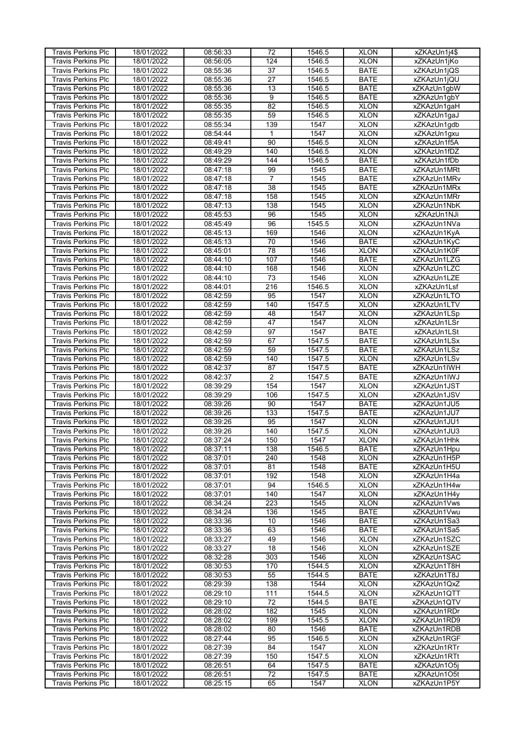| <b>Travis Perkins Plc</b> | 18/01/2022 | 08:56:33 | 72              | 1546.5 | <b>XLON</b> | xZKAzUn1j4\$ |
|---------------------------|------------|----------|-----------------|--------|-------------|--------------|
|                           | 18/01/2022 | 08:56:05 | 124             | 1546.5 | <b>XLON</b> | xZKAzUn1jKo  |
| <b>Travis Perkins Plc</b> |            |          |                 |        |             |              |
| <b>Travis Perkins Plc</b> | 18/01/2022 | 08:55:36 | 37              | 1546.5 | <b>BATE</b> | xZKAzUn1jQS  |
| <b>Travis Perkins Plc</b> | 18/01/2022 | 08:55:36 | 27              | 1546.5 | <b>BATE</b> | xZKAzUn1jQU  |
| <b>Travis Perkins Plc</b> | 18/01/2022 | 08:55:36 | 13              | 1546.5 | <b>BATE</b> | xZKAzUn1gbW  |
| <b>Travis Perkins Plc</b> | 18/01/2022 | 08:55:36 | $\overline{9}$  | 1546.5 | <b>BATE</b> | xZKAzUn1gbY  |
|                           |            |          |                 |        |             |              |
| <b>Travis Perkins Plc</b> | 18/01/2022 | 08:55:35 | 82              | 1546.5 | <b>XLON</b> | xZKAzUn1gaH  |
| <b>Travis Perkins Plc</b> | 18/01/2022 | 08:55:35 | 59              | 1546.5 | <b>XLON</b> | xZKAzUn1gaJ  |
| <b>Travis Perkins Plc</b> | 18/01/2022 | 08:55:34 | 139             | 1547   | <b>XLON</b> | xZKAzUn1gdb  |
| Travis Perkins Plc        | 18/01/2022 | 08:54:44 | 1               | 1547   | <b>XLON</b> | xZKAzUn1gxu  |
| <b>Travis Perkins Plc</b> | 18/01/2022 | 08:49:41 | 90              | 1546.5 | <b>XLON</b> | xZKAzUn1f5A  |
|                           |            |          | 140             |        |             | xZKAzUn1fDZ  |
| <b>Travis Perkins Plc</b> | 18/01/2022 | 08:49:29 |                 | 1546.5 | <b>XLON</b> |              |
| <b>Travis Perkins Plc</b> | 18/01/2022 | 08:49:29 | 144             | 1546.5 | <b>BATE</b> | xZKAzUn1fDb  |
| <b>Travis Perkins Plc</b> | 18/01/2022 | 08:47:18 | 99              | 1545   | <b>BATE</b> | xZKAzUn1MRt  |
| Travis Perkins Plc        | 18/01/2022 | 08:47:18 | $\overline{7}$  | 1545   | <b>BATE</b> | xZKAzUn1MRv  |
| <b>Travis Perkins Plc</b> | 18/01/2022 | 08:47:18 | $\overline{38}$ | 1545   | <b>BATE</b> | xZKAzUn1MRx  |
| Travis Perkins Plc        | 18/01/2022 | 08:47:18 | 158             | 1545   | <b>XLON</b> | xZKAzUn1MRr  |
| <b>Travis Perkins Plc</b> | 18/01/2022 | 08:47:13 | 138             | 1545   | <b>XLON</b> | xZKAzUn1NbK  |
|                           |            |          |                 |        |             |              |
| <b>Travis Perkins Plc</b> | 18/01/2022 | 08:45:53 | 96              | 1545   | <b>XLON</b> | xZKAzUn1NJi  |
| <b>Travis Perkins Plc</b> | 18/01/2022 | 08:45:49 | 96              | 1545.5 | <b>XLON</b> | xZKAzUn1NVa  |
| <b>Travis Perkins Plc</b> | 18/01/2022 | 08:45:13 | 169             | 1546   | <b>XLON</b> | xZKAzUn1KyA  |
| Travis Perkins Plc        | 18/01/2022 | 08:45:13 | 70              | 1546   | <b>BATE</b> | xZKAzUn1KyC  |
| <b>Travis Perkins Plc</b> | 18/01/2022 | 08:45:01 | $\overline{78}$ | 1546   | <b>XLON</b> | xZKAzUn1K0F  |
| <b>Travis Perkins Plc</b> | 18/01/2022 | 08:44:10 | 107             | 1546   | <b>BATE</b> | xZKAzUn1LZG  |
|                           |            |          |                 |        |             |              |
| <b>Travis Perkins Plc</b> | 18/01/2022 | 08:44:10 | 168             | 1546   | <b>XLON</b> | xZKAzUn1LZC  |
| <b>Travis Perkins Plc</b> | 18/01/2022 | 08:44:10 | $\overline{73}$ | 1546   | <b>XLON</b> | xZKAzUn1LZE  |
| <b>Travis Perkins Plc</b> | 18/01/2022 | 08:44:01 | 216             | 1546.5 | <b>XLON</b> | xZKAzUn1Lsf  |
| <b>Travis Perkins Plc</b> | 18/01/2022 | 08:42:59 | 95              | 1547   | <b>XLON</b> | xZKAzUn1LTO  |
| <b>Travis Perkins Plc</b> | 18/01/2022 | 08:42:59 | 140             | 1547.5 | <b>XLON</b> | xZKAzUn1LTV  |
| Travis Perkins Plc        | 18/01/2022 | 08:42:59 | 48              | 1547   | <b>XLON</b> | xZKAzUn1LSp  |
|                           |            |          |                 |        |             |              |
| <b>Travis Perkins Plc</b> | 18/01/2022 | 08:42:59 | 47              | 1547   | <b>XLON</b> | xZKAzUn1LSr  |
| Travis Perkins Plc        | 18/01/2022 | 08:42:59 | 97              | 1547   | <b>BATE</b> | xZKAzUn1LSt  |
| <b>Travis Perkins Plc</b> | 18/01/2022 | 08:42:59 | 67              | 1547.5 | <b>BATE</b> | xZKAzUn1LSx  |
| <b>Travis Perkins Plc</b> | 18/01/2022 | 08:42:59 | 59              | 1547.5 | <b>BATE</b> | xZKAzUn1LSz  |
| <b>Travis Perkins Plc</b> | 18/01/2022 | 08:42:59 | 140             | 1547.5 | <b>XLON</b> | xZKAzUn1LSv  |
| <b>Travis Perkins Plc</b> | 18/01/2022 | 08:42:37 | 87              | 1547.5 | <b>BATE</b> | xZKAzUn1IWH  |
|                           |            |          |                 |        |             |              |
| <b>Travis Perkins Plc</b> | 18/01/2022 | 08:42:37 | $\overline{2}$  | 1547.5 | <b>BATE</b> | xZKAzUn1IWJ  |
| <b>Travis Perkins Plc</b> | 18/01/2022 | 08:39:29 | 154             | 1547   | <b>XLON</b> | xZKAzUn1JST  |
| <b>Travis Perkins Plc</b> | 18/01/2022 | 08:39:29 | 106             | 1547.5 | <b>XLON</b> | xZKAzUn1JSV  |
| <b>Travis Perkins Plc</b> | 18/01/2022 | 08:39:26 | 90              | 1547   | <b>BATE</b> | xZKAzUn1JU5  |
| <b>Travis Perkins Plc</b> | 18/01/2022 | 08:39:26 | 133             | 1547.5 | <b>BATE</b> | xZKAzUn1JU7  |
| <b>Travis Perkins Plc</b> | 18/01/2022 | 08:39:26 | $\overline{95}$ | 1547   | <b>XLON</b> | xZKAzUn1JU1  |
| Travis Perkins Plc        | 18/01/2022 | 08:39:26 | 140             | 1547.5 | <b>XLON</b> | xZKAzUn1JU3  |
|                           |            |          |                 |        |             |              |
| <b>Travis Perkins Plc</b> | 18/01/2022 | 08:37:24 | 150             | 1547   | <b>XLON</b> | xZKAzUn1Hhk  |
| <b>Travis Perkins Plc</b> | 18/01/2022 | 08:37:11 | 138             | 1546.5 | <b>BATE</b> | xZKAzUn1Hpu  |
| <b>Travis Perkins Plc</b> | 18/01/2022 | 08:37:01 | 240             | 1548   | <b>XLON</b> | xZKAzUn1H5P  |
| Travis Perkins Plc        | 18/01/2022 | 08:37:01 | 81              | 1548   | <b>BATE</b> | xZKAzUn1H5U  |
| <b>Travis Perkins Plc</b> | 18/01/2022 | 08:37:01 | 192             | 1548   | <b>XLON</b> | xZKAzUn1H4a  |
| <b>Travis Perkins Plc</b> | 18/01/2022 | 08:37:01 | 94              | 1546.5 | <b>XLON</b> | xZKAzUn1H4w  |
| <b>Travis Perkins Plc</b> | 18/01/2022 | 08:37:01 | 140             | 1547   | <b>XLON</b> | xZKAzUn1H4y  |
|                           |            |          |                 |        |             |              |
| <b>Travis Perkins Plc</b> | 18/01/2022 | 08:34:24 | 223             | 1545   | <b>XLON</b> | xZKAzUn1Vws  |
| <b>Travis Perkins Plc</b> | 18/01/2022 | 08:34:24 | 136             | 1545   | <b>BATE</b> | xZKAzUn1Vwu  |
| <b>Travis Perkins Plc</b> | 18/01/2022 | 08:33:36 | 10              | 1546   | <b>BATE</b> | xZKAzUn1Sa3  |
| <b>Travis Perkins Plc</b> | 18/01/2022 | 08:33:36 | 63              | 1546   | <b>BATE</b> | xZKAzUn1Sa5  |
| <b>Travis Perkins Plc</b> | 18/01/2022 | 08:33:27 | 49              | 1546   | <b>XLON</b> | xZKAzUn1SZC  |
| <b>Travis Perkins Plc</b> | 18/01/2022 | 08:33:27 | 18              | 1546   | <b>XLON</b> | xZKAzUn1SZE  |
| <b>Travis Perkins Plc</b> | 18/01/2022 | 08:32:28 | 303             | 1546   | <b>XLON</b> | xZKAzUn1SAC  |
|                           |            |          |                 |        |             |              |
| <b>Travis Perkins Plc</b> | 18/01/2022 | 08:30:53 | 170             | 1544.5 | <b>XLON</b> | xZKAzUn1T8H  |
| <b>Travis Perkins Plc</b> | 18/01/2022 | 08:30:53 | 55              | 1544.5 | <b>BATE</b> | xZKAzUn1T8J  |
| <b>Travis Perkins Plc</b> | 18/01/2022 | 08:29:39 | 138             | 1544   | <b>XLON</b> | xZKAzUn1QxZ  |
| <b>Travis Perkins Plc</b> | 18/01/2022 | 08:29:10 | 111             | 1544.5 | <b>XLON</b> | xZKAzUn1QTT  |
| <b>Travis Perkins Plc</b> | 18/01/2022 | 08:29:10 | 72              | 1544.5 | <b>BATE</b> | xZKAzUn1QTV  |
| <b>Travis Perkins Plc</b> | 18/01/2022 | 08:28:02 | 182             | 1545   | <b>XLON</b> | xZKAzUn1RDr  |
| <b>Travis Perkins Plc</b> | 18/01/2022 |          |                 | 1545.5 |             | xZKAzUn1RD9  |
|                           |            | 08:28:02 | 199             |        | <b>XLON</b> |              |
| <b>Travis Perkins Plc</b> | 18/01/2022 | 08:28:02 | 80              | 1546   | <b>BATE</b> | xZKAzUn1RDB  |
| <b>Travis Perkins Plc</b> | 18/01/2022 | 08:27:44 | 95              | 1546.5 | <b>XLON</b> | xZKAzUn1RGF  |
| Travis Perkins Plc        | 18/01/2022 | 08:27:39 | 84              | 1547   | <b>XLON</b> | xZKAzUn1RTr  |
| <b>Travis Perkins Plc</b> | 18/01/2022 | 08:27:39 | 150             | 1547.5 | <b>XLON</b> | xZKAzUn1RTt  |
| <b>Travis Perkins Plc</b> | 18/01/2022 | 08:26:51 | 64              | 1547.5 | <b>BATE</b> | xZKAzUn1O5j  |
| <b>Travis Perkins Plc</b> | 18/01/2022 | 08:26:51 | 72              | 1547.5 | <b>BATE</b> | xZKAzUn1O5t  |
|                           |            |          |                 |        |             |              |
| Travis Perkins Plc        | 18/01/2022 | 08:25:15 | 65              | 1547   | <b>XLON</b> | xZKAzUn1P5Y  |